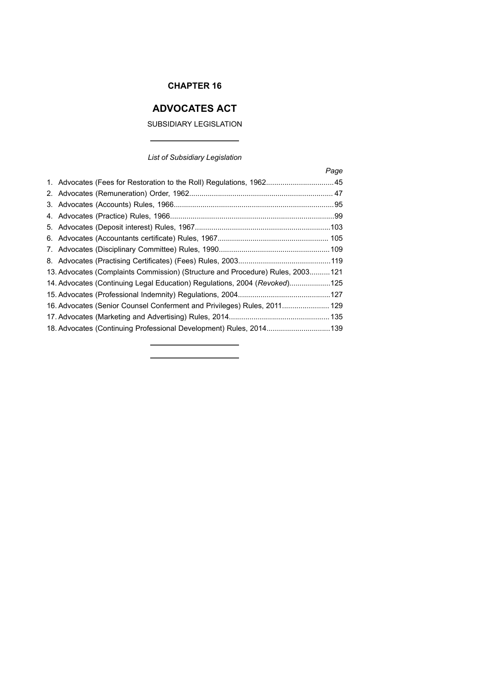# **CHAPTER 16**

# **ADVOCATES ACT**

# SUBSIDIARY LEGISLATION

 $\overline{a}$ 

٠

# *List of Subsidiary Legislation*

|                                                                                 | Page |
|---------------------------------------------------------------------------------|------|
| 1. Advocates (Fees for Restoration to the Roll) Regulations, 196245             |      |
|                                                                                 |      |
|                                                                                 |      |
|                                                                                 |      |
|                                                                                 |      |
|                                                                                 |      |
|                                                                                 |      |
|                                                                                 |      |
| 13. Advocates (Complaints Commission) (Structure and Procedure) Rules, 2003 121 |      |
| 14. Advocates (Continuing Legal Education) Regulations, 2004 (Revoked)125       |      |
|                                                                                 |      |
| 16. Advocates (Senior Counsel Conferment and Privileges) Rules, 2011 129        |      |
|                                                                                 |      |
| 18. Advocates (Continuing Professional Development) Rules, 2014 139             |      |

<u> 1989 - Johann Barbara, martxa a</u>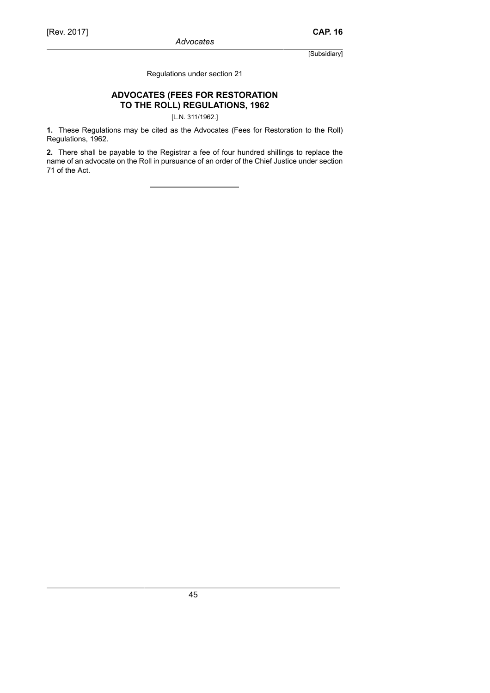Regulations under section 21

# **ADVOCATES (FEES FOR RESTORATION TO THE ROLL) REGULATIONS, 1962**

[L.N. 311/1962.]

**1.** These Regulations may be cited as the Advocates (Fees for Restoration to the Roll) Regulations, 1962.

**2.** There shall be payable to the Registrar a fee of four hundred shillings to replace the name of an advocate on the Roll in pursuance of an order of the Chief Justice under section 71 of the Act.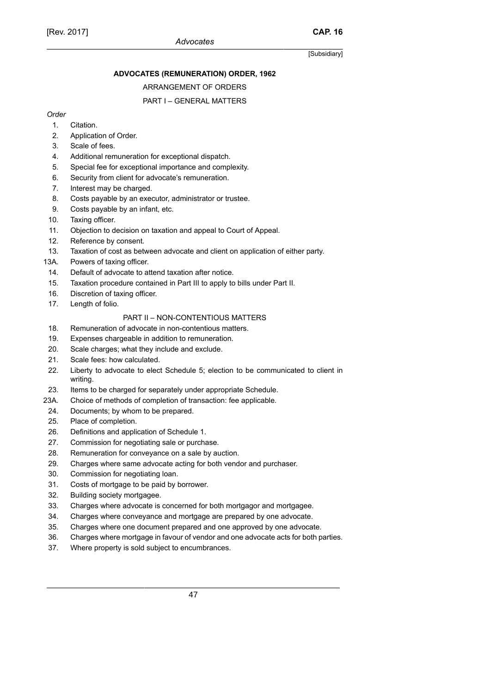# **ADVOCATES (REMUNERATION) ORDER, 1962**

# ARRANGEMENT OF ORDERS

# PART I – GENERAL MATTERS

# *Order*

- 1. Citation.
- 2. Application of Order.
- 3. Scale of fees.
- 4. Additional remuneration for exceptional dispatch.
- 5. Special fee for exceptional importance and complexity.
- 6. Security from client for advocate's remuneration.
- 7. Interest may be charged.
- 8. Costs payable by an executor, administrator or trustee.
- 9. Costs payable by an infant, etc.
- 10. Taxing officer.
- 11. Objection to decision on taxation and appeal to Court of Appeal.
- 12. Reference by consent.
- 13. Taxation of cost as between advocate and client on application of either party.
- 13A. Powers of taxing officer.
- 14. Default of advocate to attend taxation after notice.
- 15. Taxation procedure contained in Part III to apply to bills under Part II.
- 16. Discretion of taxing officer.
- 17. Length of folio.

# PART II – NON-CONTENTIOUS MATTERS

- 18. Remuneration of advocate in non-contentious matters.
- 19. Expenses chargeable in addition to remuneration.
- 20. Scale charges; what they include and exclude.
- 21. Scale fees: how calculated.
- 22. Liberty to advocate to elect Schedule 5; election to be communicated to client in writing.
- 23. Items to be charged for separately under appropriate Schedule.
- 23A. Choice of methods of completion of transaction: fee applicable.
- 24. Documents; by whom to be prepared.
- 25. Place of completion.
- 26. Definitions and application of Schedule 1.
- 27. Commission for negotiating sale or purchase.
- 28. Remuneration for conveyance on a sale by auction.
- 29. Charges where same advocate acting for both vendor and purchaser.
- 30. Commission for negotiating loan.
- 31. Costs of mortgage to be paid by borrower.
- 32. Building society mortgagee.
- 33. Charges where advocate is concerned for both mortgagor and mortgagee.
- 34. Charges where conveyance and mortgage are prepared by one advocate.
- 35. Charges where one document prepared and one approved by one advocate.
- 36. Charges where mortgage in favour of vendor and one advocate acts for both parties.
- 37. Where property is sold subject to encumbrances.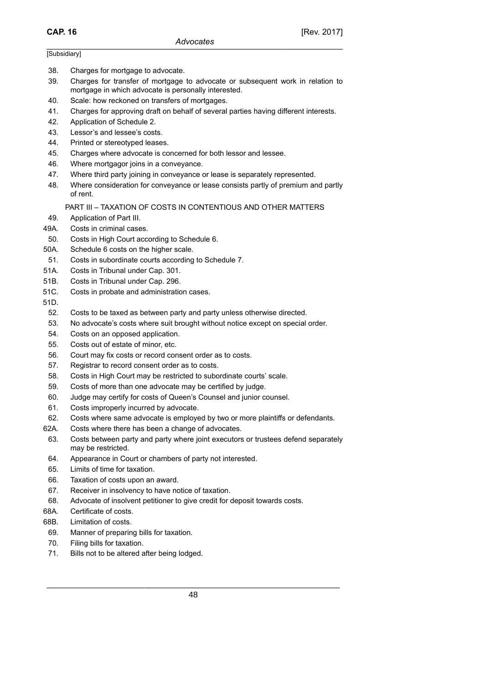- 38. Charges for mortgage to advocate.
- 39. Charges for transfer of mortgage to advocate or subsequent work in relation to mortgage in which advocate is personally interested.
- 40. Scale: how reckoned on transfers of mortgages.
- 41. Charges for approving draft on behalf of several parties having different interests.
- 42. Application of Schedule 2.
- 43. Lessor's and lessee's costs.
- 44. Printed or stereotyped leases.
- 45. Charges where advocate is concerned for both lessor and lessee.
- 46. Where mortgagor joins in a conveyance.
- 47. Where third party joining in conveyance or lease is separately represented.
- 48. Where consideration for conveyance or lease consists partly of premium and partly of rent.

# PART III – TAXATION OF COSTS IN CONTENTIOUS AND OTHER MATTERS

- 49. Application of Part III.
- 49A. Costs in criminal cases.
- 50. Costs in High Court according to Schedule 6.
- 50A. Schedule 6 costs on the higher scale.
- 51. Costs in subordinate courts according to Schedule 7.
- 51A. Costs in Tribunal under Cap. 301.
- 51B. Costs in Tribunal under Cap. 296.
- 51C. Costs in probate and administration cases.
- 51D.
- 52. Costs to be taxed as between party and party unless otherwise directed.
- 53. No advocate's costs where suit brought without notice except on special order.
- 54. Costs on an opposed application.
- 55. Costs out of estate of minor, etc.
- 56. Court may fix costs or record consent order as to costs.
- 57. Registrar to record consent order as to costs.
- 58. Costs in High Court may be restricted to subordinate courts' scale.
- 59. Costs of more than one advocate may be certified by judge.
- 60. Judge may certify for costs of Queen's Counsel and junior counsel.
- 61. Costs improperly incurred by advocate.
- 62. Costs where same advocate is employed by two or more plaintiffs or defendants.
- 62A. Costs where there has been a change of advocates.
- 63. Costs between party and party where joint executors or trustees defend separately may be restricted.
- 64. Appearance in Court or chambers of party not interested.
- 65. Limits of time for taxation.
- 66. Taxation of costs upon an award.
- 67. Receiver in insolvency to have notice of taxation.
- 68. Advocate of insolvent petitioner to give credit for deposit towards costs.
- 68A. Certificate of costs.
- 68B. Limitation of costs.
- 69. Manner of preparing bills for taxation.
- 70. Filing bills for taxation.
- 71. Bills not to be altered after being lodged.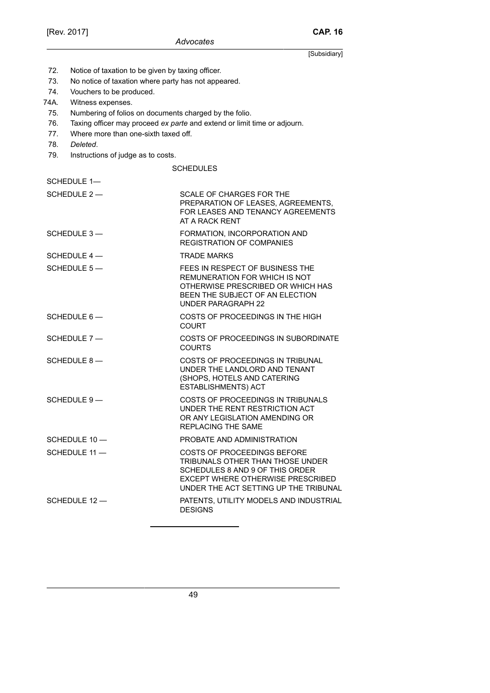[Subsidiary] 72. Notice of taxation to be given by taxing officer. 73. No notice of taxation where party has not appeared. 74. Vouchers to be produced. 74A. Witness expenses. 75. Numbering of folios on documents charged by the folio. 76. Taxing officer may proceed *ex parte* and extend or limit time or adjourn. 77. Where more than one-sixth taxed off. 78. *Deleted*. 79. Instructions of judge as to costs. SCHEDULES SCHEDULE 1— SCHEDULE 2 — SCALE OF CHARGES FOR THE PREPARATION OF LEASES, AGREEMENTS, FOR LEASES AND TENANCY AGREEMENTS AT A RACK RENT SCHEDULE 3 — FORMATION, INCORPORATION AND REGISTRATION OF COMPANIES SCHEDULE 4 — TRADE MARKS SCHEDULE 5 — FEES IN RESPECT OF BUSINESS THE REMUNERATION FOR WHICH IS NOT OTHERWISE PRESCRIBED OR WHICH HAS BEEN THE SUBJECT OF AN ELECTION UNDER PARAGRAPH 22 SCHEDULE 6 — COSTS OF PROCEEDINGS IN THE HIGH **COURT** SCHEDULE 7 — COSTS OF PROCEEDINGS IN SUBORDINATE **COURTS** SCHEDULE 8 — COSTS OF PROCEEDINGS IN TRIBUNAL UNDER THE LANDLORD AND TENANT (SHOPS, HOTELS AND CATERING ESTABLISHMENTS) ACT SCHEDULE 9 — COSTS OF PROCEEDINGS IN TRIBUNALS UNDER THE RENT RESTRICTION ACT OR ANY LEGISLATION AMENDING OR REPLACING THE SAME SCHEDULE 10 - PROBATE AND ADMINISTRATION SCHEDULE 11 — COSTS OF PROCEEDINGS BEFORE TRIBUNALS OTHER THAN THOSE UNDER SCHEDULES 8 AND 9 OF THIS ORDER EXCEPT WHERE OTHERWISE PRESCRIBED UNDER THE ACT SETTING UP THE TRIBUNAL SCHEDULE 12 - PATENTS, UTILITY MODELS AND INDUSTRIAL DESIGNS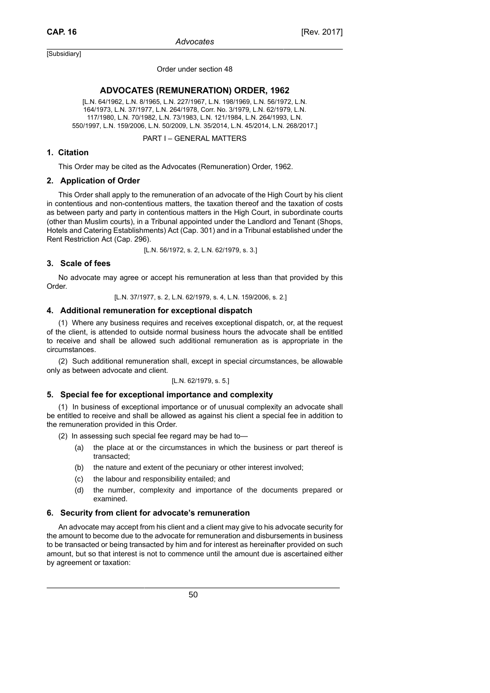#### Order under section 48

### **ADVOCATES (REMUNERATION) ORDER, 1962**

[L.N. 64/1962, L.N. 8/1965, L.N. 227/1967, L.N. 198/1969, L.N. 56/1972, L.N. 164/1973, L.N. 37/1977, L.N. 264/1978, Corr. No. 3/1979, L.N. 62/1979, L.N. 117/1980, L.N. 70/1982, L.N. 73/1983, L.N. 121/1984, L.N. 264/1993, L.N. 550/1997, L.N. 159/2006, L.N. 50/2009, L.N. 35/2014, L.N. 45/2014, L.N. 268/2017.]

### PART I – GENERAL MATTERS

### **1. Citation**

This Order may be cited as the Advocates (Remuneration) Order, 1962.

### **2. Application of Order**

This Order shall apply to the remuneration of an advocate of the High Court by his client in contentious and non-contentious matters, the taxation thereof and the taxation of costs as between party and party in contentious matters in the High Court, in subordinate courts (other than Muslim courts), in a Tribunal appointed under the Landlord and Tenant (Shops, Hotels and Catering Establishments) Act (Cap. 301) and in a Tribunal established under the Rent Restriction Act (Cap. 296).

[L.N. 56/1972, s. 2, L.N. 62/1979, s. 3.]

### **3. Scale of fees**

No advocate may agree or accept his remuneration at less than that provided by this Order.

[L.N. 37/1977, s. 2, L.N. 62/1979, s. 4, L.N. 159/2006, s. 2.]

### **4. Additional remuneration for exceptional dispatch**

(1) Where any business requires and receives exceptional dispatch, or, at the request of the client, is attended to outside normal business hours the advocate shall be entitled to receive and shall be allowed such additional remuneration as is appropriate in the circumstances.

(2) Such additional remuneration shall, except in special circumstances, be allowable only as between advocate and client.

#### [L.N. 62/1979, s. 5.]

### **5. Special fee for exceptional importance and complexity**

(1) In business of exceptional importance or of unusual complexity an advocate shall be entitled to receive and shall be allowed as against his client a special fee in addition to the remuneration provided in this Order.

(2) In assessing such special fee regard may be had to—

- (a) the place at or the circumstances in which the business or part thereof is transacted;
- (b) the nature and extent of the pecuniary or other interest involved;
- (c) the labour and responsibility entailed; and
- (d) the number, complexity and importance of the documents prepared or examined.

### **6. Security from client for advocate's remuneration**

An advocate may accept from his client and a client may give to his advocate security for the amount to become due to the advocate for remuneration and disbursements in business to be transacted or being transacted by him and for interest as hereinafter provided on such amount, but so that interest is not to commence until the amount due is ascertained either by agreement or taxation: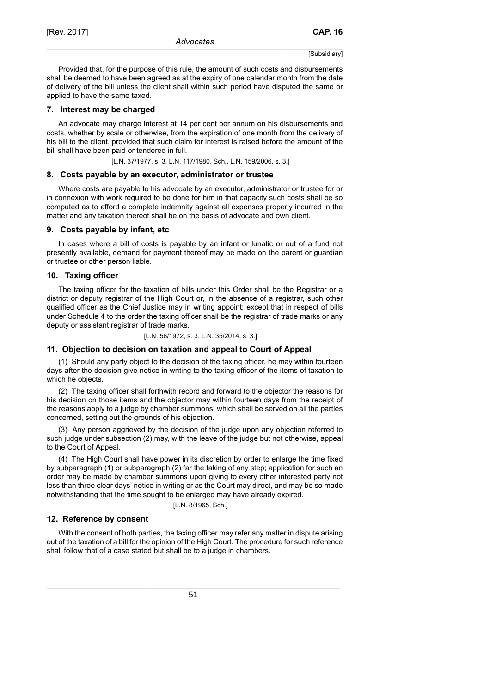Provided that, for the purpose of this rule, the amount of such costs and disbursements shall be deemed to have been agreed as at the expiry of one calendar month from the date of delivery of the bill unless the client shall within such period have disputed the same or applied to have the same taxed.

### **7. Interest may be charged**

An advocate may charge interest at 14 per cent per annum on his disbursements and costs, whether by scale or otherwise, from the expiration of one month from the delivery of his bill to the client, provided that such claim for interest is raised before the amount of the bill shall have been paid or tendered in full.

[L.N. 37/1977, s. 3, L.N. 117/1980, Sch., L.N. 159/2006, s. 3.]

#### **8. Costs payable by an executor, administrator or trustee**

Where costs are payable to his advocate by an executor, administrator or trustee for or in connexion with work required to be done for him in that capacity such costs shall be so computed as to afford a complete indemnity against all expenses properly incurred in the matter and any taxation thereof shall be on the basis of advocate and own client.

#### **9. Costs payable by infant, etc**

In cases where a bill of costs is payable by an infant or lunatic or out of a fund not presently available, demand for payment thereof may be made on the parent or guardian or trustee or other person liable.

### **10. Taxing officer**

The taxing officer for the taxation of bills under this Order shall be the Registrar or a district or deputy registrar of the High Court or, in the absence of a registrar, such other qualified officer as the Chief Justice may in writing appoint; except that in respect of bills under Schedule 4 to the order the taxing officer shall be the registrar of trade marks or any deputy or assistant registrar of trade marks.

#### [L.N. 56/1972, s. 3, L.N. 35/2014, s. 3.]

#### **11. Objection to decision on taxation and appeal to Court of Appeal**

(1) Should any party object to the decision of the taxing officer, he may within fourteen days after the decision give notice in writing to the taxing officer of the items of taxation to which he objects.

(2) The taxing officer shall forthwith record and forward to the objector the reasons for his decision on those items and the objector may within fourteen days from the receipt of the reasons apply to a judge by chamber summons, which shall be served on all the parties concerned, setting out the grounds of his objection.

(3) Any person aggrieved by the decision of the judge upon any objection referred to such judge under subsection (2) may, with the leave of the judge but not otherwise, appeal to the Court of Appeal.

(4) The High Court shall have power in its discretion by order to enlarge the time fixed by subparagraph (1) or subparagraph (2) far the taking of any step; application for such an order may be made by chamber summons upon giving to every other interested party not less than three clear days' notice in writing or as the Court may direct, and may be so made notwithstanding that the time sought to be enlarged may have already expired.

[L.N. 8/1965, Sch.]

### **12. Reference by consent**

With the consent of both parties, the taxing officer may refer any matter in dispute arising out of the taxation of a bill for the opinion of the High Court. The procedure for such reference shall follow that of a case stated but shall be to a judge in chambers.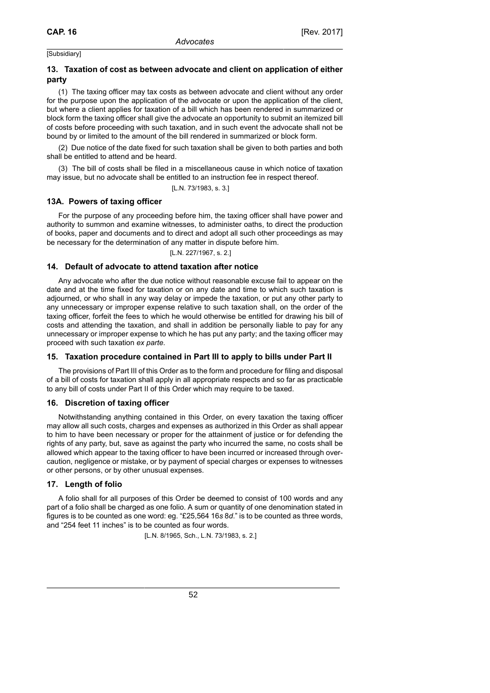# **13. Taxation of cost as between advocate and client on application of either party**

(1) The taxing officer may tax costs as between advocate and client without any order for the purpose upon the application of the advocate or upon the application of the client, but where a client applies for taxation of a bill which has been rendered in summarized or block form the taxing officer shall give the advocate an opportunity to submit an itemized bill of costs before proceeding with such taxation, and in such event the advocate shall not be bound by or limited to the amount of the bill rendered in summarized or block form.

(2) Due notice of the date fixed for such taxation shall be given to both parties and both shall be entitled to attend and be heard.

(3) The bill of costs shall be filed in a miscellaneous cause in which notice of taxation may issue, but no advocate shall be entitled to an instruction fee in respect thereof.

[L.N. 73/1983, s. 3.]

### **13A. Powers of taxing officer**

For the purpose of any proceeding before him, the taxing officer shall have power and authority to summon and examine witnesses, to administer oaths, to direct the production of books, paper and documents and to direct and adopt all such other proceedings as may be necessary for the determination of any matter in dispute before him.

[L.N. 227/1967, s. 2.]

### **14. Default of advocate to attend taxation after notice**

Any advocate who after the due notice without reasonable excuse fail to appear on the date and at the time fixed for taxation or on any date and time to which such taxation is adjourned, or who shall in any way delay or impede the taxation, or put any other party to any unnecessary or improper expense relative to such taxation shall, on the order of the taxing officer, forfeit the fees to which he would otherwise be entitled for drawing his bill of costs and attending the taxation, and shall in addition be personally liable to pay for any unnecessary or improper expense to which he has put any party; and the taxing officer may proceed with such taxation *ex parte*.

### **15. Taxation procedure contained in Part III to apply to bills under Part II**

The provisions of Part III of this Order as to the form and procedure for filing and disposal of a bill of costs for taxation shall apply in all appropriate respects and so far as practicable to any bill of costs under Part II of this Order which may require to be taxed.

### **16. Discretion of taxing officer**

Notwithstanding anything contained in this Order, on every taxation the taxing officer may allow all such costs, charges and expenses as authorized in this Order as shall appear to him to have been necessary or proper for the attainment of justice or for defending the rights of any party, but, save as against the party who incurred the same, no costs shall be allowed which appear to the taxing officer to have been incurred or increased through overcaution, negligence or mistake, or by payment of special charges or expenses to witnesses or other persons, or by other unusual expenses.

### **17. Length of folio**

A folio shall for all purposes of this Order be deemed to consist of 100 words and any part of a folio shall be charged as one folio. A sum or quantity of one denomination stated in figures is to be counted as one word: eg. "£25,564 16*s* 8*d*." is to be counted as three words, and "254 feet 11 inches" is to be counted as four words.

[L.N. 8/1965, Sch., L.N. 73/1983, s. 2.]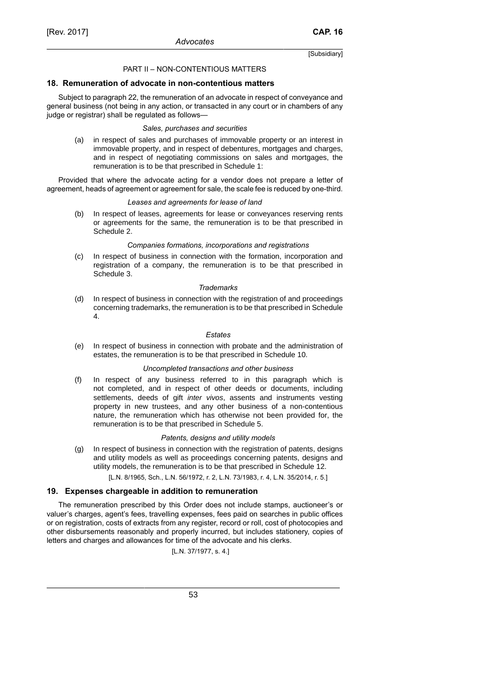### PART II – NON-CONTENTIOUS MATTERS

### **18. Remuneration of advocate in non-contentious matters**

Subject to paragraph 22, the remuneration of an advocate in respect of conveyance and general business (not being in any action, or transacted in any court or in chambers of any judge or registrar) shall be regulated as follows—

#### *Sales, purchases and securities*

(a) in respect of sales and purchases of immovable property or an interest in immovable property, and in respect of debentures, mortgages and charges, and in respect of negotiating commissions on sales and mortgages, the remuneration is to be that prescribed in Schedule 1:

Provided that where the advocate acting for a vendor does not prepare a letter of agreement, heads of agreement or agreement for sale, the scale fee is reduced by one-third.

#### *Leases and agreements for lease of land*

(b) In respect of leases, agreements for lease or conveyances reserving rents or agreements for the same, the remuneration is to be that prescribed in Schedule 2.

#### *Companies formations, incorporations and registrations*

(c) In respect of business in connection with the formation, incorporation and registration of a company, the remuneration is to be that prescribed in Schedule 3.

### *Trademarks*

(d) In respect of business in connection with the registration of and proceedings concerning trademarks, the remuneration is to be that prescribed in Schedule 4.

#### *Estates*

(e) In respect of business in connection with probate and the administration of estates, the remuneration is to be that prescribed in Schedule 10.

### *Uncompleted transactions and other business*

(f) In respect of any business referred to in this paragraph which is not completed, and in respect of other deeds or documents, including settlements, deeds of gift inter vivos, assents and instruments vesting property in new trustees, and any other business of a non-contentious nature, the remuneration which has otherwise not been provided for, the remuneration is to be that prescribed in Schedule 5.

### *Patents, designs and utility models*

- (g) In respect of business in connection with the registration of patents, designs and utility models as well as proceedings concerning patents, designs and utility models, the remuneration is to be that prescribed in Schedule 12.
	- [L.N. 8/1965, Sch., L.N. 56/1972, r. 2, L.N. 73/1983, r. 4, L.N. 35/2014, r. 5.]

### **19. Expenses chargeable in addition to remuneration**

The remuneration prescribed by this Order does not include stamps, auctioneer's or valuer's charges, agent's fees, travelling expenses, fees paid on searches in public offices or on registration, costs of extracts from any register, record or roll, cost of photocopies and other disbursements reasonably and properly incurred, but includes stationery, copies of letters and charges and allowances for time of the advocate and his clerks.

[L.N. 37/1977, s. 4.]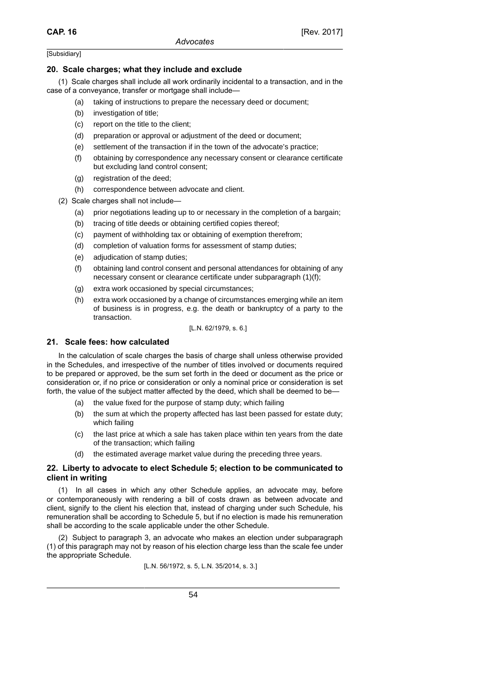### **20. Scale charges; what they include and exclude**

(1) Scale charges shall include all work ordinarily incidental to a transaction, and in the case of a conveyance, transfer or mortgage shall include—

- (a) taking of instructions to prepare the necessary deed or document;
- (b) investigation of title;
- (c) report on the title to the client;
- (d) preparation or approval or adjustment of the deed or document;
- (e) settlement of the transaction if in the town of the advocate's practice;
- (f) obtaining by correspondence any necessary consent or clearance certificate but excluding land control consent;
- (g) registration of the deed;
- (h) correspondence between advocate and client.
- (2) Scale charges shall not include—
	- (a) prior negotiations leading up to or necessary in the completion of a bargain;
	- (b) tracing of title deeds or obtaining certified copies thereof;
	- (c) payment of withholding tax or obtaining of exemption therefrom;
	- (d) completion of valuation forms for assessment of stamp duties;
	- (e) adjudication of stamp duties;
	- (f) obtaining land control consent and personal attendances for obtaining of any necessary consent or clearance certificate under subparagraph (1)(f);
	- (g) extra work occasioned by special circumstances;
	- (h) extra work occasioned by a change of circumstances emerging while an item of business is in progress, e.g. the death or bankruptcy of a party to the transaction.

### [L.N. 62/1979, s. 6.]

### **21. Scale fees: how calculated**

In the calculation of scale charges the basis of charge shall unless otherwise provided in the Schedules, and irrespective of the number of titles involved or documents required to be prepared or approved, be the sum set forth in the deed or document as the price or consideration or, if no price or consideration or only a nominal price or consideration is set forth, the value of the subject matter affected by the deed, which shall be deemed to be—

- (a) the value fixed for the purpose of stamp duty; which failing
- (b) the sum at which the property affected has last been passed for estate duty; which failing
- (c) the last price at which a sale has taken place within ten years from the date of the transaction; which failing
- (d) the estimated average market value during the preceding three years.

### **22. Liberty to advocate to elect Schedule 5; election to be communicated to client in writing**

(1) In all cases in which any other Schedule applies, an advocate may, before or contemporaneously with rendering a bill of costs drawn as between advocate and client, signify to the client his election that, instead of charging under such Schedule, his remuneration shall be according to Schedule 5, but if no election is made his remuneration shall be according to the scale applicable under the other Schedule.

(2) Subject to paragraph 3, an advocate who makes an election under subparagraph (1) of this paragraph may not by reason of his election charge less than the scale fee under the appropriate Schedule.

[L.N. 56/1972, s. 5, L.N. 35/2014, s. 3.]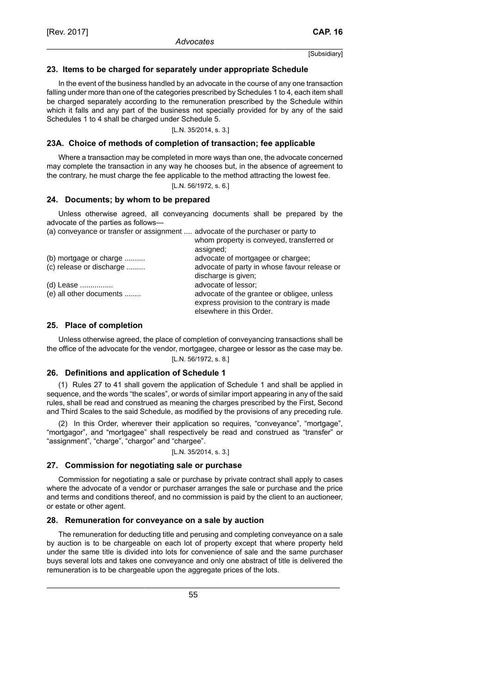### **23. Items to be charged for separately under appropriate Schedule**

In the event of the business handled by an advocate in the course of any one transaction falling under more than one of the categories prescribed by Schedules 1 to 4, each item shall be charged separately according to the remuneration prescribed by the Schedule within which it falls and any part of the business not specially provided for by any of the said Schedules 1 to 4 shall be charged under Schedule 5.

[L.N. 35/2014, s. 3.]

#### **23A. Choice of methods of completion of transaction; fee applicable**

Where a transaction may be completed in more ways than one, the advocate concerned may complete the transaction in any way he chooses but, in the absence of agreement to the contrary, he must charge the fee applicable to the method attracting the lowest fee.

[L.N. 56/1972, s. 6.]

#### **24. Documents; by whom to be prepared**

Unless otherwise agreed, all conveyancing documents shall be prepared by the advocate of the parties as follows—

| (a) conveyance or transfer or assignment  advocate of the purchaser or party to | whom property is conveyed, transferred or    |
|---------------------------------------------------------------------------------|----------------------------------------------|
|                                                                                 | assigned;                                    |
| (b) mortgage or charge                                                          | advocate of mortgagee or chargee;            |
| (c) release or discharge                                                        | advocate of party in whose favour release or |
|                                                                                 | discharge is given;                          |
| (d) Lease                                                                       | advocate of lessor;                          |
| (e) all other documents                                                         | advocate of the grantee or obligee, unless   |
|                                                                                 | express provision to the contrary is made    |
|                                                                                 | elsewhere in this Order.                     |
|                                                                                 |                                              |

### **25. Place of completion**

Unless otherwise agreed, the place of completion of conveyancing transactions shall be the office of the advocate for the vendor, mortgagee, chargee or lessor as the case may be.

[L.N. 56/1972, s. 8.]

#### **26. Definitions and application of Schedule 1**

(1) Rules 27 to 41 shall govern the application of Schedule 1 and shall be applied in sequence, and the words "the scales", or words of similar import appearing in any of the said rules, shall be read and construed as meaning the charges prescribed by the First, Second and Third Scales to the said Schedule, as modified by the provisions of any preceding rule.

(2) In this Order, wherever their application so requires, "conveyance", "mortgage", "mortgagor", and "mortgagee" shall respectively be read and construed as "transfer" or "assignment", "charge", "chargor" and "chargee".

#### [L.N. 35/2014, s. 3.]

### **27. Commission for negotiating sale or purchase**

Commission for negotiating a sale or purchase by private contract shall apply to cases where the advocate of a vendor or purchaser arranges the sale or purchase and the price and terms and conditions thereof, and no commission is paid by the client to an auctioneer, or estate or other agent.

### **28. Remuneration for conveyance on a sale by auction**

The remuneration for deducting title and perusing and completing conveyance on a sale by auction is to be chargeable on each lot of property except that where property held under the same title is divided into lots for convenience of sale and the same purchaser buys several lots and takes one conveyance and only one abstract of title is delivered the remuneration is to be chargeable upon the aggregate prices of the lots.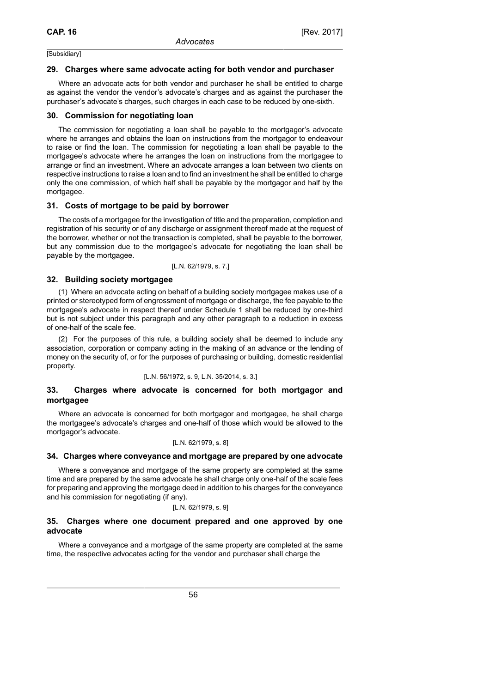### **29. Charges where same advocate acting for both vendor and purchaser**

Where an advocate acts for both vendor and purchaser he shall be entitled to charge as against the vendor the vendor's advocate's charges and as against the purchaser the purchaser's advocate's charges, such charges in each case to be reduced by one-sixth.

### **30. Commission for negotiating loan**

The commission for negotiating a loan shall be payable to the mortgagor's advocate where he arranges and obtains the loan on instructions from the mortgagor to endeavour to raise or find the loan. The commission for negotiating a loan shall be payable to the mortgagee's advocate where he arranges the loan on instructions from the mortgagee to arrange or find an investment. Where an advocate arranges a loan between two clients on respective instructions to raise a loan and to find an investment he shall be entitled to charge only the one commission, of which half shall be payable by the mortgagor and half by the mortgagee.

### **31. Costs of mortgage to be paid by borrower**

The costs of a mortgagee for the investigation of title and the preparation, completion and registration of his security or of any discharge or assignment thereof made at the request of the borrower, whether or not the transaction is completed, shall be payable to the borrower, but any commission due to the mortgagee's advocate for negotiating the loan shall be payable by the mortgagee.

[L.N. 62/1979, s. 7.]

### **32. Building society mortgagee**

(1) Where an advocate acting on behalf of a building society mortgagee makes use of a printed or stereotyped form of engrossment of mortgage or discharge, the fee payable to the mortgagee's advocate in respect thereof under Schedule 1 shall be reduced by one-third but is not subject under this paragraph and any other paragraph to a reduction in excess of one-half of the scale fee.

(2) For the purposes of this rule, a building society shall be deemed to include any association, corporation or company acting in the making of an advance or the lending of money on the security of, or for the purposes of purchasing or building, domestic residential property.

#### [L.N. 56/1972, s. 9, L.N. 35/2014, s. 3.]

### **33. Charges where advocate is concerned for both mortgagor and mortgagee**

Where an advocate is concerned for both mortgagor and mortgagee, he shall charge the mortgagee's advocate's charges and one-half of those which would be allowed to the mortgagor's advocate.

### [L.N. 62/1979, s. 8]

### **34. Charges where conveyance and mortgage are prepared by one advocate**

Where a conveyance and mortgage of the same property are completed at the same time and are prepared by the same advocate he shall charge only one-half of the scale fees for preparing and approving the mortgage deed in addition to his charges for the conveyance and his commission for negotiating (if any).

### [L.N. 62/1979, s. 9]

### **35. Charges where one document prepared and one approved by one advocate**

Where a conveyance and a mortgage of the same property are completed at the same time, the respective advocates acting for the vendor and purchaser shall charge the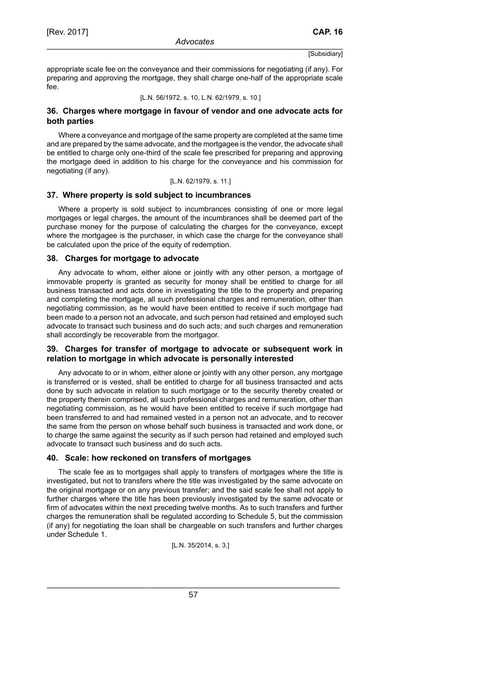appropriate scale fee on the conveyance and their commissions for negotiating (if any). For preparing and approving the mortgage, they shall charge one-half of the appropriate scale fee.

[L.N. 56/1972, s. 10, L.N. 62/1979, s. 10.]

# **36. Charges where mortgage in favour of vendor and one advocate acts for both parties**

Where a conveyance and mortgage of the same property are completed at the same time and are prepared by the same advocate, and the mortgagee is the vendor, the advocate shall be entitled to charge only one-third of the scale fee prescribed for preparing and approving the mortgage deed in addition to his charge for the conveyance and his commission for negotiating (if any).

[L.N. 62/1979, s. 11.]

# **37. Where property is sold subject to incumbrances**

Where a property is sold subject to incumbrances consisting of one or more legal mortgages or legal charges, the amount of the incumbrances shall be deemed part of the purchase money for the purpose of calculating the charges for the conveyance, except where the mortgagee is the purchaser, in which case the charge for the conveyance shall be calculated upon the price of the equity of redemption.

### **38. Charges for mortgage to advocate**

Any advocate to whom, either alone or jointly with any other person, a mortgage of immovable property is granted as security for money shall be entitled to charge for all business transacted and acts done in investigating the title to the property and preparing and completing the mortgage, all such professional charges and remuneration, other than negotiating commission, as he would have been entitled to receive if such mortgage had been made to a person not an advocate, and such person had retained and employed such advocate to transact such business and do such acts; and such charges and remuneration shall accordingly be recoverable from the mortgagor.

# **39. Charges for transfer of mortgage to advocate or subsequent work in relation to mortgage in which advocate is personally interested**

Any advocate to or in whom, either alone or jointly with any other person, any mortgage is transferred or is vested, shall be entitled to charge for all business transacted and acts done by such advocate in relation to such mortgage or to the security thereby created or the property therein comprised, all such professional charges and remuneration, other than negotiating commission, as he would have been entitled to receive if such mortgage had been transferred to and had remained vested in a person not an advocate, and to recover the same from the person on whose behalf such business is transacted and work done, or to charge the same against the security as if such person had retained and employed such advocate to transact such business and do such acts.

# **40. Scale: how reckoned on transfers of mortgages**

The scale fee as to mortgages shall apply to transfers of mortgages where the title is investigated, but not to transfers where the title was investigated by the same advocate on the original mortgage or on any previous transfer; and the said scale fee shall not apply to further charges where the title has been previously investigated by the same advocate or firm of advocates within the next preceding twelve months. As to such transfers and further charges the remuneration shall be regulated according to Schedule 5, but the commission (if any) for negotiating the loan shall be chargeable on such transfers and further charges under Schedule 1.

[L.N. 35/2014, s. 3.]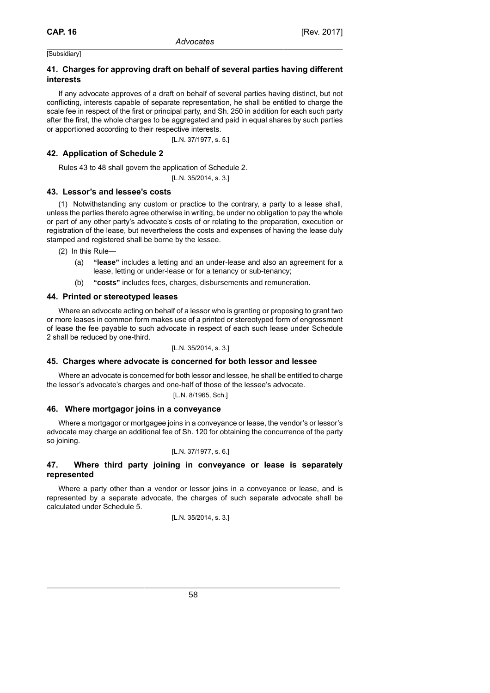# **41. Charges for approving draft on behalf of several parties having different interests**

If any advocate approves of a draft on behalf of several parties having distinct, but not conflicting, interests capable of separate representation, he shall be entitled to charge the scale fee in respect of the first or principal party, and Sh. 250 in addition for each such party after the first, the whole charges to be aggregated and paid in equal shares by such parties or apportioned according to their respective interests.

[L.N. 37/1977, s. 5.]

### **42. Application of Schedule 2**

Rules 43 to 48 shall govern the application of Schedule 2.

[L.N. 35/2014, s. 3.]

### **43. Lessor's and lessee's costs**

(1) Notwithstanding any custom or practice to the contrary, a party to a lease shall, unless the parties thereto agree otherwise in writing, be under no obligation to pay the whole or part of any other party's advocate's costs of or relating to the preparation, execution or registration of the lease, but nevertheless the costs and expenses of having the lease duly stamped and registered shall be borne by the lessee.

(2) In this Rule—

- (a) **"lease"** includes a letting and an under-lease and also an agreement for a lease, letting or under-lease or for a tenancy or sub-tenancy;
- (b) **"costs"** includes fees, charges, disbursements and remuneration.

### **44. Printed or stereotyped leases**

Where an advocate acting on behalf of a lessor who is granting or proposing to grant two or more leases in common form makes use of a printed or stereotyped form of engrossment of lease the fee payable to such advocate in respect of each such lease under Schedule 2 shall be reduced by one-third.

[L.N. 35/2014, s. 3.]

### **45. Charges where advocate is concerned for both lessor and lessee**

Where an advocate is concerned for both lessor and lessee, he shall be entitled to charge the lessor's advocate's charges and one-half of those of the lessee's advocate.

[L.N. 8/1965, Sch.]

### **46. Where mortgagor joins in a conveyance**

Where a mortgagor or mortgagee joins in a conveyance or lease, the vendor's or lessor's advocate may charge an additional fee of Sh. 120 for obtaining the concurrence of the party so joining.

### [L.N. 37/1977, s. 6.]

### **47. Where third party joining in conveyance or lease is separately represented**

Where a party other than a vendor or lessor joins in a conveyance or lease, and is represented by a separate advocate, the charges of such separate advocate shall be calculated under Schedule 5.

$$
[L.N. 35/2014, s. 3.]
$$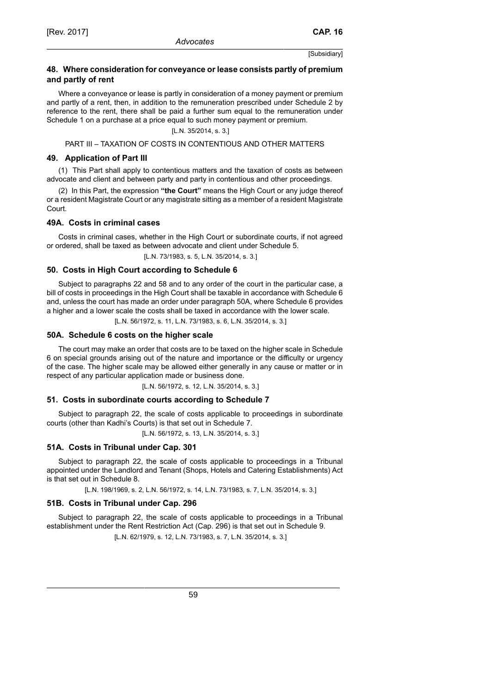### **48. Where consideration for conveyance or lease consists partly of premium and partly of rent**

Where a conveyance or lease is partly in consideration of a money payment or premium and partly of a rent, then, in addition to the remuneration prescribed under Schedule 2 by reference to the rent, there shall be paid a further sum equal to the remuneration under Schedule 1 on a purchase at a price equal to such money payment or premium.

[L.N. 35/2014, s. 3.]

PART III – TAXATION OF COSTS IN CONTENTIOUS AND OTHER MATTERS

### **49. Application of Part III**

(1) This Part shall apply to contentious matters and the taxation of costs as between advocate and client and between party and party in contentious and other proceedings.

(2) In this Part, the expression **"the Court"** means the High Court or any judge thereof or a resident Magistrate Court or any magistrate sitting as a member of a resident Magistrate Court.

### **49A. Costs in criminal cases**

Costs in criminal cases, whether in the High Court or subordinate courts, if not agreed or ordered, shall be taxed as between advocate and client under Schedule 5.

[L.N. 73/1983, s. 5, L.N. 35/2014, s. 3.]

### **50. Costs in High Court according to Schedule 6**

Subject to paragraphs 22 and 58 and to any order of the court in the particular case, a bill of costs in proceedings in the High Court shall be taxable in accordance with Schedule 6 and, unless the court has made an order under paragraph 50A, where Schedule 6 provides a higher and a lower scale the costs shall be taxed in accordance with the lower scale.

[L.N. 56/1972, s. 11, L.N. 73/1983, s. 6, L.N. 35/2014, s. 3.]

### **50A. Schedule 6 costs on the higher scale**

The court may make an order that costs are to be taxed on the higher scale in Schedule 6 on special grounds arising out of the nature and importance or the difficulty or urgency of the case. The higher scale may be allowed either generally in any cause or matter or in respect of any particular application made or business done.

[L.N. 56/1972, s. 12, L.N. 35/2014, s. 3.]

### **51. Costs in subordinate courts according to Schedule 7**

Subject to paragraph 22, the scale of costs applicable to proceedings in subordinate courts (other than Kadhi's Courts) is that set out in Schedule 7.

[L.N. 56/1972, s. 13, L.N. 35/2014, s. 3.]

### **51A. Costs in Tribunal under Cap. 301**

Subject to paragraph 22, the scale of costs applicable to proceedings in a Tribunal appointed under the Landlord and Tenant (Shops, Hotels and Catering Establishments) Act is that set out in Schedule 8.

[L.N. 198/1969, s. 2, L.N. 56/1972, s. 14, L.N. 73/1983, s. 7, L.N. 35/2014, s. 3.]

### **51B. Costs in Tribunal under Cap. 296**

Subject to paragraph 22, the scale of costs applicable to proceedings in a Tribunal establishment under the Rent Restriction Act (Cap. 296) is that set out in Schedule 9.

[L.N. 62/1979, s. 12, L.N. 73/1983, s. 7, L.N. 35/2014, s. 3.]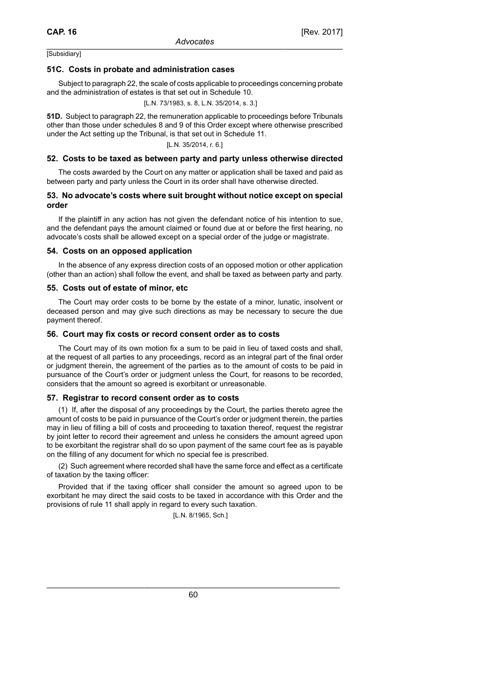### **51C. Costs in probate and administration cases**

Subject to paragraph 22, the scale of costs applicable to proceedings concerning probate and the administration of estates is that set out in Schedule 10.

[L.N. 73/1983, s. 8, L.N. 35/2014, s. 3.]

**51D.** Subject to paragraph 22, the remuneration applicable to proceedings before Tribunals other than those under schedules 8 and 9 of this Order except where otherwise prescribed under the Act setting up the Tribunal, is that set out in Schedule 11.

[L.N. 35/2014, r. 6.]

### **52. Costs to be taxed as between party and party unless otherwise directed**

The costs awarded by the Court on any matter or application shall be taxed and paid as between party and party unless the Court in its order shall have otherwise directed.

### **53. No advocate's costs where suit brought without notice except on special order**

If the plaintiff in any action has not given the defendant notice of his intention to sue, and the defendant pays the amount claimed or found due at or before the first hearing, no advocate's costs shall be allowed except on a special order of the judge or magistrate.

### **54. Costs on an opposed application**

In the absence of any express direction costs of an opposed motion or other application (other than an action) shall follow the event, and shall be taxed as between party and party.

### **55. Costs out of estate of minor, etc**

The Court may order costs to be borne by the estate of a minor, lunatic, insolvent or deceased person and may give such directions as may be necessary to secure the due payment thereof.

### **56. Court may fix costs or record consent order as to costs**

The Court may of its own motion fix a sum to be paid in lieu of taxed costs and shall, at the request of all parties to any proceedings, record as an integral part of the final order or judgment therein, the agreement of the parties as to the amount of costs to be paid in pursuance of the Court's order or judgment unless the Court, for reasons to be recorded, considers that the amount so agreed is exorbitant or unreasonable.

### **57. Registrar to record consent order as to costs**

(1) If, after the disposal of any proceedings by the Court, the parties thereto agree the amount of costs to be paid in pursuance of the Court's order or judgment therein, the parties may in lieu of filling a bill of costs and proceeding to taxation thereof, request the registrar by joint letter to record their agreement and unless he considers the amount agreed upon to be exorbitant the registrar shall do so upon payment of the same court fee as is payable on the filling of any document for which no special fee is prescribed.

(2) Such agreement where recorded shall have the same force and effect as a certificate of taxation by the taxing officer:

Provided that if the taxing officer shall consider the amount so agreed upon to be exorbitant he may direct the said costs to be taxed in accordance with this Order and the provisions of rule 11 shall apply in regard to every such taxation.

[L.N. 8/1965, Sch.]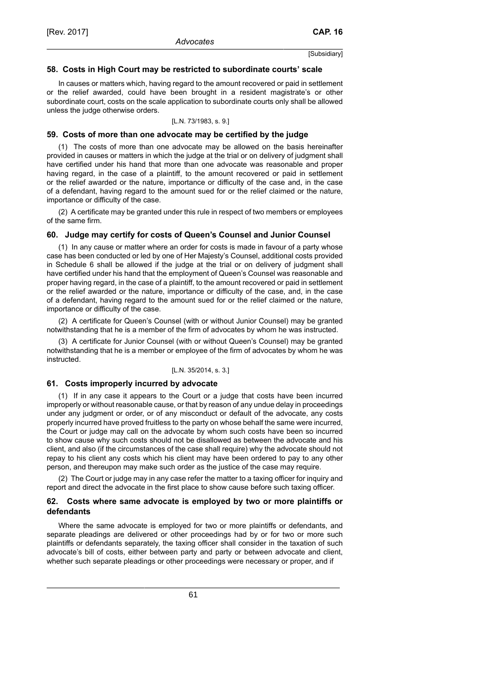### **58. Costs in High Court may be restricted to subordinate courts' scale**

In causes or matters which, having regard to the amount recovered or paid in settlement or the relief awarded, could have been brought in a resident magistrate's or other subordinate court, costs on the scale application to subordinate courts only shall be allowed unless the judge otherwise orders.

### [L.N. 73/1983, s. 9.]

#### **59. Costs of more than one advocate may be certified by the judge**

(1) The costs of more than one advocate may be allowed on the basis hereinafter provided in causes or matters in which the judge at the trial or on delivery of judgment shall have certified under his hand that more than one advocate was reasonable and proper having regard, in the case of a plaintiff, to the amount recovered or paid in settlement or the relief awarded or the nature, importance or difficulty of the case and, in the case of a defendant, having regard to the amount sued for or the relief claimed or the nature, importance or difficulty of the case.

(2) A certificate may be granted under this rule in respect of two members or employees of the same firm.

#### **60. Judge may certify for costs of Queen's Counsel and Junior Counsel**

(1) In any cause or matter where an order for costs is made in favour of a party whose case has been conducted or led by one of Her Majesty's Counsel, additional costs provided in Schedule 6 shall be allowed if the judge at the trial or on delivery of judgment shall have certified under his hand that the employment of Queen's Counsel was reasonable and proper having regard, in the case of a plaintiff, to the amount recovered or paid in settlement or the relief awarded or the nature, importance or difficulty of the case, and, in the case of a defendant, having regard to the amount sued for or the relief claimed or the nature, importance or difficulty of the case.

(2) A certificate for Queen's Counsel (with or without Junior Counsel) may be granted notwithstanding that he is a member of the firm of advocates by whom he was instructed.

(3) A certificate for Junior Counsel (with or without Queen's Counsel) may be granted notwithstanding that he is a member or employee of the firm of advocates by whom he was instructed.

#### [L.N. 35/2014, s. 3.]

### **61. Costs improperly incurred by advocate**

(1) If in any case it appears to the Court or a judge that costs have been incurred improperly or without reasonable cause, or that by reason of any undue delay in proceedings under any judgment or order, or of any misconduct or default of the advocate, any costs properly incurred have proved fruitless to the party on whose behalf the same were incurred, the Court or judge may call on the advocate by whom such costs have been so incurred to show cause why such costs should not be disallowed as between the advocate and his client, and also (if the circumstances of the case shall require) why the advocate should not repay to his client any costs which his client may have been ordered to pay to any other person, and thereupon may make such order as the justice of the case may require.

(2) The Court or judge may in any case refer the matter to a taxing officer for inquiry and report and direct the advocate in the first place to show cause before such taxing officer.

### **62. Costs where same advocate is employed by two or more plaintiffs or defendants**

Where the same advocate is employed for two or more plaintiffs or defendants, and separate pleadings are delivered or other proceedings had by or for two or more such plaintiffs or defendants separately, the taxing officer shall consider in the taxation of such advocate's bill of costs, either between party and party or between advocate and client, whether such separate pleadings or other proceedings were necessary or proper, and if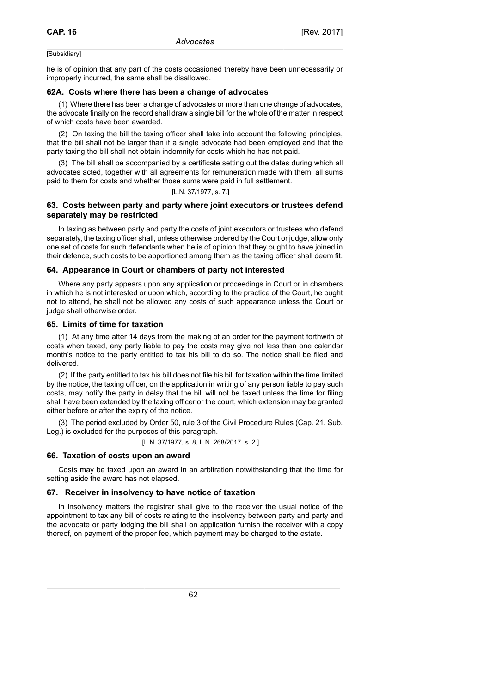he is of opinion that any part of the costs occasioned thereby have been unnecessarily or improperly incurred, the same shall be disallowed.

### **62A. Costs where there has been a change of advocates**

(1) Where there has been a change of advocates or more than one change of advocates, the advocate finally on the record shall draw a single bill for the whole of the matter in respect of which costs have been awarded.

(2) On taxing the bill the taxing officer shall take into account the following principles, that the bill shall not be larger than if a single advocate had been employed and that the party taxing the bill shall not obtain indemnity for costs which he has not paid.

(3) The bill shall be accompanied by a certificate setting out the dates during which all advocates acted, together with all agreements for remuneration made with them, all sums paid to them for costs and whether those sums were paid in full settlement.

#### [L.N. 37/1977, s. 7.]

### **63. Costs between party and party where joint executors or trustees defend separately may be restricted**

In taxing as between party and party the costs of joint executors or trustees who defend separately, the taxing officer shall, unless otherwise ordered by the Court or judge, allow only one set of costs for such defendants when he is of opinion that they ought to have joined in their defence, such costs to be apportioned among them as the taxing officer shall deem fit.

### **64. Appearance in Court or chambers of party not interested**

Where any party appears upon any application or proceedings in Court or in chambers in which he is not interested or upon which, according to the practice of the Court, he ought not to attend, he shall not be allowed any costs of such appearance unless the Court or judge shall otherwise order.

### **65. Limits of time for taxation**

(1) At any time after 14 days from the making of an order for the payment forthwith of costs when taxed, any party liable to pay the costs may give not less than one calendar month's notice to the party entitled to tax his bill to do so. The notice shall be filed and delivered.

(2) If the party entitled to tax his bill does not file his bill for taxation within the time limited by the notice, the taxing officer, on the application in writing of any person liable to pay such costs, may notify the party in delay that the bill will not be taxed unless the time for filing shall have been extended by the taxing officer or the court, which extension may be granted either before or after the expiry of the notice.

(3) The period excluded by Order 50, rule 3 of the Civil Procedure Rules (Cap. 21, Sub. Leg.) is excluded for the purposes of this paragraph.

[L.N. 37/1977, s. 8, L.N. 268/2017, s. 2.]

### **66. Taxation of costs upon an award**

Costs may be taxed upon an award in an arbitration notwithstanding that the time for setting aside the award has not elapsed.

### **67. Receiver in insolvency to have notice of taxation**

In insolvency matters the registrar shall give to the receiver the usual notice of the appointment to tax any bill of costs relating to the insolvency between party and party and the advocate or party lodging the bill shall on application furnish the receiver with a copy thereof, on payment of the proper fee, which payment may be charged to the estate.

62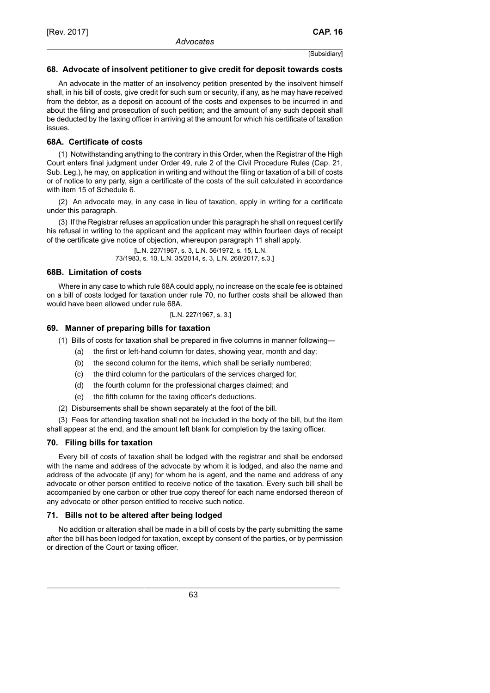### **68. Advocate of insolvent petitioner to give credit for deposit towards costs**

An advocate in the matter of an insolvency petition presented by the insolvent himself shall, in his bill of costs, give credit for such sum or security, if any, as he may have received from the debtor, as a deposit on account of the costs and expenses to be incurred in and about the filing and prosecution of such petition; and the amount of any such deposit shall be deducted by the taxing officer in arriving at the amount for which his certificate of taxation issues.

### **68A. Certificate of costs**

(1) Notwithstanding anything to the contrary in this Order, when the Registrar of the High Court enters final judgment under Order 49, rule 2 of the Civil Procedure Rules (Cap. 21, Sub. Leg.), he may, on application in writing and without the filing or taxation of a bill of costs or of notice to any party, sign a certificate of the costs of the suit calculated in accordance with item 15 of Schedule 6.

(2) An advocate may, in any case in lieu of taxation, apply in writing for a certificate under this paragraph.

(3) If the Registrar refuses an application under this paragraph he shall on request certify his refusal in writing to the applicant and the applicant may within fourteen days of receipt of the certificate give notice of objection, whereupon paragraph 11 shall apply.

> [L.N. 227/1967, s. 3, L.N. 56/1972, s. 15, L.N. 73/1983, s. 10, L.N. 35/2014, s. 3, L.N. 268/2017, s.3.]

### **68B. Limitation of costs**

Where in any case to which rule 68A could apply, no increase on the scale fee is obtained on a bill of costs lodged for taxation under rule 70, no further costs shall be allowed than would have been allowed under rule 68A.

[L.N. 227/1967, s. 3.]

# **69. Manner of preparing bills for taxation**

- (1) Bills of costs for taxation shall be prepared in five columns in manner following—
	- (a) the first or left-hand column for dates, showing year, month and day;
	- (b) the second column for the items, which shall be serially numbered;
	- (c) the third column for the particulars of the services charged for;
	- (d) the fourth column for the professional charges claimed; and
	- (e) the fifth column for the taxing officer's deductions.
- (2) Disbursements shall be shown separately at the foot of the bill.

(3) Fees for attending taxation shall not be included in the body of the bill, but the item shall appear at the end, and the amount left blank for completion by the taxing officer.

### **70. Filing bills for taxation**

Every bill of costs of taxation shall be lodged with the registrar and shall be endorsed with the name and address of the advocate by whom it is lodged, and also the name and address of the advocate (if any) for whom he is agent, and the name and address of any advocate or other person entitled to receive notice of the taxation. Every such bill shall be accompanied by one carbon or other true copy thereof for each name endorsed thereon of any advocate or other person entitled to receive such notice.

### **71. Bills not to be altered after being lodged**

No addition or alteration shall be made in a bill of costs by the party submitting the same after the bill has been lodged for taxation, except by consent of the parties, or by permission or direction of the Court or taxing officer.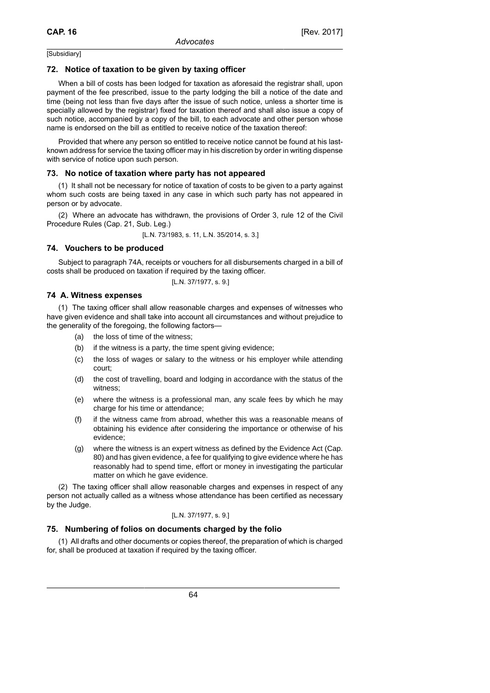# **72. Notice of taxation to be given by taxing officer**

When a bill of costs has been lodged for taxation as aforesaid the registrar shall, upon payment of the fee prescribed, issue to the party lodging the bill a notice of the date and time (being not less than five days after the issue of such notice, unless a shorter time is specially allowed by the registrar) fixed for taxation thereof and shall also issue a copy of such notice, accompanied by a copy of the bill, to each advocate and other person whose name is endorsed on the bill as entitled to receive notice of the taxation thereof:

Provided that where any person so entitled to receive notice cannot be found at his lastknown address for service the taxing officer may in his discretion by order in writing dispense with service of notice upon such person.

# **73. No notice of taxation where party has not appeared**

(1) It shall not be necessary for notice of taxation of costs to be given to a party against whom such costs are being taxed in any case in which such party has not appeared in person or by advocate.

(2) Where an advocate has withdrawn, the provisions of Order 3, rule 12 of the Civil Procedure Rules (Cap. 21, Sub. Leg.)

[L.N. 73/1983, s. 11, L.N. 35/2014, s. 3.]

# **74. Vouchers to be produced**

Subject to paragraph 74A, receipts or vouchers for all disbursements charged in a bill of costs shall be produced on taxation if required by the taxing officer.

$$
[L.N.\;37/1977,\,s.\;9.]
$$

# **74 A. Witness expenses**

(1) The taxing officer shall allow reasonable charges and expenses of witnesses who have given evidence and shall take into account all circumstances and without prejudice to the generality of the foregoing, the following factors—

- (a) the loss of time of the witness;
- (b) if the witness is a party, the time spent giving evidence;
- (c) the loss of wages or salary to the witness or his employer while attending court;
- (d) the cost of travelling, board and lodging in accordance with the status of the witness;
- (e) where the witness is a professional man, any scale fees by which he may charge for his time or attendance;
- (f) if the witness came from abroad, whether this was a reasonable means of obtaining his evidence after considering the importance or otherwise of his evidence;
- (g) where the witness is an expert witness as defined by the Evidence Act (Cap. 80) and has given evidence, a fee for qualifying to give evidence where he has reasonably had to spend time, effort or money in investigating the particular matter on which he gave evidence.

(2) The taxing officer shall allow reasonable charges and expenses in respect of any person not actually called as a witness whose attendance has been certified as necessary by the Judge.

### [L.N. 37/1977, s. 9.]

# **75. Numbering of folios on documents charged by the folio**

(1) All drafts and other documents or copies thereof, the preparation of which is charged for, shall be produced at taxation if required by the taxing officer.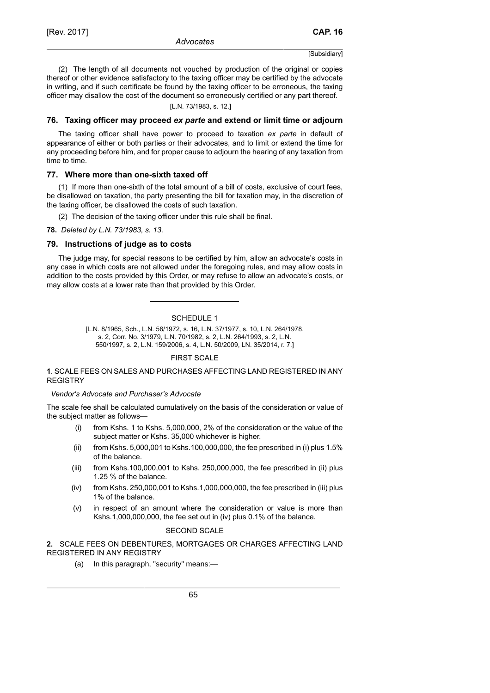(2) The length of all documents not vouched by production of the original or copies thereof or other evidence satisfactory to the taxing officer may be certified by the advocate in writing, and if such certificate be found by the taxing officer to be erroneous, the taxing officer may disallow the cost of the document so erroneously certified or any part thereof.

### [L.N. 73/1983, s. 12.]

### **76. Taxing officer may proceed** *ex parte* **and extend or limit time or adjourn**

The taxing officer shall have power to proceed to taxation *ex parte* in default of appearance of either or both parties or their advocates, and to limit or extend the time for any proceeding before him, and for proper cause to adjourn the hearing of any taxation from time to time.

### **77. Where more than one-sixth taxed off**

(1) If more than one-sixth of the total amount of a bill of costs, exclusive of court fees, be disallowed on taxation, the party presenting the bill for taxation may, in the discretion of the taxing officer, be disallowed the costs of such taxation.

(2) The decision of the taxing officer under this rule shall be final.

**78.** *Deleted by L.N. 73/1983, s. 13*.

### **79. Instructions of judge as to costs**

The judge may, for special reasons to be certified by him, allow an advocate's costs in any case in which costs are not allowed under the foregoing rules, and may allow costs in addition to the costs provided by this Order, or may refuse to allow an advocate's costs, or may allow costs at a lower rate than that provided by this Order.

SCHEDULE 1

[L.N. 8/1965, Sch., L.N. 56/1972, s. 16, L.N. 37/1977, s. 10, L.N. 264/1978, s. 2, Corr. No. 3/1979, L.N. 70/1982, s. 2, L.N. 264/1993, s. 2, L.N. 550/1997, s. 2, L.N. 159/2006, s. 4, L.N. 50/2009, LN. 35/2014, r. 7.]

### FIRST SCALE

### **1**. SCALE FEES ON SALES AND PURCHASES AFFECTING LAND REGISTERED IN ANY **REGISTRY**

### *Vendor's Advocate and Purchaser's Advocate*

The scale fee shall be calculated cumulatively on the basis of the consideration or value of the subject matter as follows—

- (i) from Kshs. 1 to Kshs. 5,000,000, 2% of the consideration or the value of the subject matter or Kshs. 35,000 whichever is higher.
- (ii) from Kshs. 5,000,001 to Kshs.100,000,000, the fee prescribed in (i) plus 1.5% of the balance.
- (iii) from Kshs.100,000,001 to Kshs. 250,000,000, the fee prescribed in (ii) plus 1.25 % of the balance.
- (iv) from Kshs. 250,000,001 to Kshs.1,000,000,000, the fee prescribed in (iii) plus 1% of the balance.
- (v) in respect of an amount where the consideration or value is more than Kshs.1,000,000,000, the fee set out in (iv) plus 0.1% of the balance.

### SECOND SCALE

# **2.** SCALE FEES ON DEBENTURES, MORTGAGES OR CHARGES AFFECTING LAND REGISTERED IN ANY REGISTRY

(a) In this paragraph, "security" means:—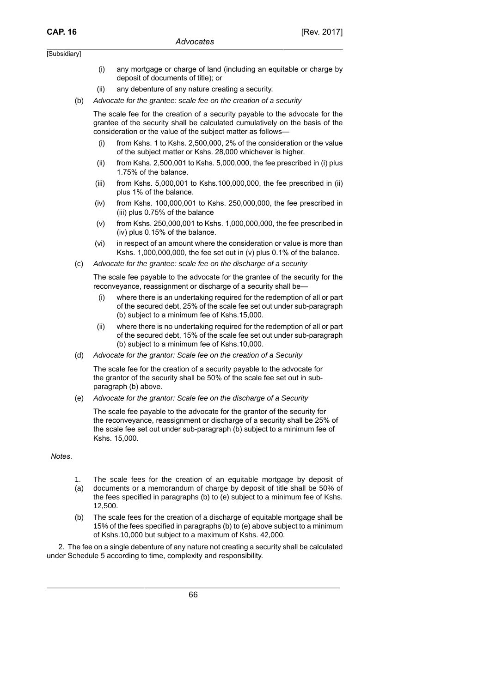- (i) any mortgage or charge of land (including an equitable or charge by deposit of documents of title); or
- (ii) any debenture of any nature creating a security.
- (b) Advocate for the grantee: scale fee on the creation of a security

The scale fee for the creation of a security payable to the advocate for the grantee of the security shall be calculated cumulatively on the basis of the consideration or the value of the subject matter as follows—

- (i) from Kshs. 1 to Kshs. 2,500,000, 2% of the consideration or the value of the subject matter or Kshs. 28,000 whichever is higher.
- (ii) from Kshs. 2,500,001 to Kshs. 5,000,000, the fee prescribed in (i) plus 1.75% of the balance.
- (iii) from Kshs. 5,000,001 to Kshs.100,000,000, the fee prescribed in (ii) plus 1% of the balance.
- (iv) from Kshs. 100,000,001 to Kshs. 250,000,000, the fee prescribed in (iii) plus 0.75% of the balance
- (v) from Kshs. 250,000,001 to Kshs. 1,000,000,000, the fee prescribed in (iv) plus 0.15% of the balance.
- (vi) in respect of an amount where the consideration or value is more than Kshs. 1,000,000,000, the fee set out in (v) plus 0.1% of the balance.
- (c) Advocate for the grantee: scale fee on the discharge of a security

The scale fee payable to the advocate for the grantee of the security for the reconveyance, reassignment or discharge of a security shall be—

- (i) where there is an undertaking required for the redemption of all or part of the secured debt, 25% of the scale fee set out under sub-paragraph (b) subject to a minimum fee of Kshs.15,000.
- (ii) where there is no undertaking required for the redemption of all or part of the secured debt, 15% of the scale fee set out under sub-paragraph (b) subject to a minimum fee of Kshs.10,000.
- (d) Advocate for the grantor: Scale fee on the creation of a Security

The scale fee for the creation of a security payable to the advocate for the grantor of the security shall be 50% of the scale fee set out in subparagraph (b) above.

(e) Advocate for the grantor: Scale fee on the discharge of a Security

The scale fee payable to the advocate for the grantor of the security for the reconveyance, reassignment or discharge of a security shall be 25% of the scale fee set out under sub-paragraph (b) subject to a minimum fee of Kshs. 15,000.

*Notes*.

- 1. The scale fees for the creation of an equitable mortgage by deposit of
- (a) documents or a memorandum of charge by deposit of title shall be 50% of the fees specified in paragraphs (b) to (e) subject to a minimum fee of Kshs. 12,500.
- (b) The scale fees for the creation of a discharge of equitable mortgage shall be 15% of the fees specified in paragraphs (b) to (e) above subject to a minimum of Kshs.10,000 but subject to a maximum of Kshs. 42,000.

2. The fee on a single debenture of any nature not creating a security shall be calculated under Schedule 5 according to time, complexity and responsibility.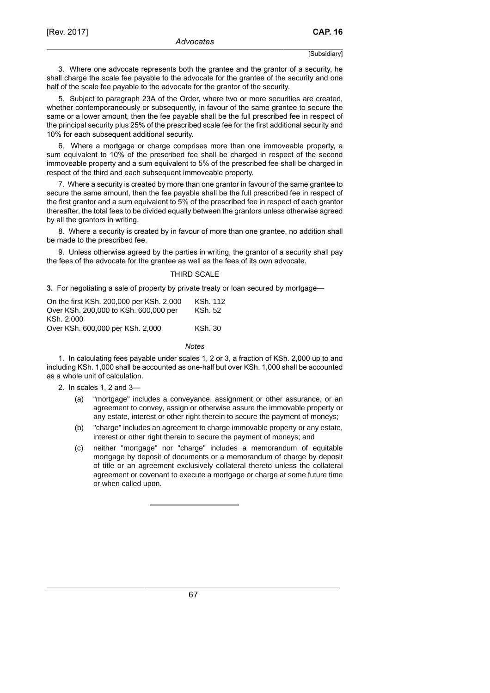3. Where one advocate represents both the grantee and the grantor of a security, he shall charge the scale fee payable to the advocate for the grantee of the security and one half of the scale fee payable to the advocate for the grantor of the security.

5. Subject to paragraph 23A of the Order, where two or more securities are created, whether contemporaneously or subsequently, in favour of the same grantee to secure the same or a lower amount, then the fee payable shall be the full prescribed fee in respect of the principal security plus 25% of the prescribed scale fee for the first additional security and 10% for each subsequent additional security.

6. Where a mortgage or charge comprises more than one immoveable property, a sum equivalent to 10% of the prescribed fee shall be charged in respect of the second immoveable property and a sum equivalent to 5% of the prescribed fee shall be charged in respect of the third and each subsequent immoveable property.

7. Where a security is created by more than one grantor in favour of the same grantee to secure the same amount, then the fee payable shall be the full prescribed fee in respect of the first grantor and a sum equivalent to 5% of the prescribed fee in respect of each grantor thereafter, the total fees to be divided equally between the grantors unless otherwise agreed by all the grantors in writing.

8. Where a security is created by in favour of more than one grantee, no addition shall be made to the prescribed fee.

9. Unless otherwise agreed by the parties in writing, the grantor of a security shall pay the fees of the advocate for the grantee as well as the fees of its own advocate.

#### THIRD SCALE

**3.** For negotiating a sale of property by private treaty or loan secured by mortgage—

| KSh. 112 |
|----------|
| KSh. 52  |
|          |
| KSh. 30  |
|          |

#### *Notes*

1. In calculating fees payable under scales 1, 2 or 3, a fraction of KSh. 2,000 up to and including KSh. 1,000 shall be accounted as one-half but over KSh. 1,000 shall be accounted as a whole unit of calculation.

2. In scales 1, 2 and 3—

- (a) "mortgage" includes a conveyance, assignment or other assurance, or an agreement to convey, assign or otherwise assure the immovable property or any estate, interest or other right therein to secure the payment of moneys;
- (b) "charge" includes an agreement to charge immovable property or any estate, interest or other right therein to secure the payment of moneys; and
- (c) neither "mortgage" nor "charge" includes a memorandum of equitable mortgage by deposit of documents or a memorandum of charge by deposit of title or an agreement exclusively collateral thereto unless the collateral agreement or covenant to execute a mortgage or charge at some future time or when called upon.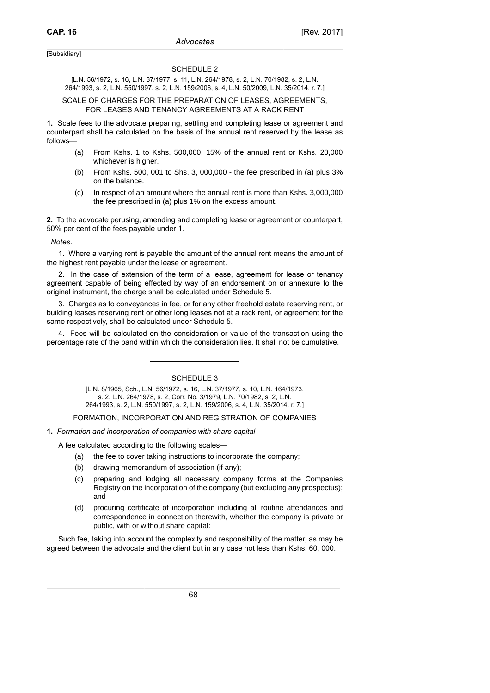#### SCHEDULE 2

[L.N. 56/1972, s. 16, L.N. 37/1977, s. 11, L.N. 264/1978, s. 2, L.N. 70/1982, s. 2, L.N. 264/1993, s. 2, L.N. 550/1997, s. 2, L.N. 159/2006, s. 4, L.N. 50/2009, L.N. 35/2014, r. 7.]

#### SCALE OF CHARGES FOR THE PREPARATION OF LEASES, AGREEMENTS, FOR LEASES AND TENANCY AGREEMENTS AT A RACK RENT

**1.** Scale fees to the advocate preparing, settling and completing lease or agreement and counterpart shall be calculated on the basis of the annual rent reserved by the lease as follows—

- (a) From Kshs. 1 to Kshs. 500,000, 15% of the annual rent or Kshs. 20,000 whichever is higher.
- (b) From Kshs. 500, 001 to Shs. 3, 000,000 the fee prescribed in (a) plus 3% on the balance.
- (c) In respect of an amount where the annual rent is more than Kshs. 3,000,000 the fee prescribed in (a) plus 1% on the excess amount.

**2.** To the advocate perusing, amending and completing lease or agreement or counterpart, 50% per cent of the fees payable under 1.

*Notes*.

1. Where a varying rent is payable the amount of the annual rent means the amount of the highest rent payable under the lease or agreement.

2. In the case of extension of the term of a lease, agreement for lease or tenancy agreement capable of being effected by way of an endorsement on or annexure to the original instrument, the charge shall be calculated under Schedule 5.

3. Charges as to conveyances in fee, or for any other freehold estate reserving rent, or building leases reserving rent or other long leases not at a rack rent, or agreement for the same respectively, shall be calculated under Schedule 5.

4. Fees will be calculated on the consideration or value of the transaction using the percentage rate of the band within which the consideration lies. It shall not be cumulative.

### SCHEDULE 3

[L.N. 8/1965, Sch., L.N. 56/1972, s. 16, L.N. 37/1977, s. 10, L.N. 164/1973, s. 2, L.N. 264/1978, s. 2, Corr. No. 3/1979, L.N. 70/1982, s. 2, L.N. 264/1993, s. 2, L.N. 550/1997, s. 2, L.N. 159/2006, s. 4, L.N. 35/2014, r. 7.]

FORMATION, INCORPORATION AND REGISTRATION OF COMPANIES

**1.** *Formation and incorporation of companies with share capital*

A fee calculated according to the following scales—

- (a) the fee to cover taking instructions to incorporate the company;
- (b) drawing memorandum of association (if any);
- (c) preparing and lodging all necessary company forms at the Companies Registry on the incorporation of the company (but excluding any prospectus); and
- (d) procuring certificate of incorporation including all routine attendances and correspondence in connection therewith, whether the company is private or public, with or without share capital:

Such fee, taking into account the complexity and responsibility of the matter, as may be agreed between the advocate and the client but in any case not less than Kshs. 60, 000.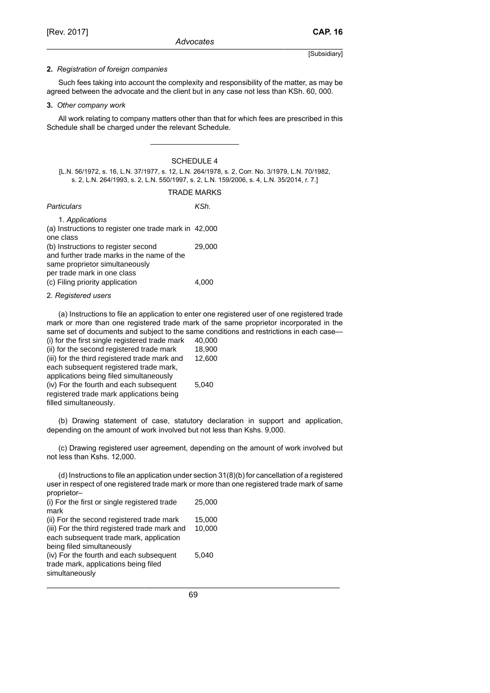#### **2.** *Registration of foreign companies*

Such fees taking into account the complexity and responsibility of the matter, as may be agreed between the advocate and the client but in any case not less than KSh. 60, 000.

#### **3.** *Other company work*

All work relating to company matters other than that for which fees are prescribed in this Schedule shall be charged under the relevant Schedule.

### SCHEDULE 4

[L.N. 56/1972, s. 16, L.N. 37/1977, s. 12, L.N. 264/1978, s. 2, Corr. No. 3/1979, L.N. 70/1982, s. 2, L.N. 264/1993, s. 2, L.N. 550/1997, s. 2, L.N. 159/2006, s. 4, L.N. 35/2014, r. 7.]

| Particulars                                                                                                         | KSh.   |
|---------------------------------------------------------------------------------------------------------------------|--------|
| 1. Applications<br>(a) Instructions to register one trade mark in 42,000<br>one class                               |        |
| (b) Instructions to register second<br>and further trade marks in the name of the<br>same proprietor simultaneously | 29,000 |
| per trade mark in one class<br>(c) Filing priority application                                                      | 4.000  |

### 2. *Registered users*

(a) Instructions to file an application to enter one registered user of one registered trade mark or more than one registered trade mark of the same proprietor incorporated in the same set of documents and subject to the same conditions and restrictions in each case— (i) for the first single registered trade mark  $40,000$ (ii) for the second registered trade mark 18,900 (iii) for the third registered trade mark and each subsequent registered trade mark, applications being filed simultaneously 12,600 (iv) For the fourth and each subsequent registered trade mark applications being 5,040

filled simultaneously.

(b) Drawing statement of case, statutory declaration in support and application, depending on the amount of work involved but not less than Kshs. 9,000.

(c) Drawing registered user agreement, depending on the amount of work involved but not less than Kshs. 12,000.

(d) Instructions to file an application under section 31(8)(b) for cancellation of a registered user in respect of one registered trade mark or more than one registered trade mark of same proprietor–

| (i) For the first or single registered trade                                               | 25,000           |
|--------------------------------------------------------------------------------------------|------------------|
| mark                                                                                       |                  |
| (ii) For the second registered trade mark<br>(iii) For the third registered trade mark and | 15,000<br>10.000 |
| each subsequent trade mark, application<br>being filed simultaneously                      |                  |
| (iv) For the fourth and each subsequent<br>trade mark, applications being filed            | 5.040            |
| simultaneously                                                                             |                  |
|                                                                                            |                  |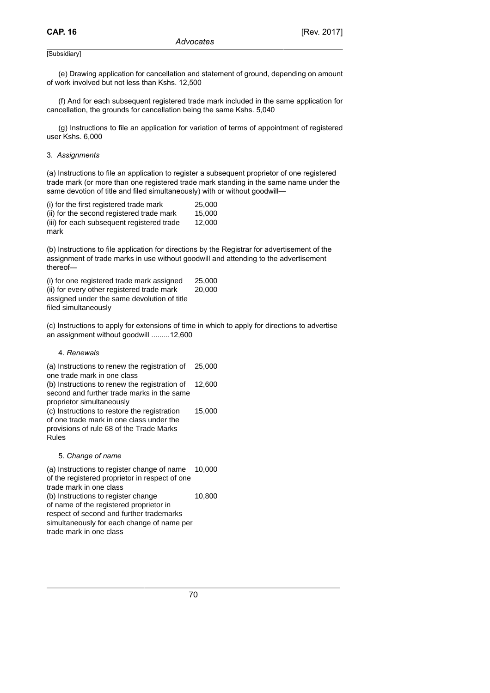(e) Drawing application for cancellation and statement of ground, depending on amount of work involved but not less than Kshs. 12,500

(f) And for each subsequent registered trade mark included in the same application for cancellation, the grounds for cancellation being the same Kshs. 5,040

(g) Instructions to file an application for variation of terms of appointment of registered user Kshs. 6,000

#### 3. *Assignments*

(a) Instructions to file an application to register a subsequent proprietor of one registered trade mark (or more than one registered trade mark standing in the same name under the same devotion of title and filed simultaneously) with or without goodwill-

| (i) for the first registered trade mark    | 25,000 |
|--------------------------------------------|--------|
| (ii) for the second registered trade mark  | 15.000 |
| (iii) for each subsequent registered trade | 12.000 |
| mark                                       |        |

(b) Instructions to file application for directions by the Registrar for advertisement of the assignment of trade marks in use without goodwill and attending to the advertisement thereof—

| (i) for one registered trade mark assigned                          | 25,000 |
|---------------------------------------------------------------------|--------|
| (ii) for every other registered trade mark                          | 20,000 |
| assigned under the same devolution of title<br>filed simultaneously |        |

(c) Instructions to apply for extensions of time in which to apply for directions to advertise an assignment without goodwill .........12,600

### 4. *Renewals*

(a) Instructions to renew the registration of one trade mark in one class 25,000 (b) Instructions to renew the registration of second and further trade marks in the same proprietor simultaneously 12,600 (c) Instructions to restore the registration of one trade mark in one class under the provisions of rule 68 of the Trade Marks Rules 15,000

#### 5. *Change of name*

(a) Instructions to register change of name of the registered proprietor in respect of one trade mark in one class 10,000 (b) Instructions to register change of name of the registered proprietor in respect of second and further trademarks simultaneously for each change of name per trade mark in one class 10,800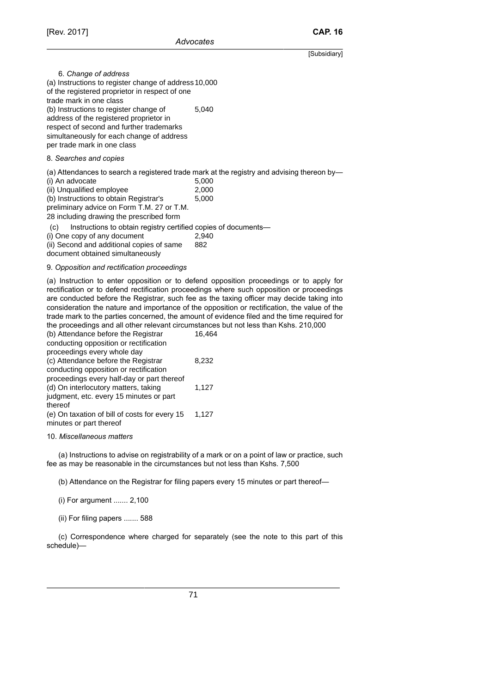6. *Change of address* (a) Instructions to register change of address 10,000 of the registered proprietor in respect of one trade mark in one class (b) Instructions to register change of address of the registered proprietor in respect of second and further trademarks simultaneously for each change of address per trade mark in one class 5,040

#### 8. *Searches and copies*

(a) Attendances to search a registered trade mark at the registry and advising thereon by—

| (i) An advocate                                                       | 5,000 |
|-----------------------------------------------------------------------|-------|
| (ii) Unqualified employee                                             | 2,000 |
| (b) Instructions to obtain Registrar's                                | 5,000 |
| preliminary advice on Form T.M. 27 or T.M.                            |       |
| 28 including drawing the prescribed form                              |       |
| Instructions to obtain registry certified copies of documents—<br>(C) |       |
| (i) One copy of any document                                          | 2,940 |

(i) One copy of any document (ii) Second and additional copies of same document obtained simultaneously 882

#### 9. *Opposition and rectification proceedings*

(a) Instruction to enter opposition or to defend opposition proceedings or to apply for rectification or to defend rectification proceedings where such opposition or proceedings are conducted before the Registrar, such fee as the taxing officer may decide taking into consideration the nature and importance of the opposition or rectification, the value of the trade mark to the parties concerned, the amount of evidence filed and the time required for the proceedings and all other relevant circumstances but not less than Kshs. 210,000

| (b) Attendance before the Registrar           | 16,464 |
|-----------------------------------------------|--------|
| conducting opposition or rectification        |        |
| proceedings every whole day                   |        |
| (c) Attendance before the Registrar           | 8,232  |
| conducting opposition or rectification        |        |
| proceedings every half-day or part thereof    |        |
| (d) On interlocutory matters, taking          | 1,127  |
| judgment, etc. every 15 minutes or part       |        |
| thereof                                       |        |
| (e) On taxation of bill of costs for every 15 | 1,127  |
| minutes or part thereof                       |        |
|                                               |        |

#### 10. *Miscellaneous matters*

(a) Instructions to advise on registrability of a mark or on a point of law or practice, such fee as may be reasonable in the circumstances but not less than Kshs. 7,500

(b) Attendance on the Registrar for filing papers every 15 minutes or part thereof—

(i) For argument ....... 2,100

(ii) For filing papers ....... 588

(c) Correspondence where charged for separately (see the note to this part of this schedule)—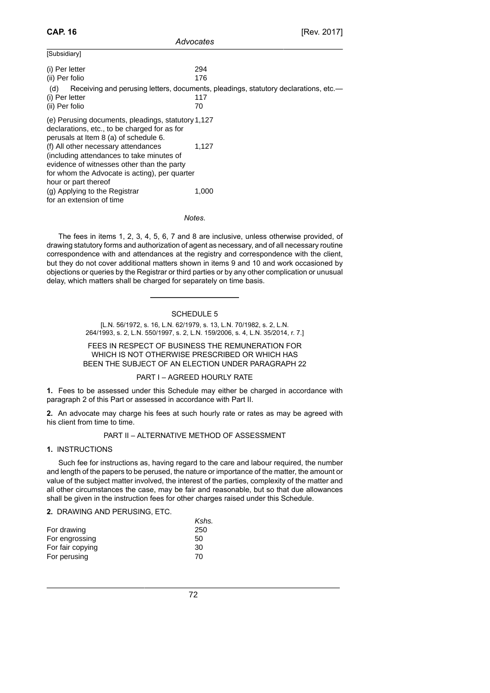| 294                                                                                              |
|--------------------------------------------------------------------------------------------------|
| 176                                                                                              |
| Receiving and perusing letters, documents, pleadings, statutory declarations, etc.—<br>117<br>70 |
| (e) Perusing documents, pleadings, statutory 1,127                                               |
| 1,127                                                                                            |
| for whom the Advocate is acting), per quarter<br>1,000                                           |
|                                                                                                  |

*Advocates*

*Notes*.

The fees in items 1, 2, 3, 4, 5, 6, 7 and 8 are inclusive, unless otherwise provided, of drawing statutory forms and authorization of agent as necessary, and of all necessary routine correspondence with and attendances at the registry and correspondence with the client, but they do not cover additional matters shown in items 9 and 10 and work occasioned by objections or queries by the Registrar or third parties or by any other complication or unusual delay, which matters shall be charged for separately on time basis.

### SCHEDULE 5

[L.N. 56/1972, s. 16, L.N. 62/1979, s. 13, L.N. 70/1982, s. 2, L.N. 264/1993, s. 2, L.N. 550/1997, s. 2, L.N. 159/2006, s. 4, L.N. 35/2014, r. 7.]

### FEES IN RESPECT OF BUSINESS THE REMUNERATION FOR WHICH IS NOT OTHERWISE PRESCRIBED OR WHICH HAS BEEN THE SUBJECT OF AN ELECTION UNDER PARAGRAPH 22

### PART I – AGREED HOURLY RATE

**1.** Fees to be assessed under this Schedule may either be charged in accordance with paragraph 2 of this Part or assessed in accordance with Part II.

**2.** An advocate may charge his fees at such hourly rate or rates as may be agreed with his client from time to time.

### PART II – ALTERNATIVE METHOD OF ASSESSMENT

### **1.** INSTRUCTIONS

Such fee for instructions as, having regard to the care and labour required, the number and length of the papers to be perused, the nature or importance of the matter, the amount or value of the subject matter involved, the interest of the parties, complexity of the matter and all other circumstances the case, may be fair and reasonable, but so that due allowances shall be given in the instruction fees for other charges raised under this Schedule.

### **2.** DRAWING AND PERUSING, ETC.

|                  | Kshs. |
|------------------|-------|
| For drawing      | 250   |
| For engrossing   | 50    |
| For fair copying | 30    |
| For perusing     | 70    |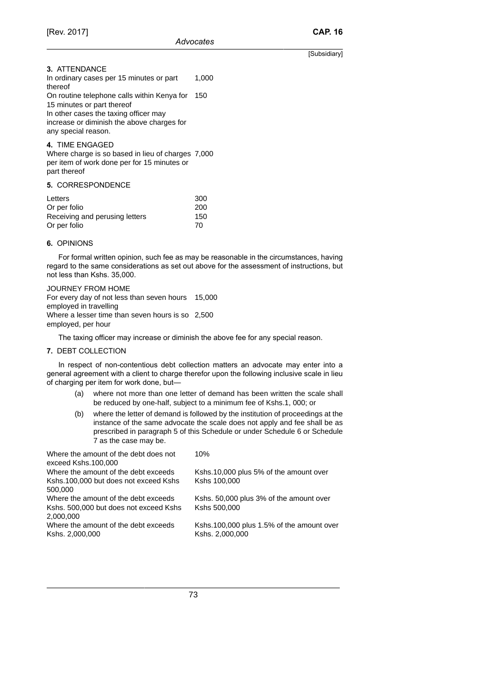thereof

[Subsidiary]

**3.** ATTENDANCE In ordinary cases per 15 minutes or part 1,000 On routine telephone calls within Kenya for 150 15 minutes or part thereof In other cases the taxing officer may

increase or diminish the above charges for any special reason.

**4.** TIME ENGAGED

Where charge is so based in lieu of charges 7,000 per item of work done per for 15 minutes or part thereof

**5.** CORRESPONDENCE

| Letters                        | 300 |
|--------------------------------|-----|
| Or per folio                   | 200 |
| Receiving and perusing letters | 150 |
| Or per folio                   | 70  |

### **6.** OPINIONS

For formal written opinion, such fee as may be reasonable in the circumstances, having regard to the same considerations as set out above for the assessment of instructions, but not less than Kshs. 35,000.

JOURNEY FROM HOME For every day of not less than seven hours 15,000 employed in travelling Where a lesser time than seven hours is so 2,500 employed, per hour

The taxing officer may increase or diminish the above fee for any special reason.

### **7.** DEBT COLLECTION

In respect of non-contentious debt collection matters an advocate may enter into a general agreement with a client to charge therefor upon the following inclusive scale in lieu of charging per item for work done, but—

- (a) where not more than one letter of demand has been written the scale shall be reduced by one-half, subject to a minimum fee of Kshs.1, 000; or
- (b) where the letter of demand is followed by the institution of proceedings at the instance of the same advocate the scale does not apply and fee shall be as prescribed in paragraph 5 of this Schedule or under Schedule 6 or Schedule 7 as the case may be.

| Where the amount of the debt does not  | 10%                                       |
|----------------------------------------|-------------------------------------------|
| exceed Kshs.100,000                    |                                           |
| Where the amount of the debt exceeds   | Kshs.10,000 plus 5% of the amount over    |
| Kshs.100,000 but does not exceed Kshs  | Kshs 100,000                              |
| 500,000                                |                                           |
| Where the amount of the debt exceeds   | Kshs. 50,000 plus 3% of the amount over   |
| Kshs. 500,000 but does not exceed Kshs | Kshs 500,000                              |
| 2,000,000                              |                                           |
| Where the amount of the debt exceeds   | Kshs.100,000 plus 1.5% of the amount over |
| Kshs. 2,000,000                        | Kshs. 2,000,000                           |
|                                        |                                           |
|                                        |                                           |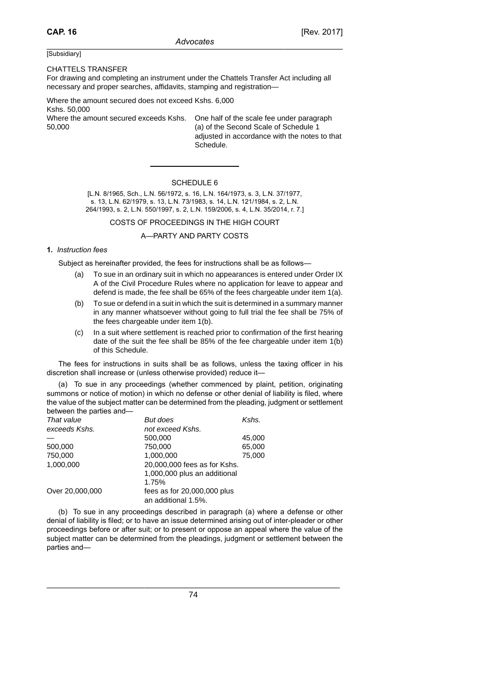#### CHATTELS TRANSFER

For drawing and completing an instrument under the Chattels Transfer Act including all necessary and proper searches, affidavits, stamping and registration—

Where the amount secured does not exceed Kshs. 6,000 Kshs. 50,000 Where the amount secured exceeds Kshs. One half of the scale fee under paragraph

50,000

(a) of the Second Scale of Schedule 1 adjusted in accordance with the notes to that Schedule.

### SCHEDULE 6

[L.N. 8/1965, Sch., L.N. 56/1972, s. 16, L.N. 164/1973, s. 3, L.N. 37/1977, s. 13, L.N. 62/1979, s. 13, L.N. 73/1983, s. 14, L.N. 121/1984, s. 2, L.N. 264/1993, s. 2, L.N. 550/1997, s. 2, L.N. 159/2006, s. 4, L.N. 35/2014, r. 7.]

### COSTS OF PROCEEDINGS IN THE HIGH COURT

### A—PARTY AND PARTY COSTS

### **1.** *Instruction fees*

Subject as hereinafter provided, the fees for instructions shall be as follows—

- (a) To sue in an ordinary suit in which no appearances is entered under Order IX A of the Civil Procedure Rules where no application for leave to appear and defend is made, the fee shall be 65% of the fees chargeable under item 1(a).
- (b) To sue or defend in a suit in which the suit is determined in a summary manner in any manner whatsoever without going to full trial the fee shall be 75% of the fees chargeable under item 1(b).
- (c) In a suit where settlement is reached prior to confirmation of the first hearing date of the suit the fee shall be 85% of the fee chargeable under item 1(b) of this Schedule.

The fees for instructions in suits shall be as follows, unless the taxing officer in his discretion shall increase or (unless otherwise provided) reduce it—

(a) To sue in any proceedings (whether commenced by plaint, petition, originating summons or notice of motion) in which no defense or other denial of liability is filed, where the value of the subject matter can be determined from the pleading, judgment or settlement between the parties and—

| But does                                           | Kshs.  |
|----------------------------------------------------|--------|
| not exceed Kshs.                                   |        |
| 500,000                                            | 45.000 |
| 750.000                                            | 65,000 |
| 1,000,000                                          | 75,000 |
| 20,000,000 fees as for Kshs.                       |        |
| 1,000,000 plus an additional                       |        |
| 1.75%                                              |        |
| fees as for 20,000,000 plus<br>an additional 1.5%. |        |
|                                                    |        |

(b) To sue in any proceedings described in paragraph (a) where a defense or other denial of liability is filed; or to have an issue determined arising out of inter-pleader or other proceedings before or after suit; or to present or oppose an appeal where the value of the subject matter can be determined from the pleadings, judgment or settlement between the parties and—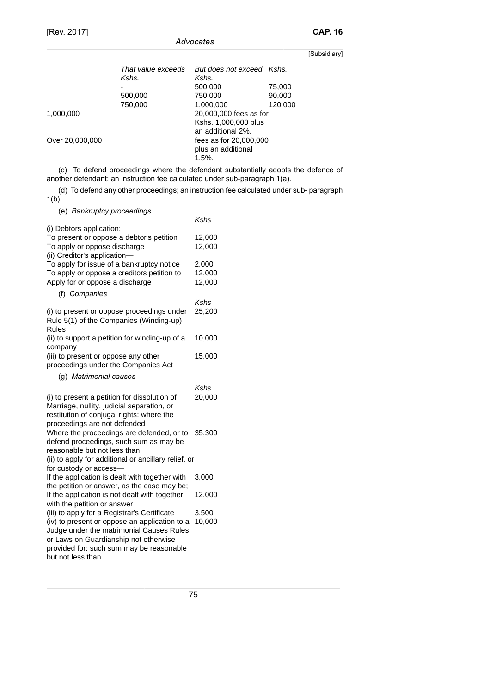| That value exceeds<br>Kshs. | But does not exceed Kshs.<br>Kshs. |         |  |
|-----------------------------|------------------------------------|---------|--|
|                             | 500,000                            | 75,000  |  |
| 500,000                     | 750,000                            | 90,000  |  |
| 750,000                     | 1,000,000                          | 120,000 |  |
|                             | 20,000,000 fees as for             |         |  |
|                             | Kshs. 1,000,000 plus               |         |  |
|                             | an additional 2%.                  |         |  |
|                             | fees as for 20,000,000             |         |  |
|                             | plus an additional                 |         |  |
|                             | $1.5\%$ .                          |         |  |
|                             |                                    |         |  |

(c) To defend proceedings where the defendant substantially adopts the defence of another defendant; an instruction fee calculated under sub-paragraph 1(a).

(d) To defend any other proceedings; an instruction fee calculated under sub- paragraph  $1(b)$ .

(e) *Bankruptcy proceedings*

|                                                                                                                                                                                                                                                     | Kshs                      |
|-----------------------------------------------------------------------------------------------------------------------------------------------------------------------------------------------------------------------------------------------------|---------------------------|
| (i) Debtors application:<br>To present or oppose a debtor's petition<br>To apply or oppose discharge<br>(ii) Creditor's application-                                                                                                                | 12,000<br>12,000          |
| To apply for issue of a bankruptcy notice<br>To apply or oppose a creditors petition to<br>Apply for or oppose a discharge                                                                                                                          | 2,000<br>12,000<br>12,000 |
| (f) Companies                                                                                                                                                                                                                                       |                           |
| (i) to present or oppose proceedings under<br>Rule 5(1) of the Companies (Winding-up)<br><b>Rules</b>                                                                                                                                               | Kshs<br>25,200            |
| (ii) to support a petition for winding-up of a<br>company                                                                                                                                                                                           | 10,000                    |
| (iii) to present or oppose any other<br>proceedings under the Companies Act                                                                                                                                                                         | 15,000                    |
| (g) Matrimonial causes                                                                                                                                                                                                                              |                           |
| (i) to present a petition for dissolution of<br>Marriage, nullity, judicial separation, or<br>restitution of conjugal rights: where the<br>proceedings are not defended                                                                             | Kshs<br>20,000            |
| Where the proceedings are defended, or to<br>defend proceedings, such sum as may be<br>reasonable but not less than                                                                                                                                 | 35,300                    |
| (ii) to apply for additional or ancillary relief, or                                                                                                                                                                                                |                           |
| for custody or access-<br>If the application is dealt with together with<br>the petition or answer, as the case may be;                                                                                                                             | 3,000                     |
| If the application is not dealt with together<br>with the petition or answer                                                                                                                                                                        | 12,000                    |
| (iii) to apply for a Registrar's Certificate<br>(iv) to present or oppose an application to a<br>Judge under the matrimonial Causes Rules<br>or Laws on Guardianship not otherwise<br>provided for: such sum may be reasonable<br>but not less than | 3,500<br>10,000           |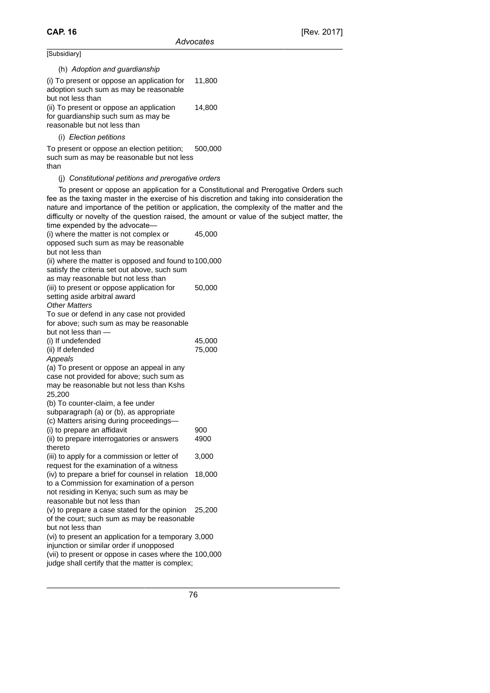| (h) Adoption and guardianship                                                                                                                                                                                                                                                                         |                                                                                                                                                                                                                                                                                                                                                                                    |
|-------------------------------------------------------------------------------------------------------------------------------------------------------------------------------------------------------------------------------------------------------------------------------------------------------|------------------------------------------------------------------------------------------------------------------------------------------------------------------------------------------------------------------------------------------------------------------------------------------------------------------------------------------------------------------------------------|
| (i) To present or oppose an application for<br>adoption such sum as may be reasonable<br>but not less than                                                                                                                                                                                            | 11,800                                                                                                                                                                                                                                                                                                                                                                             |
| (ii) To present or oppose an application<br>for guardianship such sum as may be<br>reasonable but not less than                                                                                                                                                                                       | 14,800                                                                                                                                                                                                                                                                                                                                                                             |
| (i) Election petitions                                                                                                                                                                                                                                                                                |                                                                                                                                                                                                                                                                                                                                                                                    |
| To present or oppose an election petition;<br>such sum as may be reasonable but not less<br>than                                                                                                                                                                                                      | 500,000                                                                                                                                                                                                                                                                                                                                                                            |
| (j) Constitutional petitions and prerogative orders                                                                                                                                                                                                                                                   |                                                                                                                                                                                                                                                                                                                                                                                    |
| time expended by the advocate-                                                                                                                                                                                                                                                                        | To present or oppose an application for a Constitutional and Prerogative Orders such<br>fee as the taxing master in the exercise of his discretion and taking into consideration the<br>nature and importance of the petition or application, the complexity of the matter and the<br>difficulty or novelty of the question raised, the amount or value of the subject matter, the |
| (i) where the matter is not complex or<br>opposed such sum as may be reasonable<br>but not less than                                                                                                                                                                                                  | 45,000                                                                                                                                                                                                                                                                                                                                                                             |
| (ii) where the matter is opposed and found to 100,000<br>satisfy the criteria set out above, such sum<br>as may reasonable but not less than                                                                                                                                                          |                                                                                                                                                                                                                                                                                                                                                                                    |
| (iii) to present or oppose application for<br>setting aside arbitral award<br><b>Other Matters</b><br>To sue or defend in any case not provided<br>for above; such sum as may be reasonable<br>but not less than -                                                                                    | 50,000                                                                                                                                                                                                                                                                                                                                                                             |
| (i) If undefended                                                                                                                                                                                                                                                                                     | 45,000                                                                                                                                                                                                                                                                                                                                                                             |
| (ii) If defended<br>Appeals<br>(a) To present or oppose an appeal in any<br>case not provided for above; such sum as<br>may be reasonable but not less than Kshs<br>25,200<br>(b) To counter-claim, a fee under<br>subparagraph (a) or (b), as appropriate<br>(c) Matters arising during proceedings- | 75,000                                                                                                                                                                                                                                                                                                                                                                             |
| (i) to prepare an affidavit                                                                                                                                                                                                                                                                           | 900                                                                                                                                                                                                                                                                                                                                                                                |
| (ii) to prepare interrogatories or answers                                                                                                                                                                                                                                                            | 4900                                                                                                                                                                                                                                                                                                                                                                               |
| thereto<br>(iii) to apply for a commission or letter of<br>request for the examination of a witness                                                                                                                                                                                                   | 3,000                                                                                                                                                                                                                                                                                                                                                                              |
| (iv) to prepare a brief for counsel in relation<br>to a Commission for examination of a person<br>not residing in Kenya; such sum as may be<br>reasonable but not less than                                                                                                                           | 18,000                                                                                                                                                                                                                                                                                                                                                                             |
| (v) to prepare a case stated for the opinion<br>of the court; such sum as may be reasonable<br>but not less than                                                                                                                                                                                      | 25,200                                                                                                                                                                                                                                                                                                                                                                             |
| (vi) to present an application for a temporary 3,000                                                                                                                                                                                                                                                  |                                                                                                                                                                                                                                                                                                                                                                                    |
| injunction or similar order if unopposed<br>(vii) to present or oppose in cases where the 100,000<br>judge shall certify that the matter is complex;                                                                                                                                                  |                                                                                                                                                                                                                                                                                                                                                                                    |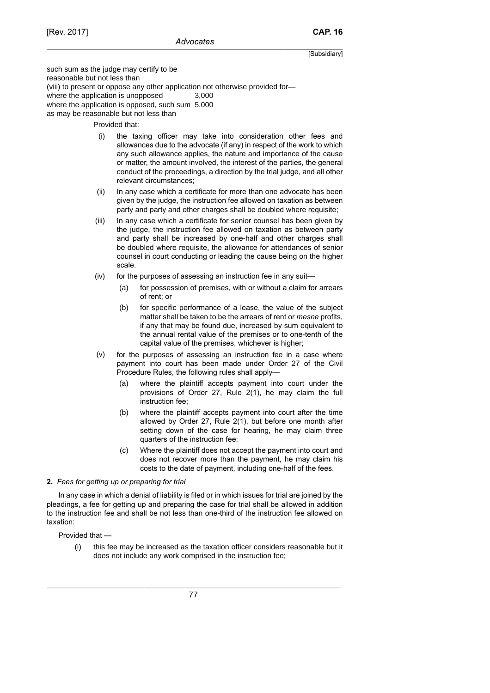such sum as the judge may certify to be reasonable but not less than (viii) to present or oppose any other application not otherwise provided for where the application is unopposed 3,000 where the application is opposed, such sum 5,000 as may be reasonable but not less than

Provided that:

- (i) the taxing officer may take into consideration other fees and allowances due to the advocate (if any) in respect of the work to which any such allowance applies, the nature and importance of the cause or matter, the amount involved, the interest of the parties, the general conduct of the proceedings, a direction by the trial judge, and all other relevant circumstances;
- (ii) In any case which a certificate for more than one advocate has been given by the judge, the instruction fee allowed on taxation as between party and party and other charges shall be doubled where requisite;
- (iii) In any case which a certificate for senior counsel has been given by the judge, the instruction fee allowed on taxation as between party and party shall be increased by one-half and other charges shall be doubled where requisite, the allowance for attendances of senior counsel in court conducting or leading the cause being on the higher scale.
- (iv) for the purposes of assessing an instruction fee in any suit—
	- (a) for possession of premises, with or without a claim for arrears of rent; or
	- (b) for specific performance of a lease, the value of the subject matter shall be taken to be the arrears of rent or *mesne* profits, if any that may be found due, increased by sum equivalent to the annual rental value of the premises or to one-tenth of the capital value of the premises, whichever is higher;
- (v) for the purposes of assessing an instruction fee in a case where payment into court has been made under Order 27 of the Civil Procedure Rules, the following rules shall apply—
	- (a) where the plaintiff accepts payment into court under the provisions of Order 27, Rule 2(1), he may claim the full instruction fee;
	- (b) where the plaintiff accepts payment into court after the time allowed by Order 27, Rule 2(1), but before one month after setting down of the case for hearing, he may claim three quarters of the instruction fee;
	- (c) Where the plaintiff does not accept the payment into court and does not recover more than the payment, he may claim his costs to the date of payment, including one-half of the fees.

### **2.** *Fees for getting up or preparing for trial*

In any case in which a denial of liability is filed or in which issues for trial are joined by the pleadings, a fee for getting up and preparing the case for trial shall be allowed in addition to the instruction fee and shall be not less than one-third of the instruction fee allowed on taxation:

Provided that —

(i) this fee may be increased as the taxation officer considers reasonable but it does not include any work comprised in the instruction fee;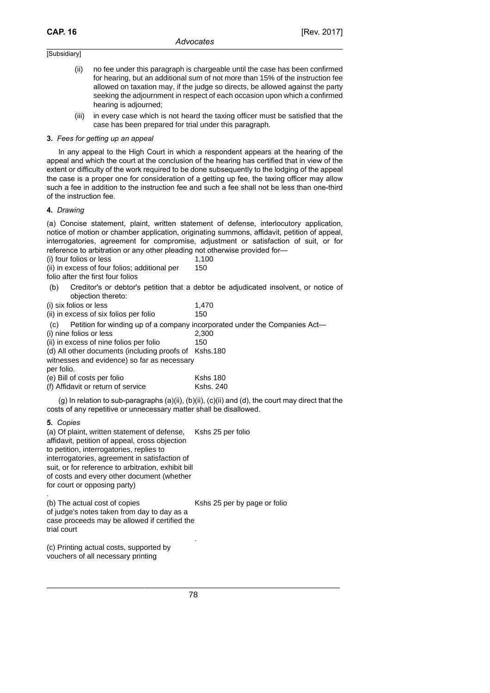- (ii) no fee under this paragraph is chargeable until the case has been confirmed for hearing, but an additional sum of not more than 15% of the instruction fee allowed on taxation may, if the judge so directs, be allowed against the party seeking the adjournment in respect of each occasion upon which a confirmed hearing is adjourned;
- (iii) in every case which is not heard the taxing officer must be satisfied that the case has been prepared for trial under this paragraph.

### **3.** *Fees for getting up an appeal*

In any appeal to the High Court in which a respondent appears at the hearing of the appeal and which the court at the conclusion of the hearing has certified that in view of the extent or difficulty of the work required to be done subsequently to the lodging of the appeal the case is a proper one for consideration of a getting up fee, the taxing officer may allow such a fee in addition to the instruction fee and such a fee shall not be less than one-third of the instruction fee.

#### **4.** *Drawing*

(a) Concise statement, plaint, written statement of defense, interlocutory application, notice of motion or chamber application, originating summons, affidavit, petition of appeal, interrogatories, agreement for compromise, adjustment or satisfaction of suit, or for reference to arbitration or any other pleading not otherwise provided for—

(i) four folios or less 1,100

(ii) in excess of four folios; additional per 150

folio after the first four folios

(b) Creditor's or debtor's petition that a debtor be adjudicated insolvent, or notice of objection thereto:

| (i) six folios or less | 1,470 |
|------------------------|-------|
|------------------------|-------|

| (ii) in excess of six folios per folio | 150 |
|----------------------------------------|-----|
|----------------------------------------|-----|

(c) Petition for winding up of a company incorporated under the Companies Act—

| (i) nine folios or less                               | 2.300 |
|-------------------------------------------------------|-------|
| (ii) in excess of nine folios per folio               | 150   |
| (d) All other documents (including proofs of Kshs.180 |       |
| witnesses and evidence) so far as necessary           |       |
|                                                       |       |

per folio.

(e) Bill of costs per folio Kshs 180 (f) Affidavit or return of service Kshs. 240

(g) In relation to sub-paragraphs (a)(ii), (b)(ii), (c)(ii) and (d), the court may direct that the costs of any repetitive or unnecessary matter shall be disallowed.

**5.** *Copies*

(a) Of plaint, written statement of defense, affidavit, petition of appeal, cross objection to petition, interrogatories, replies to interrogatories, agreement in satisfaction of suit, or for reference to arbitration, exhibit bill of costs and every other document (whether for court or opposing party) Kshs 25 per folio .

(b) The actual cost of copies of judge's notes taken from day to day as a case proceeds may be allowed if certified the trial court Kshs 25 per by page or folio .

(c) Printing actual costs, supported by vouchers of all necessary printing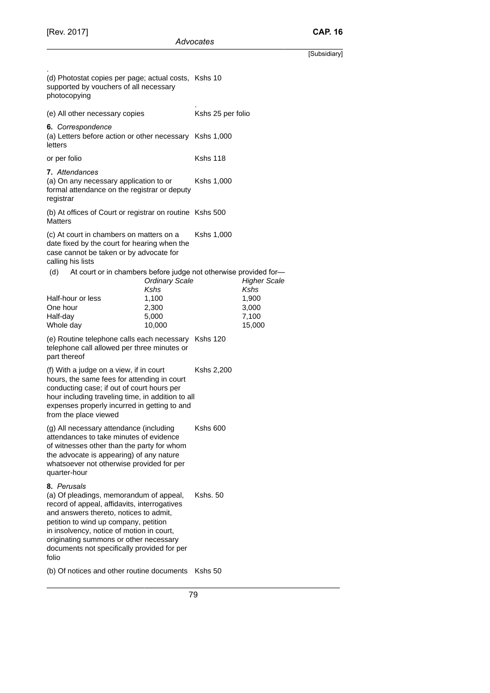.

[Subsidiary] (d) Photostat copies per page; actual costs, Kshs 10 supported by vouchers of all necessary photocopying . (e) All other necessary copies Kshs 25 per folio **6.** *Correspondence* (a) Letters before action or other necessary Kshs 1,000 letters or per folio Kshs 118 **7.** *Attendances* (a) On any necessary application to or formal attendance on the registrar or deputy registrar Kshs 1,000 (b) At offices of Court or registrar on routine Kshs 500 **Matters** (c) At court in chambers on matters on a date fixed by the court for hearing when the case cannot be taken or by advocate for calling his lists Kshs 1,000 (d) At court or in chambers before judge not otherwise provided for— Ordinary Scale Kshs Higher Scale Kshs Half-hour or less 1,100 1,900 One hour 2,300 3,000 Half-day 5,000 7,100 Whole day **10,000** 15,000 (e) Routine telephone calls each necessary Kshs 120 telephone call allowed per three minutes or part thereof (f) With a judge on a view, if in court hours, the same fees for attending in court conducting case; if out of court hours per hour including traveling time, in addition to all expenses properly incurred in getting to and from the place viewed Kshs 2,200 (g) All necessary attendance (including attendances to take minutes of evidence of witnesses other than the party for whom the advocate is appearing) of any nature whatsoever not otherwise provided for per quarter-hour Kshs 600 **8.** *Perusals* (a) Of pleadings, memorandum of appeal, record of appeal, affidavits, interrogatives Kshs. 50

and answers thereto, notices to admit, petition to wind up company, petition in insolvency, notice of motion in court, originating summons or other necessary documents not specifically provided for per folio

(b) Of notices and other routine documents Kshs 50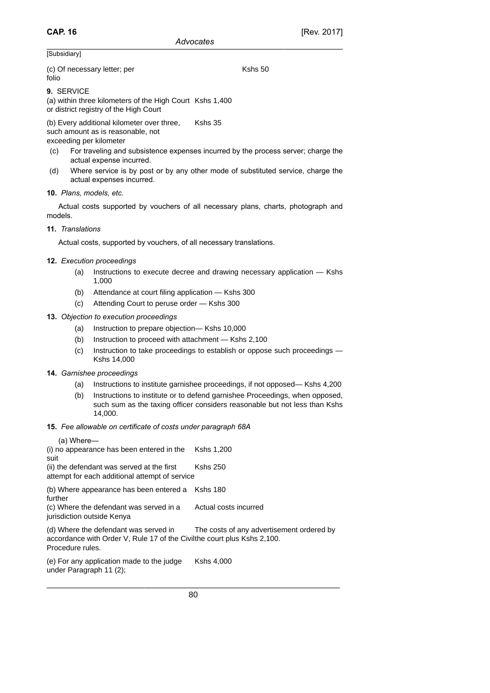Kshs 50

### [Subsidiary]

(c) Of necessary letter; per folio

**9.** SERVICE

(a) within three kilometers of the High Court Kshs 1,400 or district registry of the High Court

(b) Every additional kilometer over three, such amount as is reasonable, not exceeding per kilometer Kshs 35

- (c) For traveling and subsistence expenses incurred by the process server; charge the actual expense incurred.
- (d) Where service is by post or by any other mode of substituted service, charge the actual expenses incurred.

# **10.** *Plans, models, etc*.

Actual costs supported by vouchers of all necessary plans, charts, photograph and models.

**11.** *Translations*

Actual costs, supported by vouchers, of all necessary translations.

# **12.** *Execution proceedings*

- (a) Instructions to execute decree and drawing necessary application Kshs 1,000
- (b) Attendance at court filing application Kshs 300
- (c) Attending Court to peruse order Kshs 300
- **13.** *Objection to execution proceedings*
	- (a) Instruction to prepare objection— Kshs 10,000
	- (b) Instruction to proceed with attachment Kshs 2,100
	- (c) Instruction to take proceedings to establish or oppose such proceedings Kshs 14,000
- **14.** *Garnishee proceedings*
	- (a) Instructions to institute garnishee proceedings, if not opposed— Kshs 4,200
	- (b) Instructions to institute or to defend garnishee Proceedings, when opposed, such sum as the taxing officer considers reasonable but not less than Kshs 14,000.

### **15.** *Fee allowable on certificate of costs under paragraph 68A*

(a) Where— (i) no appearance has been entered in the suit Kshs 1,200 (ii) the defendant was served at the first attempt for each additional attempt of service Kshs 250 (b) Where appearance has been entered a Kshs 180 further (c) Where the defendant was served in a jurisdiction outside Kenya Actual costs incurred (d) Where the defendant was served in accordance with Order V, Rule 17 of the Civilthe court plus Kshs 2,100. Procedure rules. The costs of any advertisement ordered by

```
(e) For any application made to the judge
under Paragraph 11 (2);
                                           Kshs 4,000
```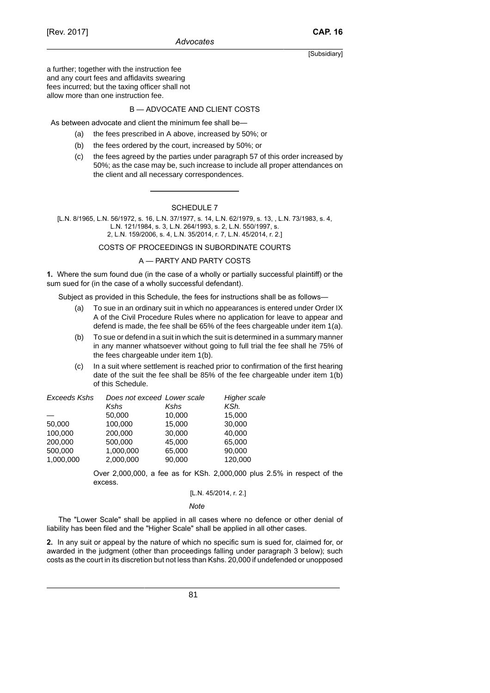a further; together with the instruction fee and any court fees and affidavits swearing fees incurred; but the taxing officer shall not allow more than one instruction fee.

# B — ADVOCATE AND CLIENT COSTS

As between advocate and client the minimum fee shall be—

- (a) the fees prescribed in A above, increased by 50%; or
- (b) the fees ordered by the court, increased by 50%; or
- (c) the fees agreed by the parties under paragraph 57 of this order increased by 50%; as the case may be, such increase to include all proper attendances on the client and all necessary correspondences.

# SCHEDULE 7

[L.N. 8/1965, L.N. 56/1972, s. 16, L.N. 37/1977, s. 14, L.N. 62/1979, s. 13, , L.N. 73/1983, s. 4, L.N. 121/1984, s. 3, L.N. 264/1993, s. 2, L.N. 550/1997, s. 2, L.N. 159/2006, s. 4, L.N. 35/2014, r. 7, L.N. 45/2014, r. 2.]

COSTS OF PROCEEDINGS IN SUBORDINATE COURTS

### A — PARTY AND PARTY COSTS

**1.** Where the sum found due (in the case of a wholly or partially successful plaintiff) or the sum sued for (in the case of a wholly successful defendant).

Subject as provided in this Schedule, the fees for instructions shall be as follows—

- (a) To sue in an ordinary suit in which no appearances is entered under Order IX A of the Civil Procedure Rules where no application for leave to appear and defend is made, the fee shall be 65% of the fees chargeable under item 1(a).
- (b) To sue or defend in a suit in which the suit is determined in a summary manner in any manner whatsoever without going to full trial the fee shall he 75% of the fees chargeable under item 1(b).
- (c) In a suit where settlement is reached prior to confirmation of the first hearing date of the suit the fee shall be 85% of the fee chargeable under item 1(b) of this Schedule.

| Exceeds Kshs | Does not exceed Lower scale |        | Higher scale |
|--------------|-----------------------------|--------|--------------|
|              | Kshs                        | Kshs   | KSh.         |
|              | 50,000                      | 10,000 | 15,000       |
| 50,000       | 100,000                     | 15,000 | 30,000       |
| 100.000      | 200,000                     | 30,000 | 40,000       |
| 200,000      | 500,000                     | 45,000 | 65,000       |
| 500,000      | 1,000,000                   | 65,000 | 90,000       |
| 1,000,000    | 2,000,000                   | 90,000 | 120,000      |

Over 2,000,000, a fee as for KSh. 2,000,000 plus 2.5% in respect of the excess.

#### [L.N. 45/2014, r. 2.]

#### *Note*

The "Lower Scale" shall be applied in all cases where no defence or other denial of liability has been filed and the "Higher Scale" shall be applied in all other cases.

**2.** In any suit or appeal by the nature of which no specific sum is sued for, claimed for, or awarded in the judgment (other than proceedings falling under paragraph 3 below); such costs as the court in its discretion but not less than Kshs. 20,000 if undefended or unopposed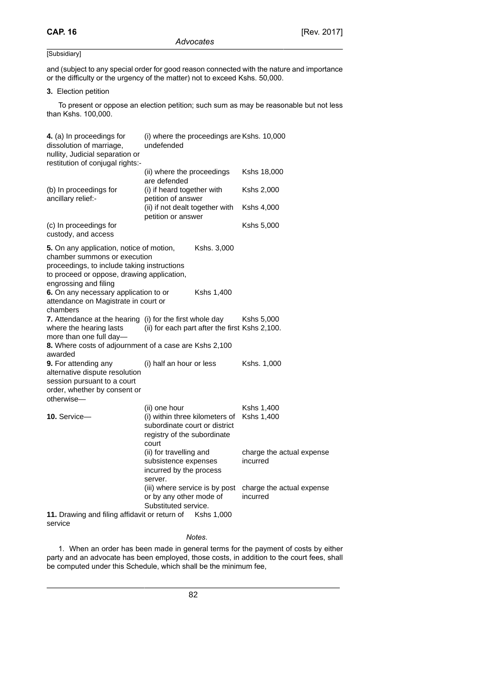and (subject to any special order for good reason connected with the nature and importance or the difficulty or the urgency of the matter) not to exceed Kshs. 50,000.

# **3.** Election petition

To present or oppose an election petition; such sum as may be reasonable but not less than Kshs. 100,000.

| 4. (a) In proceedings for<br>dissolution of marriage,<br>nullity, Judicial separation or<br>restitution of conjugal rights:-                                                                   | (i) where the proceedings are Kshs. 10,000<br>undefended                                                                 |             |                                       |
|------------------------------------------------------------------------------------------------------------------------------------------------------------------------------------------------|--------------------------------------------------------------------------------------------------------------------------|-------------|---------------------------------------|
|                                                                                                                                                                                                | (ii) where the proceedings<br>are defended                                                                               |             | Kshs 18,000                           |
| (b) In proceedings for<br>ancillary relief:-                                                                                                                                                   | (i) if heard together with<br>petition of answer<br>(ii) if not dealt together with<br>petition or answer                |             | Kshs 2,000                            |
|                                                                                                                                                                                                |                                                                                                                          |             | Kshs 4,000                            |
| (c) In proceedings for<br>custody, and access                                                                                                                                                  |                                                                                                                          |             | Kshs 5,000                            |
| 5. On any application, notice of motion,<br>chamber summons or execution<br>proceedings, to include taking instructions<br>to proceed or oppose, drawing application,<br>engrossing and filing |                                                                                                                          | Kshs. 3,000 |                                       |
| 6. On any necessary application to or<br>attendance on Magistrate in court or<br>chambers                                                                                                      |                                                                                                                          | Kshs 1,400  |                                       |
| <b>7.</b> Attendance at the hearing (i) for the first whole day<br>where the hearing lasts<br>more than one full day-                                                                          | (ii) for each part after the first Kshs 2,100.                                                                           |             | Kshs 5,000                            |
| 8. Where costs of adjournment of a case are Kshs 2,100<br>awarded                                                                                                                              |                                                                                                                          |             |                                       |
| 9. For attending any<br>alternative dispute resolution<br>session pursuant to a court<br>order, whether by consent or<br>otherwise-                                                            | (i) half an hour or less                                                                                                 |             | Kshs. 1,000                           |
| 10. Service-                                                                                                                                                                                   | (ii) one hour<br>(i) within three kilometers of<br>subordinate court or district<br>registry of the subordinate<br>court |             | Kshs 1,400<br>Kshs 1,400              |
|                                                                                                                                                                                                | (ii) for travelling and<br>subsistence expenses<br>incurred by the process<br>server.                                    |             | charge the actual expense<br>incurred |
|                                                                                                                                                                                                | (iii) where service is by post<br>or by any other mode of<br>Substituted service.                                        |             | charge the actual expense<br>incurred |
| 11. Drawing and filing affidavit or return of                                                                                                                                                  |                                                                                                                          | Kshs 1,000  |                                       |

service

# *Notes*.

1. When an order has been made in general terms for the payment of costs by either party and an advocate has been employed, those costs, in addition to the court fees, shall be computed under this Schedule, which shall be the minimum fee,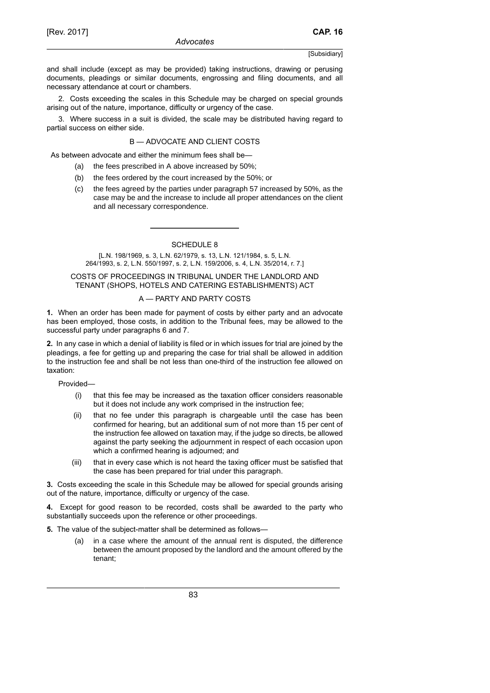and shall include (except as may be provided) taking instructions, drawing or perusing documents, pleadings or similar documents, engrossing and filing documents, and all necessary attendance at court or chambers.

2. Costs exceeding the scales in this Schedule may be charged on special grounds arising out of the nature, importance, difficulty or urgency of the case.

3. Where success in a suit is divided, the scale may be distributed having regard to partial success on either side.

# B — ADVOCATE AND CLIENT COSTS

As between advocate and either the minimum fees shall be—

- (a) the fees prescribed in A above increased by 50%;
- (b) the fees ordered by the court increased by the 50%; or
- (c) the fees agreed by the parties under paragraph 57 increased by 50%, as the case may be and the increase to include all proper attendances on the client and all necessary correspondence.

SCHEDULE 8

[L.N. 198/1969, s. 3, L.N. 62/1979, s. 13, L.N. 121/1984, s. 5, L.N. 264/1993, s. 2, L.N. 550/1997, s. 2, L.N. 159/2006, s. 4, L.N. 35/2014, r. 7.]

# COSTS OF PROCEEDINGS IN TRIBUNAL UNDER THE LANDLORD AND TENANT (SHOPS, HOTELS AND CATERING ESTABLISHMENTS) ACT

# A — PARTY AND PARTY COSTS

**1.** When an order has been made for payment of costs by either party and an advocate has been employed, those costs, in addition to the Tribunal fees, may be allowed to the successful party under paragraphs 6 and 7.

**2.** In any case in which a denial of liability is filed or in which issues for trial are joined by the pleadings, a fee for getting up and preparing the case for trial shall be allowed in addition to the instruction fee and shall be not less than one-third of the instruction fee allowed on taxation:

Provided—

- (i) that this fee may be increased as the taxation officer considers reasonable but it does not include any work comprised in the instruction fee;
- (ii) that no fee under this paragraph is chargeable until the case has been confirmed for hearing, but an additional sum of not more than 15 per cent of the instruction fee allowed on taxation may, if the judge so directs, be allowed against the party seeking the adjournment in respect of each occasion upon which a confirmed hearing is adjourned; and
- (iii) that in every case which is not heard the taxing officer must be satisfied that the case has been prepared for trial under this paragraph.

**3.** Costs exceeding the scale in this Schedule may be allowed for special grounds arising out of the nature, importance, difficulty or urgency of the case.

**4.** Except for good reason to be recorded, costs shall be awarded to the party who substantially succeeds upon the reference or other proceedings.

- **5.** The value of the subject-matter shall be determined as follows—
	- (a) in a case where the amount of the annual rent is disputed, the difference between the amount proposed by the landlord and the amount offered by the tenant;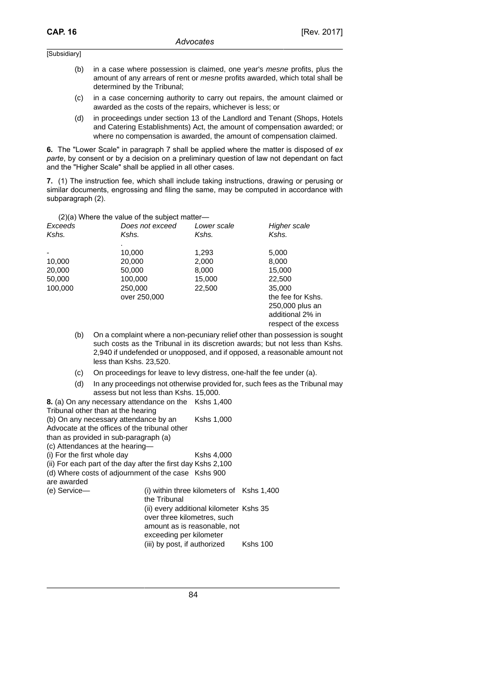- (b) in a case where possession is claimed, one year's mesne profits, plus the amount of any arrears of rent or mesne profits awarded, which total shall be determined by the Tribunal;
- (c) in a case concerning authority to carry out repairs, the amount claimed or awarded as the costs of the repairs, whichever is less; or
- (d) in proceedings under section 13 of the Landlord and Tenant (Shops, Hotels and Catering Establishments) Act, the amount of compensation awarded; or where no compensation is awarded, the amount of compensation claimed.

**6.** The "Lower Scale" in paragraph 7 shall be applied where the matter is disposed of *ex parte*, by consent or by a decision on a preliminary question of law not dependant on fact and the "Higher Scale" shall be applied in all other cases.

**7.** (1) The instruction fee, which shall include taking instructions, drawing or perusing or similar documents, engrossing and filing the same, may be computed in accordance with subparagraph (2).

|         | $(2)(a)$ Where the value of the subject matter- |             |                       |
|---------|-------------------------------------------------|-------------|-----------------------|
| Exceeds | Does not exceed                                 | Lower scale | Higher scale          |
| Kshs.   | Kshs.                                           | Kshs.       | Kshs.                 |
|         |                                                 |             |                       |
|         | 10,000                                          | 1,293       | 5,000                 |
| 10,000  | 20,000                                          | 2,000       | 8,000                 |
| 20,000  | 50,000                                          | 8,000       | 15,000                |
| 50,000  | 100,000                                         | 15,000      | 22,500                |
| 100,000 | 250,000                                         | 22,500      | 35,000                |
|         | over 250,000                                    |             | the fee for Kshs.     |
|         |                                                 |             | 250,000 plus an       |
|         |                                                 |             | additional 2% in      |
|         |                                                 |             | respect of the excess |

- (b) On a complaint where a non-pecuniary relief other than possession is sought such costs as the Tribunal in its discretion awards; but not less than Kshs. 2,940 if undefended or unopposed, and if opposed, a reasonable amount not less than Kshs. 23,520.
- (c) On proceedings for leave to levy distress, one-half the fee under (a).
- (d) In any proceedings not otherwise provided for, such fees as the Tribunal may assess but not less than Kshs. 15,000.

| 8. (a) On any necessary attendance on the                    |                                           | Kshs 1,400 |  |
|--------------------------------------------------------------|-------------------------------------------|------------|--|
| Tribunal other than at the hearing                           |                                           |            |  |
| (b) On any necessary attendance by an                        |                                           | Kshs 1.000 |  |
| Advocate at the offices of the tribunal other                |                                           |            |  |
| than as provided in sub-paragraph (a)                        |                                           |            |  |
| (c) Attendances at the hearing-                              |                                           |            |  |
| (i) For the first whole day                                  |                                           | Kshs 4,000 |  |
| (ii) For each part of the day after the first day Kshs 2,100 |                                           |            |  |
| (d) Where costs of adjournment of the case Kshs 900          |                                           |            |  |
| are awarded                                                  |                                           |            |  |
| (e) Service-                                                 | (i) within three kilometers of Kshs 1,400 |            |  |
|                                                              | the Tribunal                              |            |  |
|                                                              | (ii) every additional kilometer Kshs 35   |            |  |
|                                                              | over three kilometres, such               |            |  |
|                                                              | amount as is reasonable, not              |            |  |
|                                                              | exceeding per kilometer                   |            |  |

(iii) by post, if authorized Kshs 100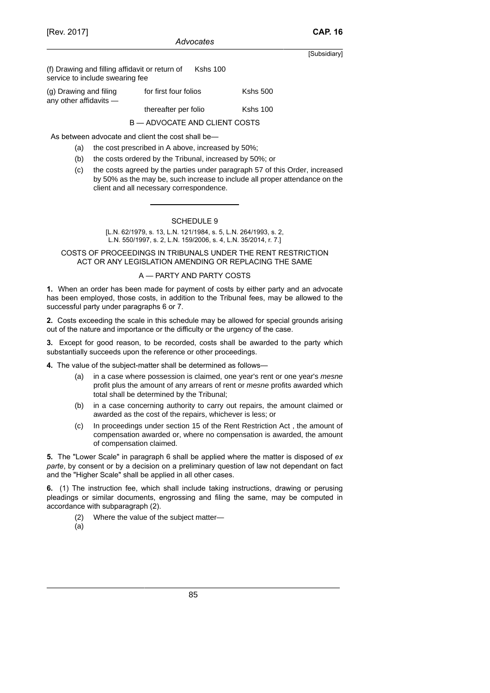(f) Drawing and filling affidavit or return of service to include swearing fee Kshs 100

| (g) Drawing and filing<br>any other affidavits — | for first four folios         | <b>Kshs 500</b> |
|--------------------------------------------------|-------------------------------|-----------------|
|                                                  | thereafter per folio          | <b>Kshs 100</b> |
|                                                  | B — ADVOCATE AND CLIENT COSTS |                 |

As between advocate and client the cost shall be—

- (a) the cost prescribed in A above, increased by 50%;
- (b) the costs ordered by the Tribunal, increased by 50%; or
- (c) the costs agreed by the parties under paragraph 57 of this Order, increased by 50% as the may be, such increase to include all proper attendance on the client and all necessary correspondence.

### SCHEDULE 9

[L.N. 62/1979, s. 13, L.N. 121/1984, s. 5, L.N. 264/1993, s. 2, L.N. 550/1997, s. 2, L.N. 159/2006, s. 4, L.N. 35/2014, r. 7.]

### COSTS OF PROCEEDINGS IN TRIBUNALS UNDER THE RENT RESTRICTION ACT OR ANY LEGISLATION AMENDING OR REPLACING THE SAME

# A — PARTY AND PARTY COSTS

**1.** When an order has been made for payment of costs by either party and an advocate has been employed, those costs, in addition to the Tribunal fees, may be allowed to the successful party under paragraphs 6 or 7.

**2.** Costs exceeding the scale in this schedule may be allowed for special grounds arising out of the nature and importance or the difficulty or the urgency of the case.

**3.** Except for good reason, to be recorded, costs shall be awarded to the party which substantially succeeds upon the reference or other proceedings.

**4.** The value of the subject-matter shall be determined as follows—

- (a) in a case where possession is claimed, one year's rent or one year's mesne profit plus the amount of any arrears of rent or mesne profits awarded which total shall be determined by the Tribunal;
- (b) in a case concerning authority to carry out repairs, the amount claimed or awarded as the cost of the repairs, whichever is less; or
- (c) In proceedings under section 15 of the Rent Restriction Act , the amount of compensation awarded or, where no compensation is awarded, the amount of compensation claimed.

**5.** The "Lower Scale" in paragraph 6 shall be applied where the matter is disposed of *ex parte*, by consent or by a decision on a preliminary question of law not dependant on fact and the "Higher Scale" shall be applied in all other cases.

**6.** (1) The instruction fee, which shall include taking instructions, drawing or perusing pleadings or similar documents, engrossing and filing the same, may be computed in accordance with subparagraph (2).

- (2) Where the value of the subject matter—
- (a)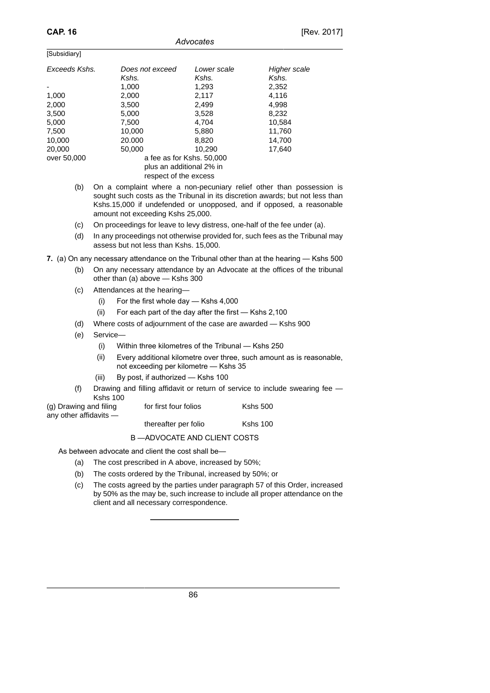$\overline{[C_{\text{ubaidion}}]}$ 

| TOUDSIUIAI VI |                                                                                                                                                                                                                                 |                           |              |
|---------------|---------------------------------------------------------------------------------------------------------------------------------------------------------------------------------------------------------------------------------|---------------------------|--------------|
| Exceeds Kshs. | Does not exceed                                                                                                                                                                                                                 | Lower scale               | Higher scale |
|               | Kshs.                                                                                                                                                                                                                           | Kshs.                     | Kshs.        |
|               | 1,000                                                                                                                                                                                                                           | 1,293                     | 2,352        |
| 1,000         | 2,000                                                                                                                                                                                                                           | 2,117                     | 4.116        |
| 2,000         | 3,500                                                                                                                                                                                                                           | 2,499                     | 4,998        |
| 3,500         | 5,000                                                                                                                                                                                                                           | 3,528                     | 8,232        |
| 5,000         | 7.500                                                                                                                                                                                                                           | 4.704                     | 10,584       |
| 7,500         | 10.000                                                                                                                                                                                                                          | 5,880                     | 11,760       |
| 10.000        | 20,000                                                                                                                                                                                                                          | 8.820                     | 14.700       |
| 20,000        | 50,000                                                                                                                                                                                                                          | 10.290                    | 17,640       |
| over 50,000   |                                                                                                                                                                                                                                 | a fee as for Kshs. 50,000 |              |
|               | plus an additional 2% in                                                                                                                                                                                                        |                           |              |
|               | respect of the excess                                                                                                                                                                                                           |                           |              |
| $\sqrt{1}$    | $\sim$ . The contract of the contract of the contract of the contract of the contract of the contract of the contract of the contract of the contract of the contract of the contract of the contract of the contract of the co |                           |              |

*Advocates*

- (b) On a complaint where a non-pecuniary relief other than possession is sought such costs as the Tribunal in its discretion awards; but not less than Kshs.15,000 if undefended or unopposed, and if opposed, a reasonable amount not exceeding Kshs 25,000.
- (c) On proceedings for leave to levy distress, one-half of the fee under (a).
- (d) In any proceedings not otherwise provided for, such fees as the Tribunal may assess but not less than Kshs. 15,000.

**7.** (a) On any necessary attendance on the Tribunal other than at the hearing — Kshs 500

- (b) On any necessary attendance by an Advocate at the offices of the tribunal other than (a) above — Kshs 300
- (c) Attendances at the hearing—
	- (i) For the first whole day Kshs 4,000
	- (ii) For each part of the day after the first Kshs 2,100
- (d) Where costs of adjournment of the case are awarded Kshs 900
- (e) Service—
	- (i) Within three kilometres of the Tribunal Kshs 250
	- (ii) Every additional kilometre over three, such amount as is reasonable, not exceeding per kilometre — Kshs 35
	- (iii) By post, if authorized Kshs 100
- (f) Drawing and filling affidavit or return of service to include swearing fee Kshs 100
- (g) Drawing and filing any other affidavits —
- for first four folios Kshs 500

thereafter per folio Kshs 100

# B —ADVOCATE AND CLIENT COSTS

As between advocate and client the cost shall be—

- (a) The cost prescribed in A above, increased by 50%;
- (b) The costs ordered by the Tribunal, increased by 50%; or
- (c) The costs agreed by the parties under paragraph 57 of this Order, increased by 50% as the may be, such increase to include all proper attendance on the client and all necessary correspondence.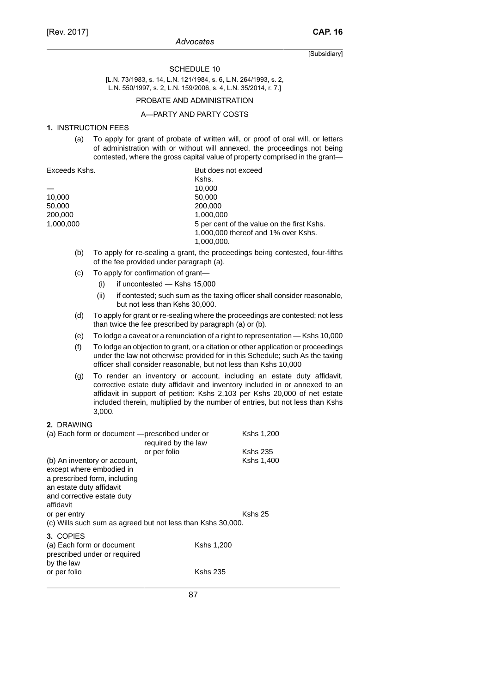## SCHEDULE 10

[L.N. 73/1983, s. 14, L.N. 121/1984, s. 6, L.N. 264/1993, s. 2, L.N. 550/1997, s. 2, L.N. 159/2006, s. 4, L.N. 35/2014, r. 7.]

# PROBATE AND ADMINISTRATION

# A—PARTY AND PARTY COSTS

### **1.** INSTRUCTION FEES

(a) To apply for grant of probate of written will, or proof of oral will, or letters of administration with or without will annexed, the proceedings not being contested, where the gross capital value of property comprised in the grant—

| Exceeds Kshs. | But does not exceed                                                                             |
|---------------|-------------------------------------------------------------------------------------------------|
|               | Kshs.                                                                                           |
|               | 10.000                                                                                          |
| 10,000        | 50,000                                                                                          |
| 50.000        | 200,000                                                                                         |
| 200,000       | 1.000.000                                                                                       |
| 1.000.000     | 5 per cent of the value on the first Kshs.<br>1,000,000 thereof and 1% over Kshs.<br>1,000,000. |
|               |                                                                                                 |

- (b) To apply for re-sealing a grant, the proceedings being contested, four-fifths of the fee provided under paragraph (a).
- (c) To apply for confirmation of grant—
	- (i) if uncontested Kshs 15,000
	- (ii) if contested; such sum as the taxing officer shall consider reasonable, but not less than Kshs 30,000.
- (d) To apply for grant or re-sealing where the proceedings are contested; not less than twice the fee prescribed by paragraph (a) or (b).
- (e) To lodge a caveat or a renunciation of a right to representation Kshs 10,000
- (f) To lodge an objection to grant, or a citation or other application or proceedings under the law not otherwise provided for in this Schedule; such As the taxing officer shall consider reasonable, but not less than Kshs 10,000
- (g) To render an inventory or account, including an estate duty affidavit, corrective estate duty affidavit and inventory included in or annexed to an affidavit in support of petition: Kshs 2,103 per Kshs 20,000 of net estate included therein, multiplied by the number of entries, but not less than Kshs 3,000.

### **2.** DRAWING

| (a) Each form or document - prescribed under or<br>required by the law                                                                                          |                 | Kshs 1,200      |
|-----------------------------------------------------------------------------------------------------------------------------------------------------------------|-----------------|-----------------|
| or per folio                                                                                                                                                    |                 | <b>Kshs 235</b> |
| (b) An inventory or account,<br>except where embodied in<br>a prescribed form, including<br>an estate duty affidavit<br>and corrective estate duty<br>affidavit |                 | Kshs 1,400      |
| or per entry<br>(c) Wills such sum as agreed but not less than Kshs 30,000.                                                                                     |                 | Kshs 25         |
| 3. COPIES<br>(a) Each form or document<br>prescribed under or required<br>by the law                                                                            | Kshs 1,200      |                 |
| or per folio                                                                                                                                                    | <b>Kshs 235</b> |                 |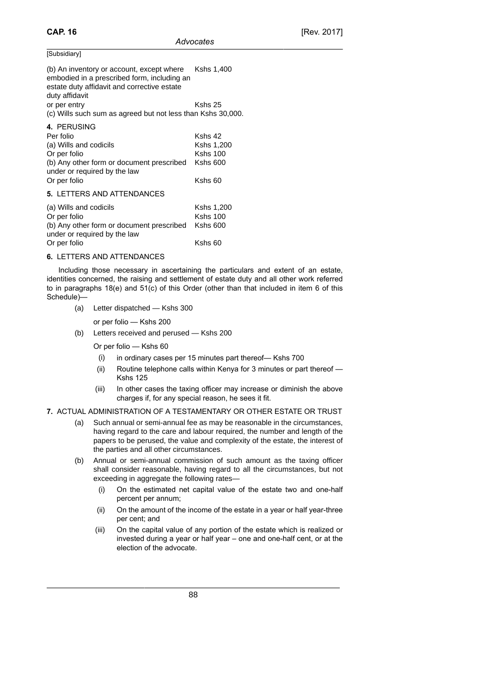| uosioia |  |
|---------|--|
| . .     |  |
|         |  |

(b) An inventory or account, except where embodied in a prescribed form, including an estate duty affidavit and corrective estate duty affidavit Kshs 1,400 or per entry Kshs 25 (c) Wills such sum as agreed but not less than Kshs 30,000. **4.** PERUSING

| 4. PERUSING                                                               |                 |
|---------------------------------------------------------------------------|-----------------|
| Per folio                                                                 | Kshs 42         |
| (a) Wills and codicils                                                    | Kshs 1,200      |
| Or per folio                                                              | <b>Kshs 100</b> |
| (b) Any other form or document prescribed<br>under or required by the law | <b>Kshs 600</b> |
| Or per folio                                                              | $Kshs$ 60       |
| <b>5. LETTERS AND ATTENDANCES</b>                                         |                 |
| (a) Wills and codicils                                                    | Kshs 1,200      |
| Or per folio                                                              | <b>Kshs 100</b> |
| (b) Any other form or document prescribed                                 | $Kshs$ 600      |
| under or required by the law                                              |                 |
| Or per folio                                                              | Kshs 60         |

# **6.** LETTERS AND ATTENDANCES

Including those necessary in ascertaining the particulars and extent of an estate, identities concerned, the raising and settlement of estate duty and all other work referred to in paragraphs 18(e) and 51(c) of this Order (other than that included in item 6 of this Schedule)—

(a) Letter dispatched — Kshs 300

or per folio — Kshs 200

(b) Letters received and perused — Kshs 200

Or per folio — Kshs 60

- (i) in ordinary cases per 15 minutes part thereof— Kshs 700
- (ii) Routine telephone calls within Kenya for 3 minutes or part thereof Kshs 125
- (iii) In other cases the taxing officer may increase or diminish the above charges if, for any special reason, he sees it fit.

# **7.** ACTUAL ADMINISTRATION OF A TESTAMENTARY OR OTHER ESTATE OR TRUST

- (a) Such annual or semi-annual fee as may be reasonable in the circumstances, having regard to the care and labour required, the number and length of the papers to be perused, the value and complexity of the estate, the interest of the parties and all other circumstances.
- (b) Annual or semi-annual commission of such amount as the taxing officer shall consider reasonable, having regard to all the circumstances, but not exceeding in aggregate the following rates—
	- (i) On the estimated net capital value of the estate two and one-half percent per annum;
	- (ii) On the amount of the income of the estate in a year or half year-three per cent; and
	- (iii) On the capital value of any portion of the estate which is realized or invested during a year or half year – one and one-half cent, or at the election of the advocate.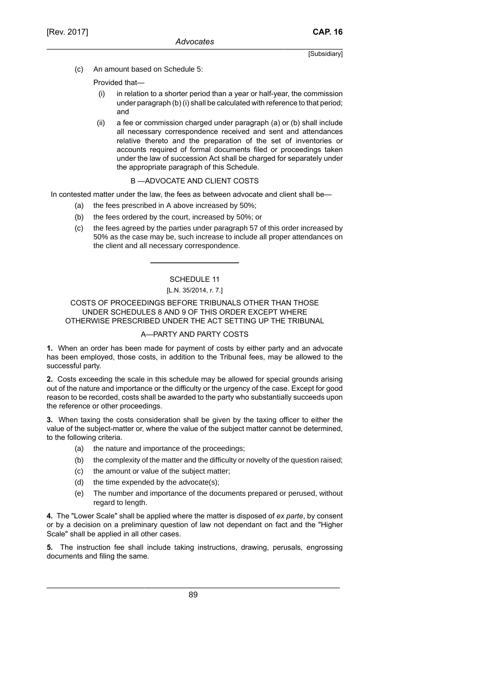(c) An amount based on Schedule 5:

Provided that—

- (i) in relation to a shorter period than a year or half-year, the commission under paragraph (b) (i) shall be calculated with reference to that period; and
- (ii) a fee or commission charged under paragraph (a) or (b) shall include all necessary correspondence received and sent and attendances relative thereto and the preparation of the set of inventories or accounts required of formal documents filed or proceedings taken under the law of succession Act shall be charged for separately under the appropriate paragraph of this Schedule.

# B —ADVOCATE AND CLIENT COSTS

In contested matter under the law, the fees as between advocate and client shall be—

- (a) the fees prescribed in A above increased by 50%;
- (b) the fees ordered by the court, increased by 50%; or
- (c) the fees agreed by the parties under paragraph 57 of this order increased by 50% as the case may be, such increase to include all proper attendances on the client and all necessary correspondence.

# SCHEDULE 11

# [L.N. 35/2014, r. 7.]

COSTS OF PROCEEDINGS BEFORE TRIBUNALS OTHER THAN THOSE UNDER SCHEDULES 8 AND 9 OF THIS ORDER EXCEPT WHERE OTHERWISE PRESCRIBED UNDER THE ACT SETTING UP THE TRIBUNAL

# A—PARTY AND PARTY COSTS

**1.** When an order has been made for payment of costs by either party and an advocate has been employed, those costs, in addition to the Tribunal fees, may be allowed to the successful party.

**2.** Costs exceeding the scale in this schedule may be allowed for special grounds arising out of the nature and importance or the difficulty or the urgency of the case. Except for good reason to be recorded, costs shall be awarded to the party who substantially succeeds upon the reference or other proceedings.

**3.** When taxing the costs consideration shall be given by the taxing officer to either the value of the subject-matter or, where the value of the subject matter cannot be determined, to the following criteria.

- (a) the nature and importance of the proceedings;
- (b) the complexity of the matter and the difficulty or novelty of the question raised;
- (c) the amount or value of the subject matter;
- (d) the time expended by the advocate(s);
- (e) The number and importance of the documents prepared or perused, without regard to length.

**4.** The "Lower Scale" shall be applied where the matter is disposed of *ex parte*, by consent or by a decision on a preliminary question of law not dependant on fact and the "Higher Scale" shall be applied in all other cases.

**5.** The instruction fee shall include taking instructions, drawing, perusals, engrossing documents and filing the same.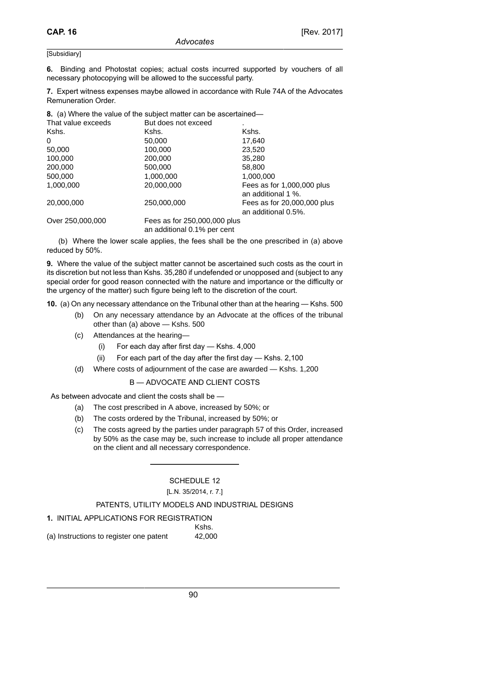**6.** Binding and Photostat copies; actual costs incurred supported by vouchers of all necessary photocopying will be allowed to the successful party.

**7.** Expert witness expenses maybe allowed in accordance with Rule 74A of the Advocates Remuneration Order.

**8.** (a) Where the value of the subject matter can be ascertained—

| That value exceeds | But does not exceed                                         |                                                    |
|--------------------|-------------------------------------------------------------|----------------------------------------------------|
| Kshs.              | Kshs.                                                       | Kshs.                                              |
| 0                  | 50,000                                                      | 17,640                                             |
| 50,000             | 100,000                                                     | 23,520                                             |
| 100,000            | 200,000                                                     | 35,280                                             |
| 200,000            | 500,000                                                     | 58,800                                             |
| 500,000            | 1,000,000                                                   | 1,000,000                                          |
| 1,000,000          | 20,000,000                                                  | Fees as for 1,000,000 plus<br>an additional 1 %.   |
| 20,000,000         | 250,000,000                                                 | Fees as for 20,000,000 plus<br>an additional 0.5%. |
| Over 250,000,000   | Fees as for 250,000,000 plus<br>an additional 0.1% per cent |                                                    |

(b) Where the lower scale applies, the fees shall be the one prescribed in (a) above reduced by 50%.

**9.** Where the value of the subject matter cannot be ascertained such costs as the court in its discretion but not less than Kshs. 35,280 if undefended or unopposed and (subject to any special order for good reason connected with the nature and importance or the difficulty or the urgency of the matter) such figure being left to the discretion of the court.

**10.** (a) On any necessary attendance on the Tribunal other than at the hearing — Kshs. 500

- (b) On any necessary attendance by an Advocate at the offices of the tribunal other than (a) above — Kshs. 500
- (c) Attendances at the hearing—
	- (i) For each day after first day Kshs. 4,000
	- (ii) For each part of the day after the first day Kshs. 2,100
- (d) Where costs of adjournment of the case are awarded Kshs. 1,200

B — ADVOCATE AND CLIENT COSTS

As between advocate and client the costs shall be —

- (a) The cost prescribed in A above, increased by 50%; or
- (b) The costs ordered by the Tribunal, increased by 50%; or
- (c) The costs agreed by the parties under paragraph 57 of this Order, increased by 50% as the case may be, such increase to include all proper attendance on the client and all necessary correspondence.

# SCHEDULE 12 [L.N. 35/2014, r. 7.]

# PATENTS, UTILITY MODELS AND INDUSTRIAL DESIGNS

| 1. INITIAL APPLICATIONS FOR REGISTRATION |        |
|------------------------------------------|--------|
|                                          | Kshs.  |
| (a) Instructions to register one patent  | 42.000 |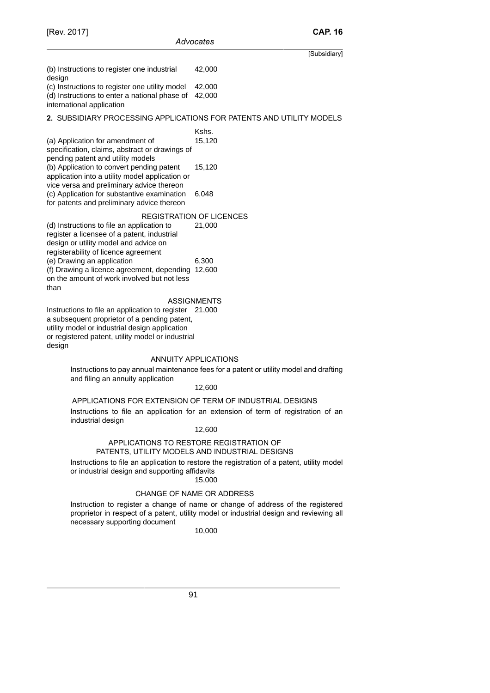(b) Instructions to register one industrial design 42,000 (c) Instructions to register one utility model 42,000

(d) Instructions to enter a national phase of 42,000 international application

# **2.** SUBSIDIARY PROCESSING APPLICATIONS FOR PATENTS AND UTILITY MODELS

# Kshs.

(a) Application for amendment of specification, claims, abstract or drawings of pending patent and utility models 15,120 (b) Application to convert pending patent application into a utility model application or vice versa and preliminary advice thereon 15,120 (c) Application for substantive examination for patents and preliminary advice thereon 6,048

### REGISTRATION OF LICENCES

(d) Instructions to file an application to register a licensee of a patent, industrial design or utility model and advice on registerability of licence agreement 21,000 (e) Drawing an application 6,300 (f) Drawing a licence agreement, depending 12,600 on the amount of work involved but not less than

# ASSIGNMENTS

Instructions to file an application to register 21,000 a subsequent proprietor of a pending patent, utility model or industrial design application or registered patent, utility model or industrial design

# ANNUITY APPLICATIONS

Instructions to pay annual maintenance fees for a patent or utility model and drafting and filing an annuity application

### 12,600

APPLICATIONS FOR EXTENSION OF TERM OF INDUSTRIAL DESIGNS Instructions to file an application for an extension of term of registration of an industrial design

# 12,600

# APPLICATIONS TO RESTORE REGISTRATION OF PATENTS, UTILITY MODELS AND INDUSTRIAL DESIGNS

Instructions to file an application to restore the registration of a patent, utility model or industrial design and supporting affidavits

# 15,000

# CHANGE OF NAME OR ADDRESS

Instruction to register a change of name or change of address of the registered proprietor in respect of a patent, utility model or industrial design and reviewing all necessary supporting document

# 10,000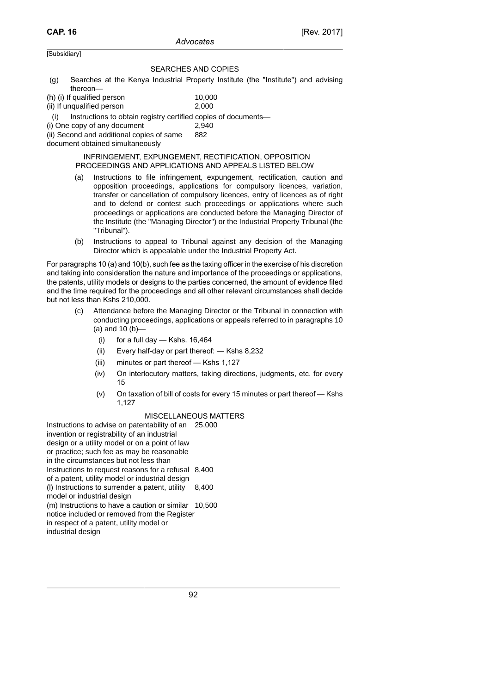# SEARCHES AND COPIES

- (g) Searches at the Kenya Industrial Property Institute (the "Institute") and advising thereon—
- $(h)$  (i) If qualified person  $10,000$ (ii) If unqualified person 2,000

Instructions to obtain registry certified copies of documents-

(i) One copy of any document 2,940

(ii) Second and additional copies of same 882

document obtained simultaneously

### INFRINGEMENT, EXPUNGEMENT, RECTIFICATION, OPPOSITION PROCEEDINGS AND APPLICATIONS AND APPEALS LISTED BELOW

- (a) Instructions to file infringement, expungement, rectification, caution and opposition proceedings, applications for compulsory licences, variation, transfer or cancellation of compulsory licences, entry of licences as of right and to defend or contest such proceedings or applications where such proceedings or applications are conducted before the Managing Director of the Institute (the "Managing Director") or the Industrial Property Tribunal (the "Tribunal").
- (b) Instructions to appeal to Tribunal against any decision of the Managing Director which is appealable under the Industrial Property Act.

For paragraphs 10 (a) and 10(b), such fee as the taxing officer in the exercise of his discretion and taking into consideration the nature and importance of the proceedings or applications, the patents, utility models or designs to the parties concerned, the amount of evidence filed and the time required for the proceedings and all other relevant circumstances shall decide but not less than Kshs 210,000.

- (c) Attendance before the Managing Director or the Tribunal in connection with conducting proceedings, applications or appeals referred to in paragraphs 10 (a) and 10 (b)—
	- $(i)$  for a full day Kshs. 16,464
	- (ii) Every half-day or part thereof: Kshs 8,232
	- (iii) minutes or part thereof Kshs 1,127
	- (iv) On interlocutory matters, taking directions, judgments, etc. for every 15
	- (v) On taxation of bill of costs for every 15 minutes or part thereof Kshs 1,127

### MISCELLANEOUS MATTERS

Instructions to advise on patentability of an 25,000 invention or registrability of an industrial design or a utility model or on a point of law or practice; such fee as may be reasonable in the circumstances but not less than Instructions to request reasons for a refusal 8,400 of a patent, utility model or industrial design (l) Instructions to surrender a patent, utility model or industrial design 8,400 (m) Instructions to have a caution or similar 10,500notice included or removed from the Register in respect of a patent, utility model or industrial design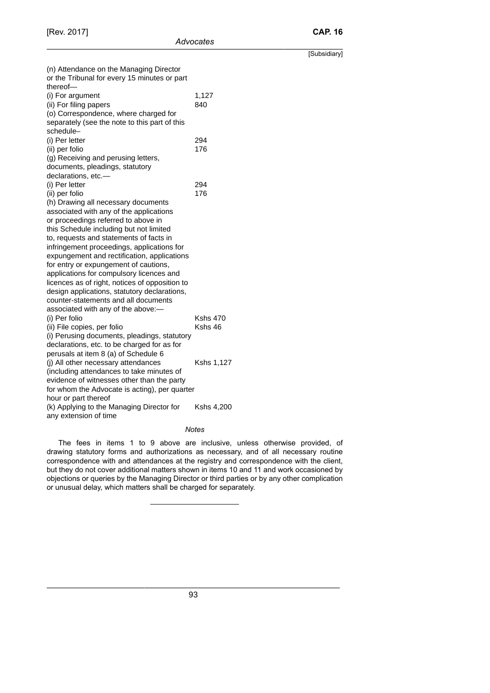|                                                                                         |                 | [Subsidiary] |
|-----------------------------------------------------------------------------------------|-----------------|--------------|
| (n) Attendance on the Managing Director<br>or the Tribunal for every 15 minutes or part |                 |              |
| thereof-                                                                                |                 |              |
| (i) For argument                                                                        | 1,127           |              |
| (ii) For filing papers                                                                  | 840             |              |
| (o) Correspondence, where charged for                                                   |                 |              |
| separately (see the note to this part of this                                           |                 |              |
| schedule-                                                                               |                 |              |
| (i) Per letter                                                                          | 294             |              |
| (ii) per folio                                                                          | 176             |              |
| (g) Receiving and perusing letters,                                                     |                 |              |
| documents, pleadings, statutory                                                         |                 |              |
| declarations, etc.-                                                                     |                 |              |
| (i) Per letter                                                                          | 294             |              |
| (ii) per folio                                                                          | 176             |              |
| (h) Drawing all necessary documents                                                     |                 |              |
| associated with any of the applications                                                 |                 |              |
| or proceedings referred to above in                                                     |                 |              |
| this Schedule including but not limited                                                 |                 |              |
| to, requests and statements of facts in                                                 |                 |              |
| infringement proceedings, applications for                                              |                 |              |
| expungement and rectification, applications                                             |                 |              |
| for entry or expungement of cautions,                                                   |                 |              |
| applications for compulsory licences and                                                |                 |              |
| licences as of right, notices of opposition to                                          |                 |              |
| design applications, statutory declarations,                                            |                 |              |
| counter-statements and all documents                                                    |                 |              |
| associated with any of the above:-                                                      |                 |              |
| (i) Per folio                                                                           | <b>Kshs 470</b> |              |
| (ii) File copies, per folio                                                             | Kshs 46         |              |
| (i) Perusing documents, pleadings, statutory                                            |                 |              |
| declarations, etc. to be charged for as for                                             |                 |              |
| perusals at item 8 (a) of Schedule 6                                                    |                 |              |
| (j) All other necessary attendances                                                     | Kshs 1,127      |              |
| (including attendances to take minutes of                                               |                 |              |
| evidence of witnesses other than the party                                              |                 |              |
| for whom the Advocate is acting), per quarter                                           |                 |              |
| hour or part thereof                                                                    |                 |              |
| (k) Applying to the Managing Director for                                               | Kshs 4,200      |              |
| any extension of time                                                                   |                 |              |

## *Notes*

The fees in items 1 to 9 above are inclusive, unless otherwise provided, of drawing statutory forms and authorizations as necessary, and of all necessary routine correspondence with and attendances at the registry and correspondence with the client, but they do not cover additional matters shown in items 10 and 11 and work occasioned by objections or queries by the Managing Director or third parties or by any other complication or unusual delay, which matters shall be charged for separately.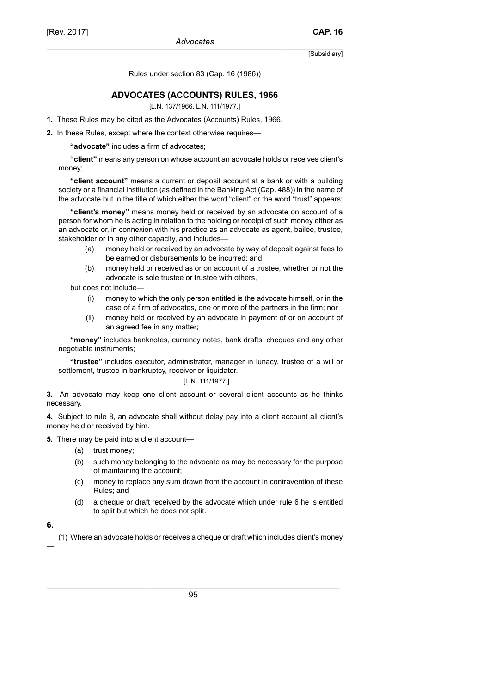Rules under section 83 (Cap. 16 (1986))

# **ADVOCATES (ACCOUNTS) RULES, 1966**

[L.N. 137/1966, L.N. 111/1977.]

**1.** These Rules may be cited as the Advocates (Accounts) Rules, 1966.

**2.** In these Rules, except where the context otherwise requires—

**"advocate"** includes a firm of advocates;

**"client"** means any person on whose account an advocate holds or receives client's money;

**"client account"** means a current or deposit account at a bank or with a building society or a financial institution (as defined in the Banking Act (Cap. 488)) in the name of the advocate but in the title of which either the word "client" or the word "trust" appears;

**"client's money"** means money held or received by an advocate on account of a person for whom he is acting in relation to the holding or receipt of such money either as an advocate or, in connexion with his practice as an advocate as agent, bailee, trustee, stakeholder or in any other capacity, and includes—

- (a) money held or received by an advocate by way of deposit against fees to be earned or disbursements to be incurred; and
- (b) money held or received as or on account of a trustee, whether or not the advocate is sole trustee or trustee with others,

but does not include—

- (i) money to which the only person entitled is the advocate himself, or in the case of a firm of advocates, one or more of the partners in the firm; nor
- (ii) money held or received by an advocate in payment of or on account of an agreed fee in any matter;

**"money"** includes banknotes, currency notes, bank drafts, cheques and any other negotiable instruments;

**"trustee"** includes executor, administrator, manager in lunacy, trustee of a will or settlement, trustee in bankruptcy, receiver or liquidator.

# [L.N. 111/1977.]

**3.** An advocate may keep one client account or several client accounts as he thinks necessary.

**4.** Subject to rule 8, an advocate shall without delay pay into a client account all client's money held or received by him.

**5.** There may be paid into a client account—

- (a) trust money;
- (b) such money belonging to the advocate as may be necessary for the purpose of maintaining the account;
- (c) money to replace any sum drawn from the account in contravention of these Rules; and
- (d) a cheque or draft received by the advocate which under rule 6 he is entitled to split but which he does not split.
- **6.**

—

(1) Where an advocate holds or receives a cheque or draft which includes client's money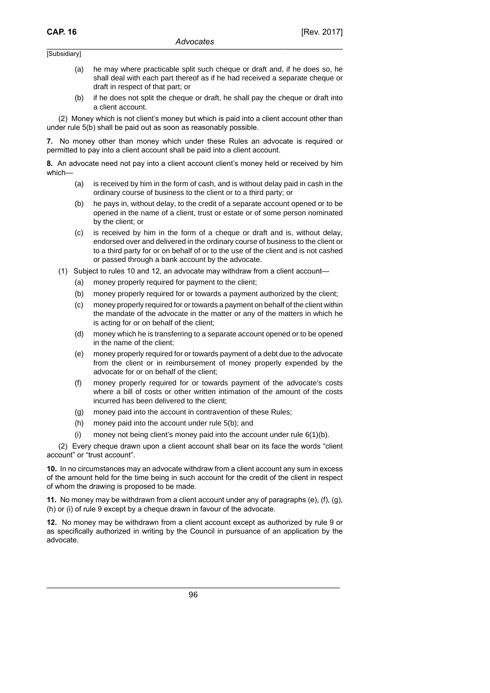- (a) he may where practicable split such cheque or draft and, if he does so, he shall deal with each part thereof as if he had received a separate cheque or draft in respect of that part; or
- (b) if he does not split the cheque or draft, he shall pay the cheque or draft into a client account.

(2) Money which is not client's money but which is paid into a client account other than under rule 5(b) shall be paid out as soon as reasonably possible.

**7.** No money other than money which under these Rules an advocate is required or permitted to pay into a client account shall be paid into a client account.

**8.** An advocate need not pay into a client account client's money held or received by him which—

- (a) is received by him in the form of cash, and is without delay paid in cash in the ordinary course of business to the client or to a third party; or
- (b) he pays in, without delay, to the credit of a separate account opened or to be opened in the name of a client, trust or estate or of some person nominated by the client; or
- (c) is received by him in the form of a cheque or draft and is, without delay, endorsed over and delivered in the ordinary course of business to the client or to a third party for or on behalf of or to the use of the client and is not cashed or passed through a bank account by the advocate.
- (1) Subject to rules 10 and 12, an advocate may withdraw from a client account—
	- (a) money properly required for payment to the client;
	- (b) money properly required for or towards a payment authorized by the client;
	- (c) money properly required for or towards a payment on behalf of the client within the mandate of the advocate in the matter or any of the matters in which he is acting for or on behalf of the client;
	- (d) money which he is transferring to a separate account opened or to be opened in the name of the client;
	- (e) money properly required for or towards payment of a debt due to the advocate from the client or in reimbursement of money properly expended by the advocate for or on behalf of the client;
	- (f) money properly required for or towards payment of the advocate's costs where a bill of costs or other written intimation of the amount of the costs incurred has been delivered to the client;
	- (g) money paid into the account in contravention of these Rules;
	- (h) money paid into the account under rule 5(b); and
	- (i) money not being client's money paid into the account under rule  $6(1)(b)$ .

(2) Every cheque drawn upon a client account shall bear on its face the words "client account" or "trust account".

**10.** In no circumstances may an advocate withdraw from a client account any sum in excess of the amount held for the time being in such account for the credit of the client in respect of whom the drawing is proposed to be made.

**11.** No money may be withdrawn from a client account under any of paragraphs (e), (f), (g), (h) or (i) of rule 9 except by a cheque drawn in favour of the advocate.

**12.** No money may be withdrawn from a client account except as authorized by rule 9 or as specifically authorized in writing by the Council in pursuance of an application by the advocate.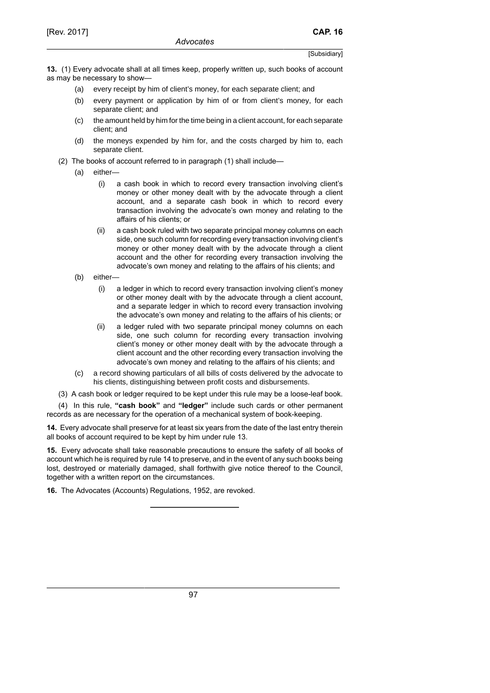**13.** (1) Every advocate shall at all times keep, properly written up, such books of account as may be necessary to show—

- (a) every receipt by him of client's money, for each separate client; and
- (b) every payment or application by him of or from client's money, for each separate client; and
- (c) the amount held by him for the time being in a client account, for each separate client; and
- (d) the moneys expended by him for, and the costs charged by him to, each separate client.
- (2) The books of account referred to in paragraph (1) shall include—
	- (a) either—
		- (i) a cash book in which to record every transaction involving client's money or other money dealt with by the advocate through a client account, and a separate cash book in which to record every transaction involving the advocate's own money and relating to the affairs of his clients; or
		- (ii) a cash book ruled with two separate principal money columns on each side, one such column for recording every transaction involving client's money or other money dealt with by the advocate through a client account and the other for recording every transaction involving the advocate's own money and relating to the affairs of his clients; and
	- (b) either—
		- (i) a ledger in which to record every transaction involving client's money or other money dealt with by the advocate through a client account, and a separate ledger in which to record every transaction involving the advocate's own money and relating to the affairs of his clients; or
		- (ii) a ledger ruled with two separate principal money columns on each side, one such column for recording every transaction involving client's money or other money dealt with by the advocate through a client account and the other recording every transaction involving the advocate's own money and relating to the affairs of his clients; and
	- (c) a record showing particulars of all bills of costs delivered by the advocate to his clients, distinguishing between profit costs and disbursements.
- (3) A cash book or ledger required to be kept under this rule may be a loose-leaf book.

(4) In this rule, **"cash book"** and **"ledger"** include such cards or other permanent records as are necessary for the operation of a mechanical system of book-keeping.

**14.** Every advocate shall preserve for at least six years from the date of the last entry therein all books of account required to be kept by him under rule 13.

**15.** Every advocate shall take reasonable precautions to ensure the safety of all books of account which he is required by rule 14 to preserve, and in the event of any such books being lost, destroyed or materially damaged, shall forthwith give notice thereof to the Council, together with a written report on the circumstances.

**16.** The Advocates (Accounts) Regulations, 1952, are revoked.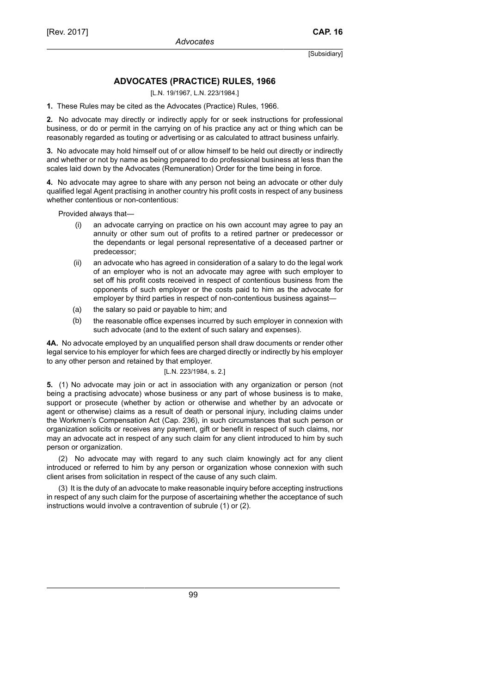# **ADVOCATES (PRACTICE) RULES, 1966**

[L.N. 19/1967, L.N. 223/1984.]

**1.** These Rules may be cited as the Advocates (Practice) Rules, 1966.

**2.** No advocate may directly or indirectly apply for or seek instructions for professional business, or do or permit in the carrying on of his practice any act or thing which can be reasonably regarded as touting or advertising or as calculated to attract business unfairly.

**3.** No advocate may hold himself out of or allow himself to be held out directly or indirectly and whether or not by name as being prepared to do professional business at less than the scales laid down by the Advocates (Remuneration) Order for the time being in force.

**4.** No advocate may agree to share with any person not being an advocate or other duly qualified legal Agent practising in another country his profit costs in respect of any business whether contentious or non-contentious:

Provided always that—

- (i) an advocate carrying on practice on his own account may agree to pay an annuity or other sum out of profits to a retired partner or predecessor or the dependants or legal personal representative of a deceased partner or predecessor;
- (ii) an advocate who has agreed in consideration of a salary to do the legal work of an employer who is not an advocate may agree with such employer to set off his profit costs received in respect of contentious business from the opponents of such employer or the costs paid to him as the advocate for employer by third parties in respect of non-contentious business against—
- (a) the salary so paid or payable to him; and
- (b) the reasonable office expenses incurred by such employer in connexion with such advocate (and to the extent of such salary and expenses).

**4A.** No advocate employed by an unqualified person shall draw documents or render other legal service to his employer for which fees are charged directly or indirectly by his employer to any other person and retained by that employer.

# [L.N. 223/1984, s. 2.]

**5.** (1) No advocate may join or act in association with any organization or person (not being a practising advocate) whose business or any part of whose business is to make, support or prosecute (whether by action or otherwise and whether by an advocate or agent or otherwise) claims as a result of death or personal injury, including claims under the Workmen's Compensation Act (Cap. 236), in such circumstances that such person or organization solicits or receives any payment, gift or benefit in respect of such claims, nor may an advocate act in respect of any such claim for any client introduced to him by such person or organization.

(2) No advocate may with regard to any such claim knowingly act for any client introduced or referred to him by any person or organization whose connexion with such client arises from solicitation in respect of the cause of any such claim.

(3) It is the duty of an advocate to make reasonable inquiry before accepting instructions in respect of any such claim for the purpose of ascertaining whether the acceptance of such instructions would involve a contravention of subrule (1) or (2).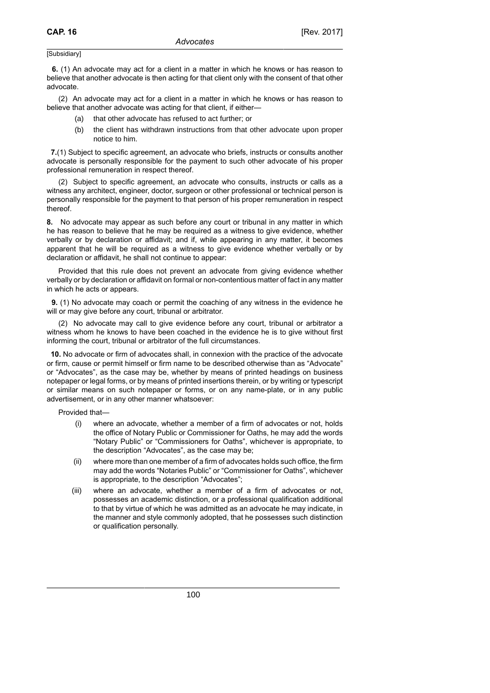**6.** (1) An advocate may act for a client in a matter in which he knows or has reason to believe that another advocate is then acting for that client only with the consent of that other advocate.

(2) An advocate may act for a client in a matter in which he knows or has reason to believe that another advocate was acting for that client, if either—

- that other advocate has refused to act further; or
- (b) the client has withdrawn instructions from that other advocate upon proper notice to him.

 **7.**(1) Subject to specific agreement, an advocate who briefs, instructs or consults another advocate is personally responsible for the payment to such other advocate of his proper professional remuneration in respect thereof.

(2) Subject to specific agreement, an advocate who consults, instructs or calls as a witness any architect, engineer, doctor, surgeon or other professional or technical person is personally responsible for the payment to that person of his proper remuneration in respect thereof.

**8.** No advocate may appear as such before any court or tribunal in any matter in which he has reason to believe that he may be required as a witness to give evidence, whether verbally or by declaration or affidavit; and if, while appearing in any matter, it becomes apparent that he will be required as a witness to give evidence whether verbally or by declaration or affidavit, he shall not continue to appear:

Provided that this rule does not prevent an advocate from giving evidence whether verbally or by declaration or affidavit on formal or non-contentious matter of fact in any matter in which he acts or appears.

 **9.** (1) No advocate may coach or permit the coaching of any witness in the evidence he will or may give before any court, tribunal or arbitrator.

(2) No advocate may call to give evidence before any court, tribunal or arbitrator a witness whom he knows to have been coached in the evidence he is to give without first informing the court, tribunal or arbitrator of the full circumstances.

 **10.** No advocate or firm of advocates shall, in connexion with the practice of the advocate or firm, cause or permit himself or firm name to be described otherwise than as "Advocate" or "Advocates", as the case may be, whether by means of printed headings on business notepaper or legal forms, or by means of printed insertions therein, or by writing or typescript or similar means on such notepaper or forms, or on any name-plate, or in any public advertisement, or in any other manner whatsoever:

Provided that—

- (i) where an advocate, whether a member of a firm of advocates or not, holds the office of Notary Public or Commissioner for Oaths, he may add the words "Notary Public" or "Commissioners for Oaths", whichever is appropriate, to the description "Advocates", as the case may be;
- (ii) where more than one member of a firm of advocates holds such office, the firm may add the words "Notaries Public" or "Commissioner for Oaths", whichever is appropriate, to the description "Advocates";
- (iii) where an advocate, whether a member of a firm of advocates or not, possesses an academic distinction, or a professional qualification additional to that by virtue of which he was admitted as an advocate he may indicate, in the manner and style commonly adopted, that he possesses such distinction or qualification personally.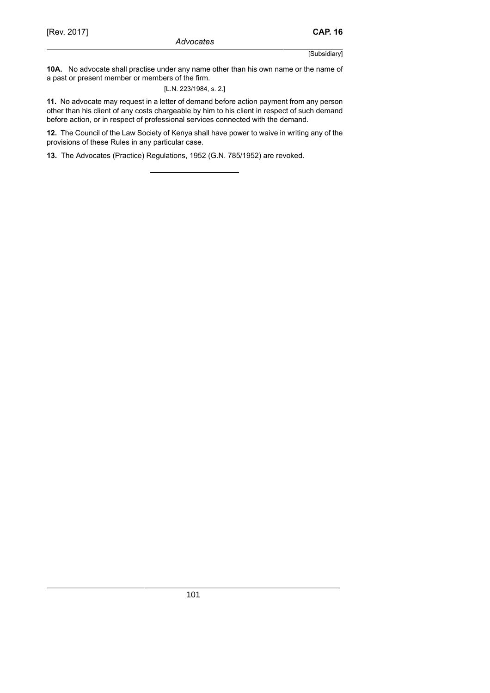**10A.** No advocate shall practise under any name other than his own name or the name of a past or present member or members of the firm.

[L.N. 223/1984, s. 2.]

**11.** No advocate may request in a letter of demand before action payment from any person other than his client of any costs chargeable by him to his client in respect of such demand before action, or in respect of professional services connected with the demand.

**12.** The Council of the Law Society of Kenya shall have power to waive in writing any of the provisions of these Rules in any particular case.

**13.** The Advocates (Practice) Regulations, 1952 (G.N. 785/1952) are revoked.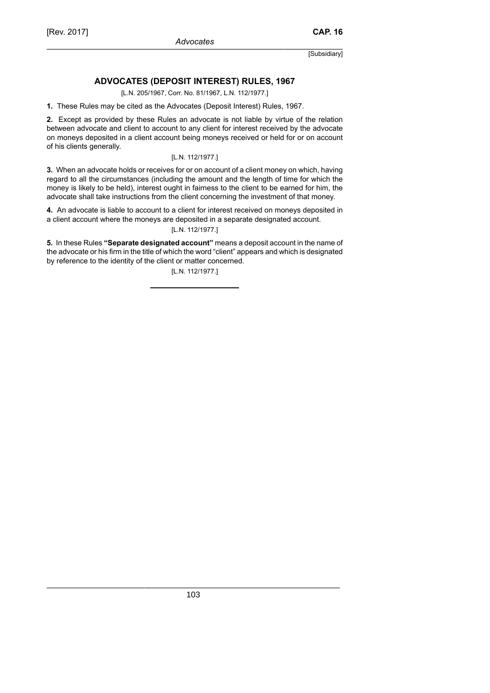# **ADVOCATES (DEPOSIT INTEREST) RULES, 1967**

[L.N. 205/1967, Corr. No. 81/1967, L.N. 112/1977.]

**1.** These Rules may be cited as the Advocates (Deposit Interest) Rules, 1967.

**2.** Except as provided by these Rules an advocate is not liable by virtue of the relation between advocate and client to account to any client for interest received by the advocate on moneys deposited in a client account being moneys received or held for or on account of his clients generally.

# [L.N. 112/1977.]

**3.** When an advocate holds or receives for or on account of a client money on which, having regard to all the circumstances (including the amount and the length of time for which the money is likely to be held), interest ought in fairness to the client to be earned for him, the advocate shall take instructions from the client concerning the investment of that money.

**4.** An advocate is liable to account to a client for interest received on moneys deposited in a client account where the moneys are deposited in a separate designated account.

# [L.N. 112/1977.]

**5.** In these Rules **"Separate designated account"** means a deposit account in the name of the advocate or his firm in the title of which the word "client" appears and which is designated by reference to the identity of the client or matter concerned.

[L.N. 112/1977.]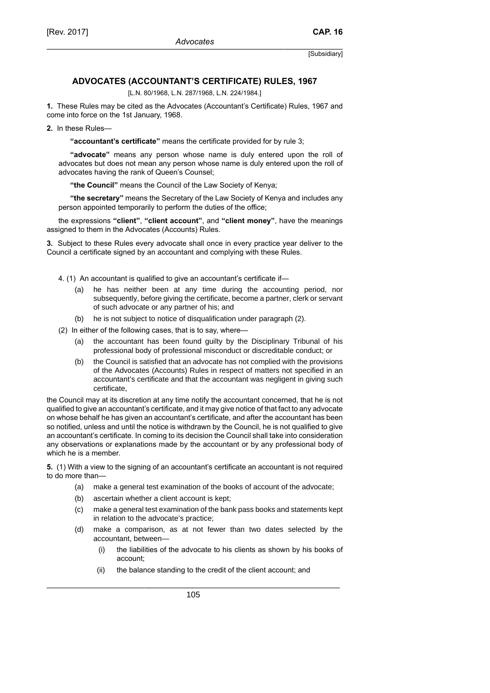# **ADVOCATES (ACCOUNTANT'S CERTIFICATE) RULES, 1967**

[L.N. 80/1968, L.N. 287/1968, L.N. 224/1984.]

**1.** These Rules may be cited as the Advocates (Accountant's Certificate) Rules, 1967 and come into force on the 1st January, 1968.

**2.** In these Rules—

**"accountant's certificate"** means the certificate provided for by rule 3;

**"advocate"** means any person whose name is duly entered upon the roll of advocates but does not mean any person whose name is duly entered upon the roll of advocates having the rank of Queen's Counsel;

**"the Council"** means the Council of the Law Society of Kenya;

**"the secretary"** means the Secretary of the Law Society of Kenya and includes any person appointed temporarily to perform the duties of the office;

the expressions **"client"**, **"client account"**, and **"client money"**, have the meanings assigned to them in the Advocates (Accounts) Rules.

**3.** Subject to these Rules every advocate shall once in every practice year deliver to the Council a certificate signed by an accountant and complying with these Rules.

- 4. (1) An accountant is qualified to give an accountant's certificate if—
	- (a) he has neither been at any time during the accounting period, nor subsequently, before giving the certificate, become a partner, clerk or servant of such advocate or any partner of his; and
	- (b) he is not subject to notice of disqualification under paragraph (2).
- (2) In either of the following cases, that is to say, where—
	- (a) the accountant has been found guilty by the Disciplinary Tribunal of his professional body of professional misconduct or discreditable conduct; or
	- (b) the Council is satisfied that an advocate has not complied with the provisions of the Advocates (Accounts) Rules in respect of matters not specified in an accountant's certificate and that the accountant was negligent in giving such certificate,

the Council may at its discretion at any time notify the accountant concerned, that he is not qualified to give an accountant's certificate, and it may give notice of that fact to any advocate on whose behalf he has given an accountant's certificate, and after the accountant has been so notified, unless and until the notice is withdrawn by the Council, he is not qualified to give an accountant's certificate. In coming to its decision the Council shall take into consideration any observations or explanations made by the accountant or by any professional body of which he is a member.

**5.** (1) With a view to the signing of an accountant's certificate an accountant is not required to do more than—

- (a) make a general test examination of the books of account of the advocate;
- (b) ascertain whether a client account is kept;
- (c) make a general test examination of the bank pass books and statements kept in relation to the advocate's practice;
- (d) make a comparison, as at not fewer than two dates selected by the accountant, between—
	- (i) the liabilities of the advocate to his clients as shown by his books of account;
	- (ii) the balance standing to the credit of the client account; and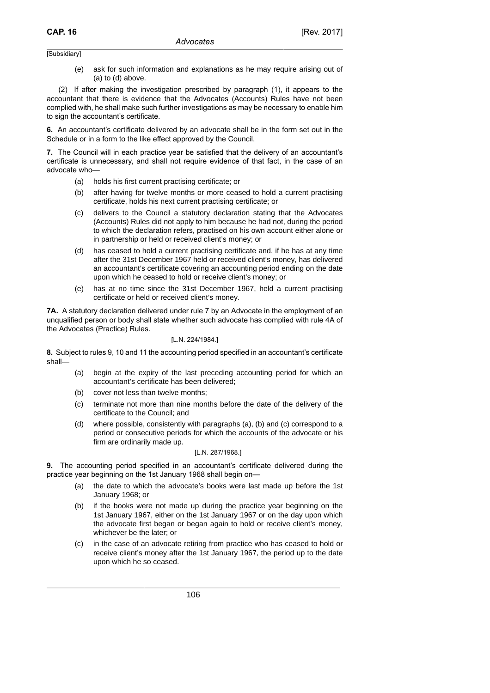(e) ask for such information and explanations as he may require arising out of (a) to (d) above.

(2) If after making the investigation prescribed by paragraph (1), it appears to the accountant that there is evidence that the Advocates (Accounts) Rules have not been complied with, he shall make such further investigations as may be necessary to enable him to sign the accountant's certificate.

**6.** An accountant's certificate delivered by an advocate shall be in the form set out in the Schedule or in a form to the like effect approved by the Council.

**7.** The Council will in each practice year be satisfied that the delivery of an accountant's certificate is unnecessary, and shall not require evidence of that fact, in the case of an advocate who—

- (a) holds his first current practising certificate; or
- (b) after having for twelve months or more ceased to hold a current practising certificate, holds his next current practising certificate; or
- (c) delivers to the Council a statutory declaration stating that the Advocates (Accounts) Rules did not apply to him because he had not, during the period to which the declaration refers, practised on his own account either alone or in partnership or held or received client's money; or
- (d) has ceased to hold a current practising certificate and, if he has at any time after the 31st December 1967 held or received client's money, has delivered an accountant's certificate covering an accounting period ending on the date upon which he ceased to hold or receive client's money; or
- (e) has at no time since the 31st December 1967, held a current practising certificate or held or received client's money.

**7A.** A statutory declaration delivered under rule 7 by an Advocate in the employment of an unqualified person or body shall state whether such advocate has complied with rule 4A of the Advocates (Practice) Rules.

# [L.N. 224/1984.]

**8.** Subject to rules 9, 10 and 11 the accounting period specified in an accountant's certificate shall—

- (a) begin at the expiry of the last preceding accounting period for which an accountant's certificate has been delivered;
- (b) cover not less than twelve months;
- (c) terminate not more than nine months before the date of the delivery of the certificate to the Council; and
- (d) where possible, consistently with paragraphs (a), (b) and (c) correspond to a period or consecutive periods for which the accounts of the advocate or his firm are ordinarily made up.

### [L.N. 287/1968.]

**9.** The accounting period specified in an accountant's certificate delivered during the practice year beginning on the 1st January 1968 shall begin on—

- (a) the date to which the advocate's books were last made up before the 1st January 1968; or
- (b) if the books were not made up during the practice year beginning on the 1st January 1967, either on the 1st January 1967 or on the day upon which the advocate first began or began again to hold or receive client's money, whichever be the later; or
- (c) in the case of an advocate retiring from practice who has ceased to hold or receive client's money after the 1st January 1967, the period up to the date upon which he so ceased.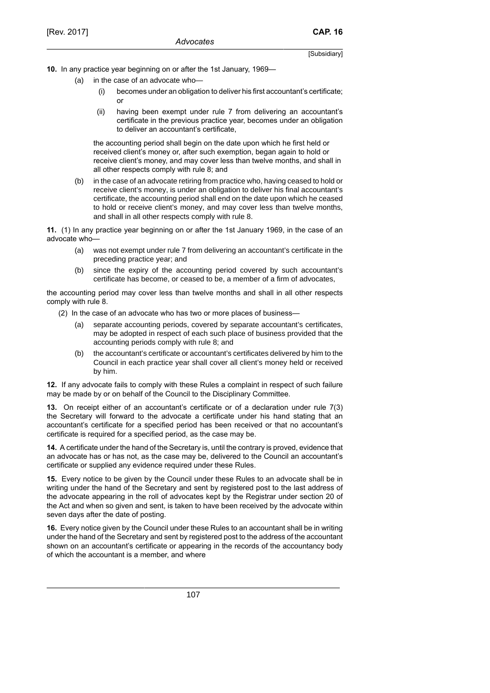**10.** In any practice year beginning on or after the 1st January, 1969—

- (a) in the case of an advocate who—
	- (i) becomes under an obligation to deliver his first accountant's certificate; or
	- (ii) having been exempt under rule 7 from delivering an accountant's certificate in the previous practice year, becomes under an obligation to deliver an accountant's certificate,

the accounting period shall begin on the date upon which he first held or received client's money or, after such exemption, began again to hold or receive client's money, and may cover less than twelve months, and shall in all other respects comply with rule 8; and

(b) in the case of an advocate retiring from practice who, having ceased to hold or receive client's money, is under an obligation to deliver his final accountant's certificate, the accounting period shall end on the date upon which he ceased to hold or receive client's money, and may cover less than twelve months, and shall in all other respects comply with rule 8.

**11.** (1) In any practice year beginning on or after the 1st January 1969, in the case of an advocate who—

- (a) was not exempt under rule 7 from delivering an accountant's certificate in the preceding practice year; and
- (b) since the expiry of the accounting period covered by such accountant's certificate has become, or ceased to be, a member of a firm of advocates,

the accounting period may cover less than twelve months and shall in all other respects comply with rule 8.

- (2) In the case of an advocate who has two or more places of business—
	- (a) separate accounting periods, covered by separate accountant's certificates, may be adopted in respect of each such place of business provided that the accounting periods comply with rule 8; and
	- (b) the accountant's certificate or accountant's certificates delivered by him to the Council in each practice year shall cover all client's money held or received by him.

**12.** If any advocate fails to comply with these Rules a complaint in respect of such failure may be made by or on behalf of the Council to the Disciplinary Committee.

**13.** On receipt either of an accountant's certificate or of a declaration under rule 7(3) the Secretary will forward to the advocate a certificate under his hand stating that an accountant's certificate for a specified period has been received or that no accountant's certificate is required for a specified period, as the case may be.

**14.** A certificate under the hand of the Secretary is, until the contrary is proved, evidence that an advocate has or has not, as the case may be, delivered to the Council an accountant's certificate or supplied any evidence required under these Rules.

**15.** Every notice to be given by the Council under these Rules to an advocate shall be in writing under the hand of the Secretary and sent by registered post to the last address of the advocate appearing in the roll of advocates kept by the Registrar under section 20 of the Act and when so given and sent, is taken to have been received by the advocate within seven days after the date of posting.

**16.** Every notice given by the Council under these Rules to an accountant shall be in writing under the hand of the Secretary and sent by registered post to the address of the accountant shown on an accountant's certificate or appearing in the records of the accountancy body of which the accountant is a member, and where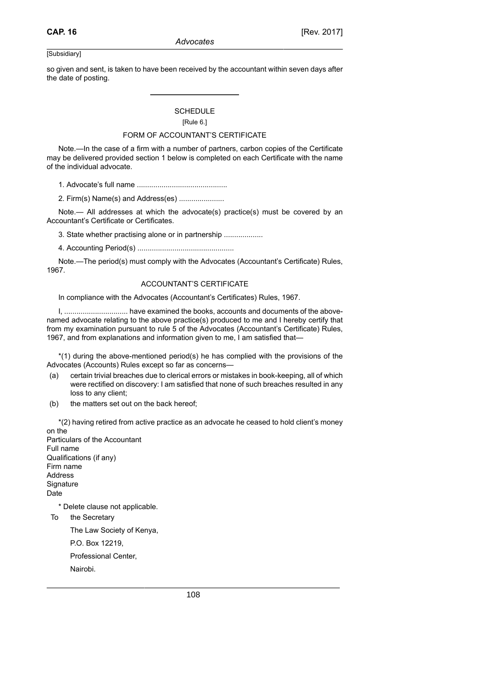so given and sent, is taken to have been received by the accountant within seven days after the date of posting.

# **SCHEDULE**

# [Rule 6.]

# FORM OF ACCOUNTANT'S CERTIFICATE

Note.—In the case of a firm with a number of partners, carbon copies of the Certificate may be delivered provided section 1 below is completed on each Certificate with the name of the individual advocate.

1. Advocate's full name ............................................

2. Firm(s) Name(s) and Address(es) ......................

Note.— All addresses at which the advocate(s) practice(s) must be covered by an Accountant's Certificate or Certificates.

3. State whether practising alone or in partnership ...................

4. Accounting Period(s) ...............................................

Note.—The period(s) must comply with the Advocates (Accountant's Certificate) Rules, 1967.

# ACCOUNTANT'S CERTIFICATE

In compliance with the Advocates (Accountant's Certificates) Rules, 1967.

I, ............................... have examined the books, accounts and documents of the abovenamed advocate relating to the above practice(s) produced to me and I hereby certify that from my examination pursuant to rule 5 of the Advocates (Accountant's Certificate) Rules, 1967, and from explanations and information given to me, I am satisfied that—

\*(1) during the above-mentioned period(s) he has complied with the provisions of the Advocates (Accounts) Rules except so far as concerns—

- (a) certain trivial breaches due to clerical errors or mistakes in book-keeping, all of which were rectified on discovery: I am satisfied that none of such breaches resulted in any loss to any client;
- (b) the matters set out on the back hereof;

\*(2) having retired from active practice as an advocate he ceased to hold client's money on the Particulars of the Accountant Full name Qualifications (if any) Firm name Address **Signature** Date \* Delete clause not applicable. To the Secretary

The Law Society of Kenya,

P.O. Box 12219,

Professional Center,

Nairobi.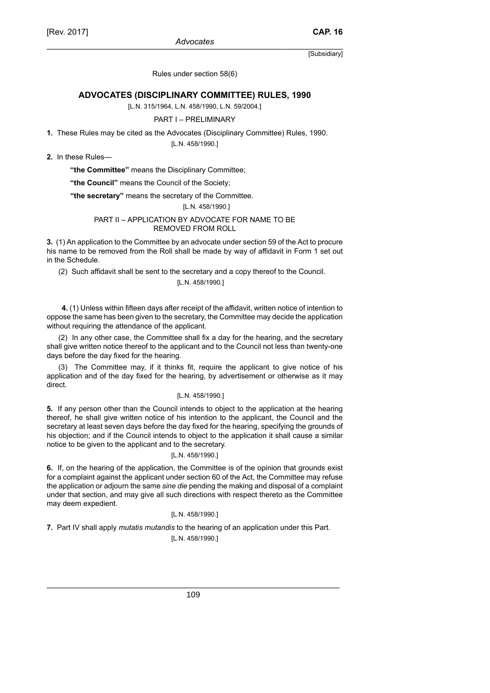Rules under section 58(6)

# **ADVOCATES (DISCIPLINARY COMMITTEE) RULES, 1990**

[L.N. 315/1964, L.N. 458/1990, L.N. 59/2004.]

# PART I – PRELIMINARY

**1.** These Rules may be cited as the Advocates (Disciplinary Committee) Rules, 1990.

[L.N. 458/1990.]

**2.** In these Rules—

**"the Committee"** means the Disciplinary Committee;

**"the Council"** means the Council of the Society;

**"the secretary"** means the secretary of the Committee.

# [L.N. 458/1990.]

### PART II – APPLICATION BY ADVOCATE FOR NAME TO BE REMOVED FROM ROLL

**3.** (1) An application to the Committee by an advocate under section 59 of the Act to procure his name to be removed from the Roll shall be made by way of affidavit in Form 1 set out in the Schedule.

(2) Such affidavit shall be sent to the secretary and a copy thereof to the Council.

# [L.N. 458/1990.]

 **4.** (1) Unless within fifteen days after receipt of the affidavit, written notice of intention to oppose the same has been given to the secretary, the Committee may decide the application without requiring the attendance of the applicant.

(2) In any other case, the Committee shall fix a day for the hearing, and the secretary shall give written notice thereof to the applicant and to the Council not less than twenty-one days before the day fixed for the hearing.

(3) The Committee may, if it thinks fit, require the applicant to give notice of his application and of the day fixed for the hearing, by advertisement or otherwise as it may direct.

### [L.N. 458/1990.]

**5.** If any person other than the Council intends to object to the application at the hearing thereof, he shall give written notice of his intention to the applicant, the Council and the secretary at least seven days before the day fixed for the hearing, specifying the grounds of his objection; and if the Council intends to object to the application it shall cause a similar notice to be given to the applicant and to the secretary.

# [L.N. 458/1990.]

**6.** If, on the hearing of the application, the Committee is of the opinion that grounds exist for a complaint against the applicant under section 60 of the Act, the Committee may refuse the application or adjourn the same *sine die* pending the making and disposal of a complaint under that section, and may give all such directions with respect thereto as the Committee may deem expedient.

#### [L.N. 458/1990.]

**7.** Part IV shall apply *mutatis mutandis* to the hearing of an application under this Part. [L.N. 458/1990.]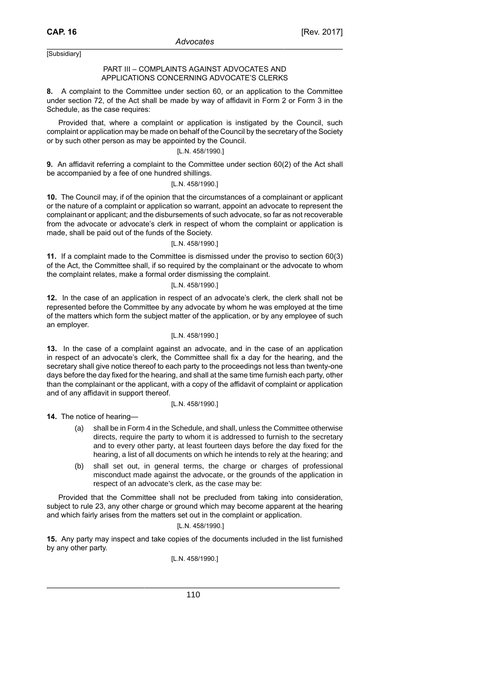# PART III – COMPLAINTS AGAINST ADVOCATES AND APPLICATIONS CONCERNING ADVOCATE'S CLERKS

**8.** A complaint to the Committee under section 60, or an application to the Committee under section 72, of the Act shall be made by way of affidavit in Form 2 or Form 3 in the Schedule, as the case requires:

Provided that, where a complaint or application is instigated by the Council, such complaint or application may be made on behalf of the Council by the secretary of the Society or by such other person as may be appointed by the Council.

# [L.N. 458/1990.]

**9.** An affidavit referring a complaint to the Committee under section 60(2) of the Act shall be accompanied by a fee of one hundred shillings.

# [L.N. 458/1990.]

**10.** The Council may, if of the opinion that the circumstances of a complainant or applicant or the nature of a complaint or application so warrant, appoint an advocate to represent the complainant or applicant; and the disbursements of such advocate, so far as not recoverable from the advocate or advocate's clerk in respect of whom the complaint or application is made, shall be paid out of the funds of the Society.

### [L.N. 458/1990.]

**11.** If a complaint made to the Committee is dismissed under the proviso to section 60(3) of the Act, the Committee shall, if so required by the complainant or the advocate to whom the complaint relates, make a formal order dismissing the complaint.

# [L.N. 458/1990.]

**12.** In the case of an application in respect of an advocate's clerk, the clerk shall not be represented before the Committee by any advocate by whom he was employed at the time of the matters which form the subject matter of the application, or by any employee of such an employer.

### [L.N. 458/1990.]

**13.** In the case of a complaint against an advocate, and in the case of an application in respect of an advocate's clerk, the Committee shall fix a day for the hearing, and the secretary shall give notice thereof to each party to the proceedings not less than twenty-one days before the day fixed for the hearing, and shall at the same time furnish each party, other than the complainant or the applicant, with a copy of the affidavit of complaint or application and of any affidavit in support thereof.

#### [L.N. 458/1990.]

**14.** The notice of hearing—

- (a) shall be in Form 4 in the Schedule, and shall, unless the Committee otherwise directs, require the party to whom it is addressed to furnish to the secretary and to every other party, at least fourteen days before the day fixed for the hearing, a list of all documents on which he intends to rely at the hearing; and
- (b) shall set out, in general terms, the charge or charges of professional misconduct made against the advocate, or the grounds of the application in respect of an advocate's clerk, as the case may be:

Provided that the Committee shall not be precluded from taking into consideration, subject to rule 23, any other charge or ground which may become apparent at the hearing and which fairly arises from the matters set out in the complaint or application.

## [L.N. 458/1990.]

**15.** Any party may inspect and take copies of the documents included in the list furnished by any other party.

# [L.N. 458/1990.]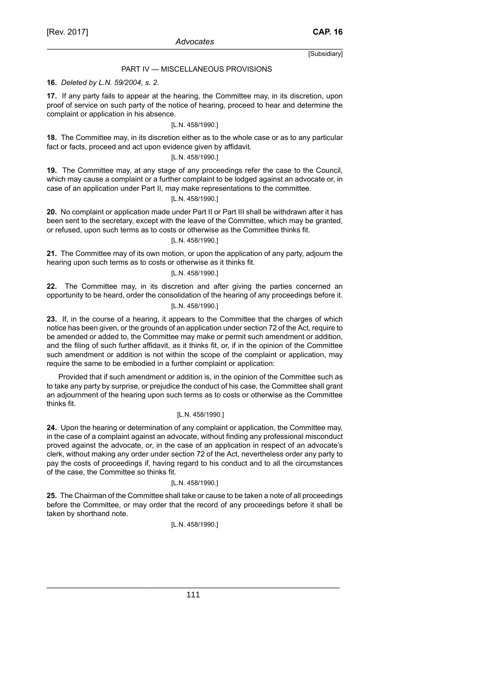### PART IV — MISCELLANEOUS PROVISIONS

### **16.** *Deleted by L.N. 59/2004, s. 2*.

**17.** If any party fails to appear at the hearing, the Committee may, in its discretion, upon proof of service on such party of the notice of hearing, proceed to hear and determine the complaint or application in his absence.

#### [L.N. 458/1990.]

**18.** The Committee may, in its discretion either as to the whole case or as to any particular fact or facts, proceed and act upon evidence given by affidavit.

## [L.N. 458/1990.]

**19.** The Committee may, at any stage of any proceedings refer the case to the Council, which may cause a complaint or a further complaint to be lodged against an advocate or, in case of an application under Part II, may make representations to the committee.

# [L.N. 458/1990.]

**20.** No complaint or application made under Part II or Part III shall be withdrawn after it has been sent to the secretary, except with the leave of the Committee, which may be granted, or refused, upon such terms as to costs or otherwise as the Committee thinks fit.

# [L.N. 458/1990.]

**21.** The Committee may of its own motion, or upon the application of any party, adjourn the hearing upon such terms as to costs or otherwise as it thinks fit.

### [L.N. 458/1990.]

**22.** The Committee may, in its discretion and after giving the parties concerned an opportunity to be heard, order the consolidation of the hearing of any proceedings before it. [L.N. 458/1990.]

**23.** If, in the course of a hearing, it appears to the Committee that the charges of which notice has been given, or the grounds of an application under section 72 of the Act, require to be amended or added to, the Committee may make or permit such amendment or addition, and the filing of such further affidavit, as it thinks fit, or, if in the opinion of the Committee such amendment or addition is not within the scope of the complaint or application, may require the same to be embodied in a further complaint or application:

Provided that if such amendment or addition is, in the opinion of the Committee such as to take any party by surprise, or prejudice the conduct of his case, the Committee shall grant an adjournment of the hearing upon such terms as to costs or otherwise as the Committee thinks fit.

#### [L.N. 458/1990.]

**24.** Upon the hearing or determination of any complaint or application, the Committee may, in the case of a complaint against an advocate, without finding any professional misconduct proved against the advocate, or, in the case of an application in respect of an advocate's clerk, without making any order under section 72 of the Act, nevertheless order any party to pay the costs of proceedings if, having regard to his conduct and to all the circumstances of the case, the Committee so thinks fit.

# [L.N. 458/1990.]

**25.** The Chairman of the Committee shall take or cause to be taken a note of all proceedings before the Committee, or may order that the record of any proceedings before it shall be taken by shorthand note.

#### [L.N. 458/1990.]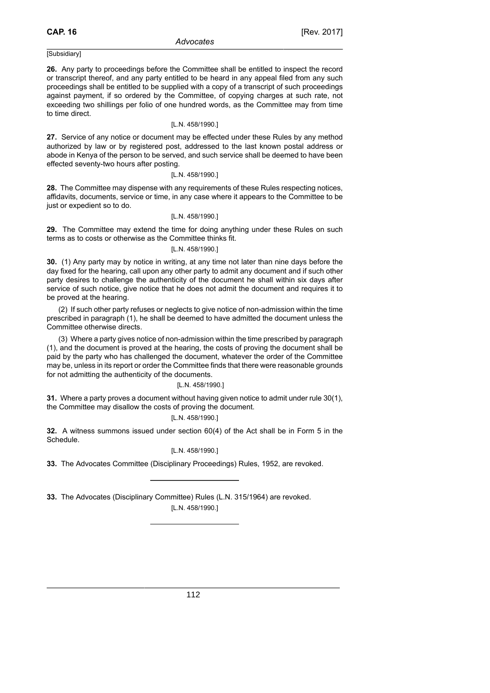**26.** Any party to proceedings before the Committee shall be entitled to inspect the record or transcript thereof, and any party entitled to be heard in any appeal filed from any such proceedings shall be entitled to be supplied with a copy of a transcript of such proceedings against payment, if so ordered by the Committee, of copying charges at such rate, not exceeding two shillings per folio of one hundred words, as the Committee may from time to time direct.

### [L.N. 458/1990.]

**27.** Service of any notice or document may be effected under these Rules by any method authorized by law or by registered post, addressed to the last known postal address or abode in Kenya of the person to be served, and such service shall be deemed to have been effected seventy-two hours after posting.

#### [L.N. 458/1990.]

**28.** The Committee may dispense with any requirements of these Rules respecting notices, affidavits, documents, service or time, in any case where it appears to the Committee to be just or expedient so to do.

### [L.N. 458/1990.]

**29.** The Committee may extend the time for doing anything under these Rules on such terms as to costs or otherwise as the Committee thinks fit.

# [L.N. 458/1990.]

**30.** (1) Any party may by notice in writing, at any time not later than nine days before the day fixed for the hearing, call upon any other party to admit any document and if such other party desires to challenge the authenticity of the document he shall within six days after service of such notice, give notice that he does not admit the document and requires it to be proved at the hearing.

(2) If such other party refuses or neglects to give notice of non-admission within the time prescribed in paragraph (1), he shall be deemed to have admitted the document unless the Committee otherwise directs.

(3) Where a party gives notice of non-admission within the time prescribed by paragraph (1), and the document is proved at the hearing, the costs of proving the document shall be paid by the party who has challenged the document, whatever the order of the Committee may be, unless in its report or order the Committee finds that there were reasonable grounds for not admitting the authenticity of the documents.

### [L.N. 458/1990.]

**31.** Where a party proves a document without having given notice to admit under rule 30(1), the Committee may disallow the costs of proving the document.

# [L.N. 458/1990.]

**32.** A witness summons issued under section 60(4) of the Act shall be in Form 5 in the Schedule.

# [L.N. 458/1990.]

**33.** The Advocates Committee (Disciplinary Proceedings) Rules, 1952, are revoked.

**33.** The Advocates (Disciplinary Committee) Rules (L.N. 315/1964) are revoked. [L.N. 458/1990.]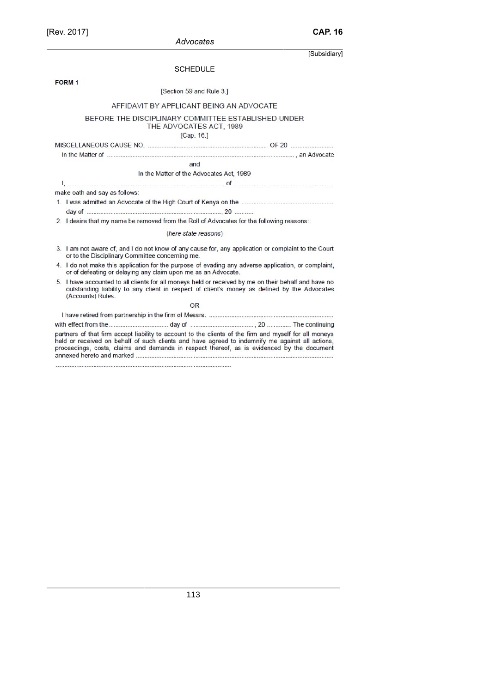|                               | SCHEDULE                                                                       |  |  |
|-------------------------------|--------------------------------------------------------------------------------|--|--|
| FORM <sub>1</sub>             |                                                                                |  |  |
|                               | [Section 59 and Rule 3.]                                                       |  |  |
|                               | AFFIDAVIT BY APPLICANT BEING AN ADVOCATE                                       |  |  |
|                               | BEFORE THE DISCIPLINARY COMMITTEE ESTABLISHED UNDER<br>THE ADVOCATES ACT, 1989 |  |  |
|                               | [Cap. 16.]                                                                     |  |  |
|                               |                                                                                |  |  |
|                               |                                                                                |  |  |
|                               | and                                                                            |  |  |
|                               | In the Matter of the Advocates Act, 1989                                       |  |  |
|                               |                                                                                |  |  |
| make oath and say as follows: |                                                                                |  |  |
|                               |                                                                                |  |  |
|                               |                                                                                |  |  |

2. I desire that my name be removed from the Roll of Advocates for the following reasons:

(here state reasons)

- 3. I am not aware of, and I do not know of any cause for, any application or complaint to the Court or to the Disciplinary Committee concerning me.
- 4. I do not make this application for the purpose of evading any adverse application, or complaint, or of defeating or delaying any claim upon me as an Advocate.
- 5. I have accounted to all clients for all moneys held or received by me on their behalf and have no outstanding liability to any client in respect of client's money as defined by the Advocates (Accounts) Rules.

OR partners of that firm accept liability to account to the clients of the firm and myself for all moneys held or received on behalf of such clients and have agreed to indemnify me against all actions, proceedings, costs, claims and demands in respect thereof, as is evidenced by the document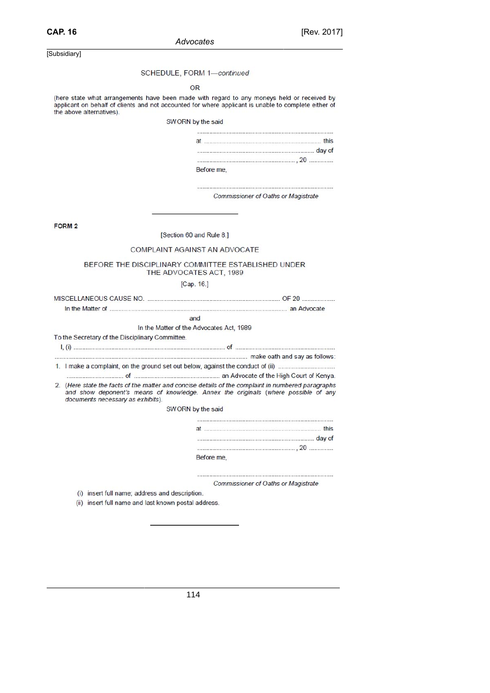#### SCHEDULE, FORM 1-continued

#### OR

(here state what arrangements have been made with regard to any moneys held or received by applicant on behalf of clients and not accounted for where applicant is unable to complete either of the above alternatives).

SWORN by the said

| Before me. |  |
|------------|--|

Commissioner of Oaths or Magistrate

FORM<sub>2</sub>

#### [Section 60 and Rule 8.]

### COMPLAINT AGAINST AN ADVOCATE

#### BEFORE THE DISCIPLINARY COMMITTEE ESTABLISHED UNDER THE ADVOCATES ACT, 1989

# [Cap. 16.]

and

### In the Matter of the Advocates Act, 1989

To the Secretary of the Disciplinary Committee.

2. (Here state the facts of the matter and concise details of the complaint in numbered paragraphs

and show deponent's means of knowledge. Annex the originals (where possible of any documents necessary as exhibits).

SWORN by the said

| Before me. |  |
|------------|--|

Commissioner of Oaths or Magistrate

(i) insert full name; address and description.

(ii) insert full name and last known postal address.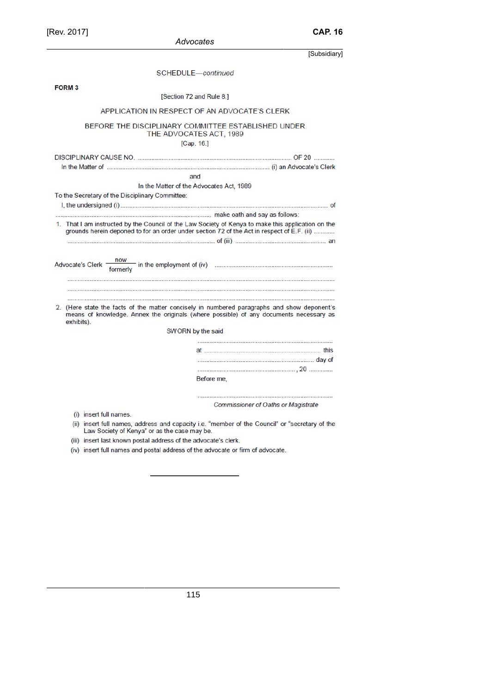[Rev. 2017]

|               | Advocates                                                                      |                                                                                                                                                                                       |
|---------------|--------------------------------------------------------------------------------|---------------------------------------------------------------------------------------------------------------------------------------------------------------------------------------|
|               |                                                                                | [Subsidiary]                                                                                                                                                                          |
|               | SCHEDULE-continued                                                             |                                                                                                                                                                                       |
| <b>FORM 3</b> |                                                                                |                                                                                                                                                                                       |
|               | [Section 72 and Rule 8.]                                                       |                                                                                                                                                                                       |
|               | APPLICATION IN RESPECT OF AN ADVOCATE'S CLERK                                  |                                                                                                                                                                                       |
|               | BEFORE THE DISCIPLINARY COMMITTEE ESTABLISHED UNDER<br>THE ADVOCATES ACT, 1989 |                                                                                                                                                                                       |
|               | [Cap. 16.]                                                                     |                                                                                                                                                                                       |
|               |                                                                                |                                                                                                                                                                                       |
|               |                                                                                |                                                                                                                                                                                       |
|               | and                                                                            |                                                                                                                                                                                       |
|               | In the Matter of the Advocates Act, 1989                                       |                                                                                                                                                                                       |
|               | To the Secretary of the Disciplinary Committee:                                |                                                                                                                                                                                       |
|               |                                                                                |                                                                                                                                                                                       |
|               |                                                                                |                                                                                                                                                                                       |
|               |                                                                                |                                                                                                                                                                                       |
|               |                                                                                |                                                                                                                                                                                       |
| exhibits).    |                                                                                | 2. (Here state the facts of the matter concisely in numbered paragraphs and show deponent's<br>means of knowledge. Annex the originals (where possible) of any documents necessary as |
|               | SWORN by the said                                                              |                                                                                                                                                                                       |
|               |                                                                                |                                                                                                                                                                                       |
|               |                                                                                |                                                                                                                                                                                       |
|               |                                                                                |                                                                                                                                                                                       |
|               |                                                                                | Before me,                                                                                                                                                                            |
|               |                                                                                |                                                                                                                                                                                       |
|               |                                                                                | <b>Commissioner of Oaths or Magistrate</b>                                                                                                                                            |
|               | (i) insert full names.                                                         |                                                                                                                                                                                       |
|               | Law Society of Kenya" or as the case may be.                                   | (ii) insert full names, address and capacity i.e. "member of the Council" or "secretary of the                                                                                        |
|               | (iii) insert last known postal address of the advocate's clerk.                |                                                                                                                                                                                       |
|               | (iv) insert full names and postal address of the advocate or firm of advocate. |                                                                                                                                                                                       |

**CAP. 16**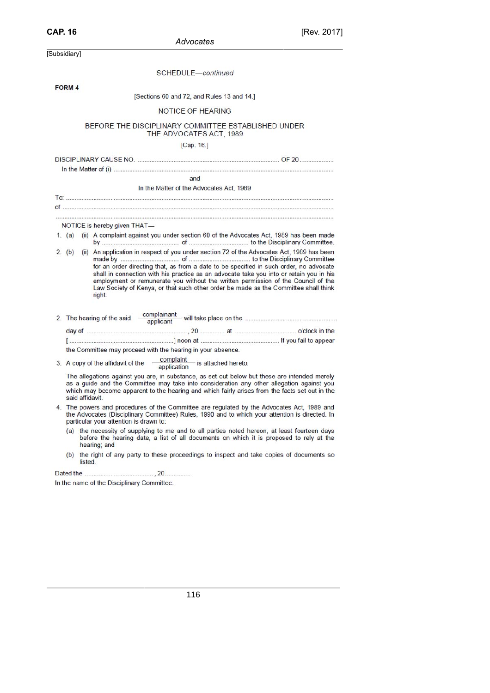| Advocates |  |
|-----------|--|

| [Subsidiary]                                                                                       |                                                                                |                                                                                                                                                                                                                                                                                                                                                                                                                                                             |
|----------------------------------------------------------------------------------------------------|--------------------------------------------------------------------------------|-------------------------------------------------------------------------------------------------------------------------------------------------------------------------------------------------------------------------------------------------------------------------------------------------------------------------------------------------------------------------------------------------------------------------------------------------------------|
|                                                                                                    | SCHEDULE-continued                                                             |                                                                                                                                                                                                                                                                                                                                                                                                                                                             |
| <b>FORM 4</b>                                                                                      |                                                                                |                                                                                                                                                                                                                                                                                                                                                                                                                                                             |
|                                                                                                    | [Sections 60 and 72, and Rules 13 and 14.]                                     |                                                                                                                                                                                                                                                                                                                                                                                                                                                             |
|                                                                                                    | <b>NOTICE OF HEARING</b>                                                       |                                                                                                                                                                                                                                                                                                                                                                                                                                                             |
|                                                                                                    | BEFORE THE DISCIPLINARY COMMITTEE ESTABLISHED UNDER<br>THE ADVOCATES ACT, 1989 |                                                                                                                                                                                                                                                                                                                                                                                                                                                             |
|                                                                                                    | [Cap. 16.]                                                                     |                                                                                                                                                                                                                                                                                                                                                                                                                                                             |
|                                                                                                    |                                                                                |                                                                                                                                                                                                                                                                                                                                                                                                                                                             |
|                                                                                                    | and                                                                            |                                                                                                                                                                                                                                                                                                                                                                                                                                                             |
|                                                                                                    | In the Matter of the Advocates Act, 1989                                       |                                                                                                                                                                                                                                                                                                                                                                                                                                                             |
|                                                                                                    |                                                                                |                                                                                                                                                                                                                                                                                                                                                                                                                                                             |
|                                                                                                    |                                                                                |                                                                                                                                                                                                                                                                                                                                                                                                                                                             |
| NOTICE is hereby given THAT-                                                                       |                                                                                |                                                                                                                                                                                                                                                                                                                                                                                                                                                             |
| 1. (a) (ii) A complaint against you under section 60 of the Advocates Act, 1989 has been made      |                                                                                |                                                                                                                                                                                                                                                                                                                                                                                                                                                             |
| 2. (b)<br>right.                                                                                   |                                                                                | (ii) An application in respect of you under section 72 of the Advocates Act, 1989 has been<br>for an order directing that, as from a date to be specified in such order, no advocate<br>shall in connection with his practice as an advocate take you into or retain you in his<br>employment or remunerate you without the written permission of the Council of the<br>Law Society of Kenya, or that such other order be made as the Committee shall think |
|                                                                                                    |                                                                                |                                                                                                                                                                                                                                                                                                                                                                                                                                                             |
|                                                                                                    |                                                                                |                                                                                                                                                                                                                                                                                                                                                                                                                                                             |
| the Committee may proceed with the hearing in your absence.                                        |                                                                                |                                                                                                                                                                                                                                                                                                                                                                                                                                                             |
| 3. A copy of the affidavit of the $\frac{\text{complain}}{\text{application}}$ is attached hereto. |                                                                                |                                                                                                                                                                                                                                                                                                                                                                                                                                                             |
| The allegations against you are, in substance, as set out below but these are intended merely      |                                                                                |                                                                                                                                                                                                                                                                                                                                                                                                                                                             |

as a guide and the Committee may take into consideration any other allegation against you which may become apparent to the hearing and which fairly arises from the facts set out in the said affidavit.

- 4. The powers and procedures of the Committee are regulated by the Advocates Act, 1989 and the Advocates (Disciplinary Committee) Rules, 1990 and to which your attention is directed. In particular your attention is drawn to:
	- (a) the necessity of supplying to me and to all parties noted hereon, at least fourteen days before the hearing date, a list of all documents on which it is proposed to rely at the hearing; and
	- (b) the right of any party to these proceedings to inspect and take copies of documents so listed.

In the name of the Disciplinary Committee.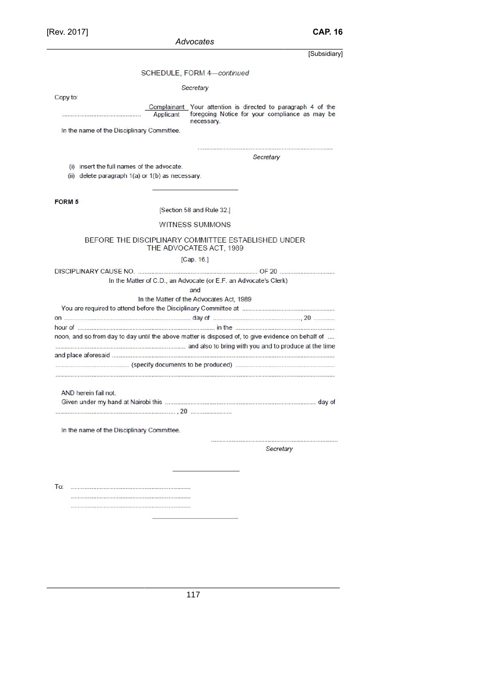SCHEDULE, FORM 4-continued

Secretary

Copy to:

Complainant Your attention is directed to paragraph 4 of the foregoing Notice for your compliance as may be<br>necessary. Applicant

In the name of the Disciplinary Committee.

Secretary

(i) insert the full names of the advocate.

(ii) delete paragraph 1(a) or 1(b) as necessary.

FORM<sub>5</sub>

[Section 58 and Rule 32.]

#### WITNESS SUMMONS

#### BEFORE THE DISCIPLINARY COMMITTEE ESTABLISHED UNDER THE ADVOCATES ACT, 1989

[Cap. 16.]

|                      | In the Matter of C.D., an Advocate (or E.F. an Advocate's Clerk)                                  |  |  |  |  |
|----------------------|---------------------------------------------------------------------------------------------------|--|--|--|--|
|                      | and                                                                                               |  |  |  |  |
|                      | In the Matter of the Advocates Act, 1989                                                          |  |  |  |  |
|                      |                                                                                                   |  |  |  |  |
|                      |                                                                                                   |  |  |  |  |
|                      |                                                                                                   |  |  |  |  |
|                      | noon, and so from day to day until the above matter is disposed of, to give evidence on behalf of |  |  |  |  |
|                      | and also to bring with you and to produce at the time                                             |  |  |  |  |
|                      |                                                                                                   |  |  |  |  |
|                      |                                                                                                   |  |  |  |  |
|                      |                                                                                                   |  |  |  |  |
| AND herein fail not. |                                                                                                   |  |  |  |  |
|                      |                                                                                                   |  |  |  |  |

In the name of the Disciplinary Committee.

 Secretary

 $To:$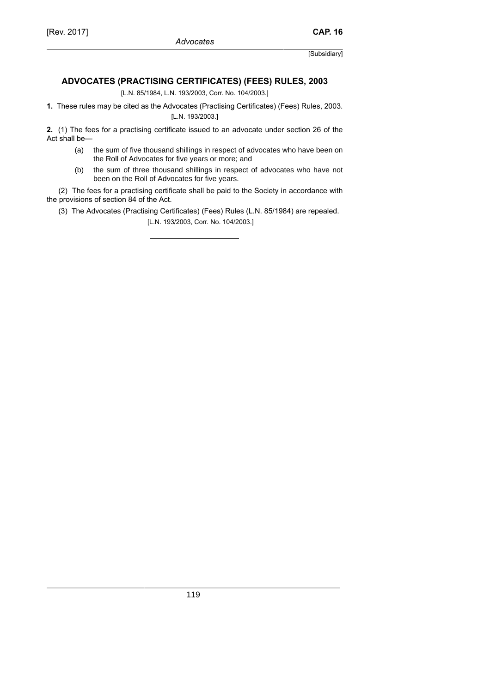# **ADVOCATES (PRACTISING CERTIFICATES) (FEES) RULES, 2003**

[L.N. 85/1984, L.N. 193/2003, Corr. No. 104/2003.]

**1.** These rules may be cited as the Advocates (Practising Certificates) (Fees) Rules, 2003. [L.N. 193/2003.]

**2.** (1) The fees for a practising certificate issued to an advocate under section 26 of the Act shall be—

- (a) the sum of five thousand shillings in respect of advocates who have been on the Roll of Advocates for five years or more; and
- (b) the sum of three thousand shillings in respect of advocates who have not been on the Roll of Advocates for five years.

(2) The fees for a practising certificate shall be paid to the Society in accordance with the provisions of section 84 of the Act.

(3) The Advocates (Practising Certificates) (Fees) Rules (L.N. 85/1984) are repealed.

[L.N. 193/2003, Corr. No. 104/2003.]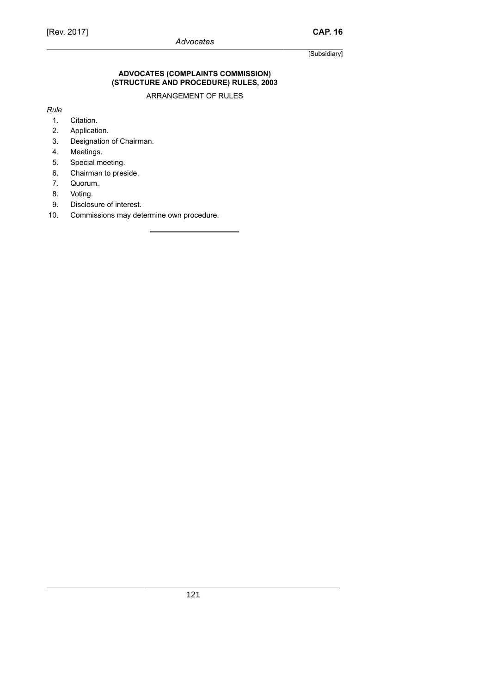#### **ADVOCATES (COMPLAINTS COMMISSION) (STRUCTURE AND PROCEDURE) RULES, 2003**

ARRANGEMENT OF RULES

*Rule*

- 1. Citation.
- 2. Application.
- 3. Designation of Chairman.
- 4. Meetings.
- 5. Special meeting.
- 6. Chairman to preside.
- 7. Quorum.
- 8. Voting.
- 9. Disclosure of interest.
- 10. Commissions may determine own procedure.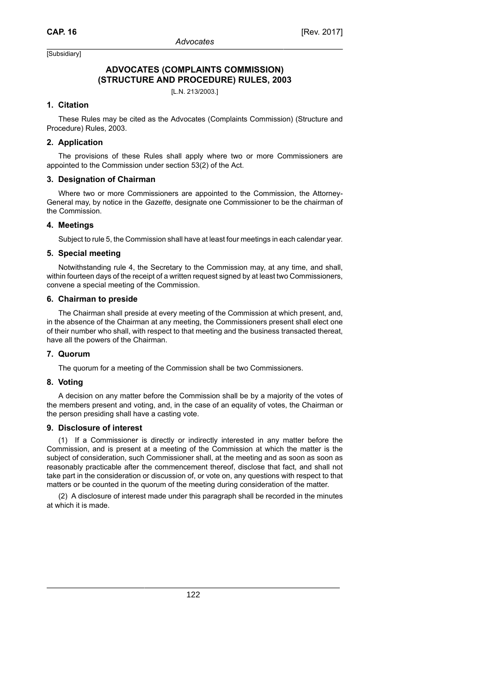# **ADVOCATES (COMPLAINTS COMMISSION) (STRUCTURE AND PROCEDURE) RULES, 2003**

[L.N. 213/2003.]

### **1. Citation**

These Rules may be cited as the Advocates (Complaints Commission) (Structure and Procedure) Rules, 2003.

#### **2. Application**

The provisions of these Rules shall apply where two or more Commissioners are appointed to the Commission under section 53(2) of the Act.

#### **3. Designation of Chairman**

Where two or more Commissioners are appointed to the Commission, the Attorney-General may, by notice in the *Gazette*, designate one Commissioner to be the chairman of the Commission.

#### **4. Meetings**

Subject to rule 5, the Commission shall have at least four meetings in each calendar year.

#### **5. Special meeting**

Notwithstanding rule 4, the Secretary to the Commission may, at any time, and shall, within fourteen days of the receipt of a written request signed by at least two Commissioners, convene a special meeting of the Commission.

#### **6. Chairman to preside**

The Chairman shall preside at every meeting of the Commission at which present, and, in the absence of the Chairman at any meeting, the Commissioners present shall elect one of their number who shall, with respect to that meeting and the business transacted thereat, have all the powers of the Chairman.

#### **7. Quorum**

The quorum for a meeting of the Commission shall be two Commissioners.

### **8. Voting**

A decision on any matter before the Commission shall be by a majority of the votes of the members present and voting, and, in the case of an equality of votes, the Chairman or the person presiding shall have a casting vote.

#### **9. Disclosure of interest**

(1) If a Commissioner is directly or indirectly interested in any matter before the Commission, and is present at a meeting of the Commission at which the matter is the subject of consideration, such Commissioner shall, at the meeting and as soon as soon as reasonably practicable after the commencement thereof, disclose that fact, and shall not take part in the consideration or discussion of, or vote on, any questions with respect to that matters or be counted in the quorum of the meeting during consideration of the matter.

(2) A disclosure of interest made under this paragraph shall be recorded in the minutes at which it is made.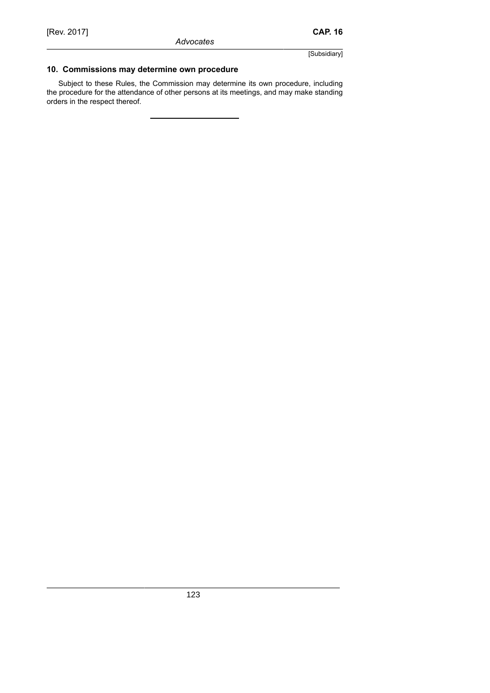# **10. Commissions may determine own procedure**

Subject to these Rules, the Commission may determine its own procedure, including the procedure for the attendance of other persons at its meetings, and may make standing orders in the respect thereof.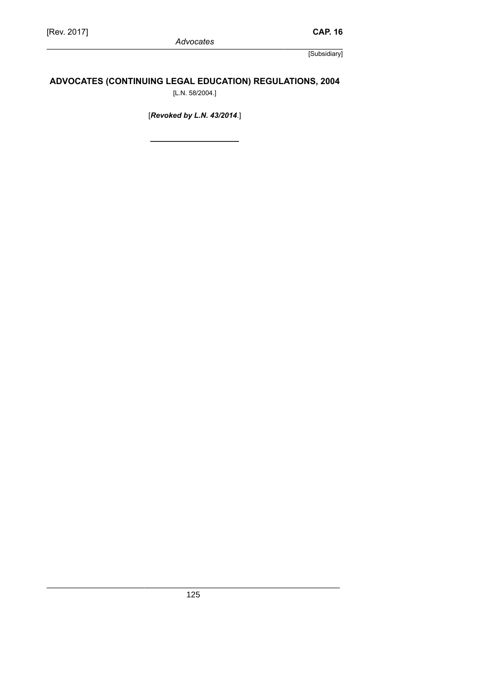# **ADVOCATES (CONTINUING LEGAL EDUCATION) REGULATIONS, 2004**

[L.N. 58/2004.]

[*Revoked by L.N. 43/2014*.]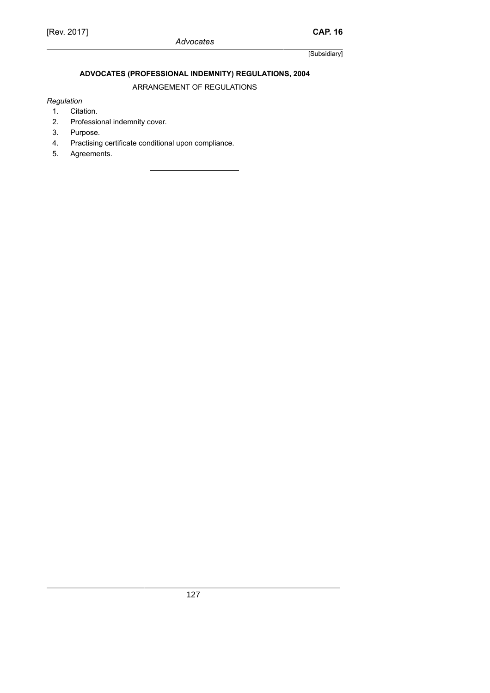# **ADVOCATES (PROFESSIONAL INDEMNITY) REGULATIONS, 2004**

ARRANGEMENT OF REGULATIONS

### *Regulation*

- 1. Citation.
- 2. Professional indemnity cover.
- 3. Purpose.
- 4. Practising certificate conditional upon compliance.<br>5. Agreements.
- Agreements.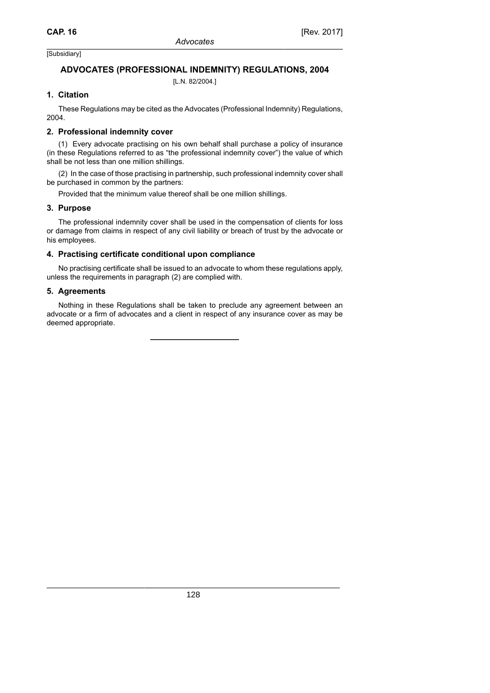# **ADVOCATES (PROFESSIONAL INDEMNITY) REGULATIONS, 2004**

[L.N. 82/2004.]

### **1. Citation**

These Regulations may be cited as the Advocates (Professional Indemnity) Regulations, 2004.

### **2. Professional indemnity cover**

(1) Every advocate practising on his own behalf shall purchase a policy of insurance (in these Regulations referred to as "the professional indemnity cover") the value of which shall be not less than one million shillings.

(2) In the case of those practising in partnership, such professional indemnity cover shall be purchased in common by the partners:

Provided that the minimum value thereof shall be one million shillings.

### **3. Purpose**

The professional indemnity cover shall be used in the compensation of clients for loss or damage from claims in respect of any civil liability or breach of trust by the advocate or his employees.

### **4. Practising certificate conditional upon compliance**

No practising certificate shall be issued to an advocate to whom these regulations apply, unless the requirements in paragraph (2) are complied with.

### **5. Agreements**

Nothing in these Regulations shall be taken to preclude any agreement between an advocate or a firm of advocates and a client in respect of any insurance cover as may be deemed appropriate.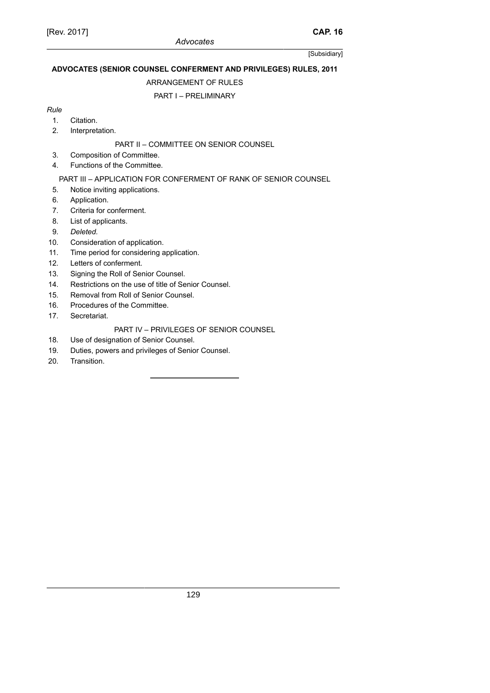# **ADVOCATES (SENIOR COUNSEL CONFERMENT AND PRIVILEGES) RULES, 2011**

### ARRANGEMENT OF RULES

# PART I – PRELIMINARY

### *Rule*

- 1. Citation.
- 2. Interpretation.

# PART II – COMMITTEE ON SENIOR COUNSEL

- 3. Composition of Committee.
- 4. Functions of the Committee.

# PART III – APPLICATION FOR CONFERMENT OF RANK OF SENIOR COUNSEL

- 5. Notice inviting applications.
- 6. Application.
- 7. Criteria for conferment.
- 8. List of applicants.
- 9. *Deleted.*
- 10. Consideration of application.
- 11. Time period for considering application.
- 12. Letters of conferment.
- 13. Signing the Roll of Senior Counsel.
- 14. Restrictions on the use of title of Senior Counsel.
- 15. Removal from Roll of Senior Counsel.
- 16. Procedures of the Committee.
- 17. Secretariat.

# PART IV – PRIVILEGES OF SENIOR COUNSEL

- 18. Use of designation of Senior Counsel.
- 19. Duties, powers and privileges of Senior Counsel.
- 20. Transition.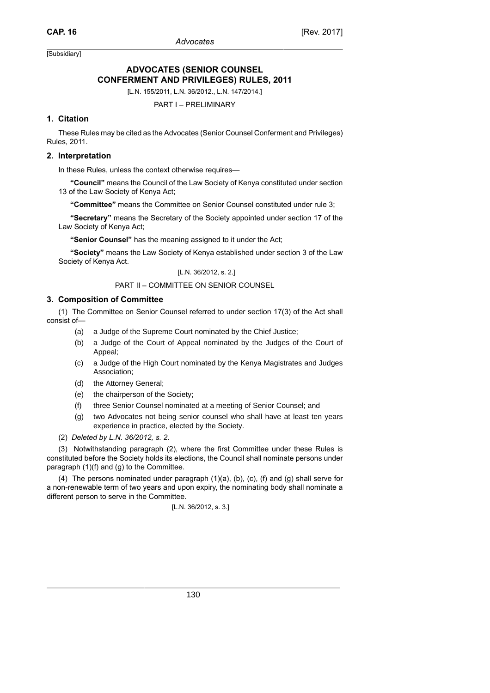# **ADVOCATES (SENIOR COUNSEL CONFERMENT AND PRIVILEGES) RULES, 2011**

[L.N. 155/2011, L.N. 36/2012., L.N. 147/2014.]

PART I – PRELIMINARY

### **1. Citation**

These Rules may be cited as the Advocates (Senior Counsel Conferment and Privileges) Rules, 2011.

#### **2. Interpretation**

In these Rules, unless the context otherwise requires—

**"Council"** means the Council of the Law Society of Kenya constituted under section 13 of the Law Society of Kenya Act;

**"Committee"** means the Committee on Senior Counsel constituted under rule 3;

**"Secretary"** means the Secretary of the Society appointed under section 17 of the Law Society of Kenya Act;

**"Senior Counsel"** has the meaning assigned to it under the Act;

**"Society"** means the Law Society of Kenya established under section 3 of the Law Society of Kenya Act.

[L.N. 36/2012, s. 2.]

#### PART II – COMMITTEE ON SENIOR COUNSEL

#### **3. Composition of Committee**

(1) The Committee on Senior Counsel referred to under section 17(3) of the Act shall consist of—

- (a) a Judge of the Supreme Court nominated by the Chief Justice;
- (b) a Judge of the Court of Appeal nominated by the Judges of the Court of Appeal;
- (c) a Judge of the High Court nominated by the Kenya Magistrates and Judges Association;
- (d) the Attorney General;
- (e) the chairperson of the Society;
- (f) three Senior Counsel nominated at a meeting of Senior Counsel; and
- (g) two Advocates not being senior counsel who shall have at least ten years experience in practice, elected by the Society.
- (2) *Deleted by L.N. 36/2012, s. 2*.

(3) Notwithstanding paragraph (2), where the first Committee under these Rules is constituted before the Society holds its elections, the Council shall nominate persons under paragraph (1)(f) and (g) to the Committee.

(4) The persons nominated under paragraph (1)(a), (b), (c), (f) and (g) shall serve for a non-renewable term of two years and upon expiry, the nominating body shall nominate a different person to serve in the Committee.

$$
[L.N. 36/2012, s. 3.]
$$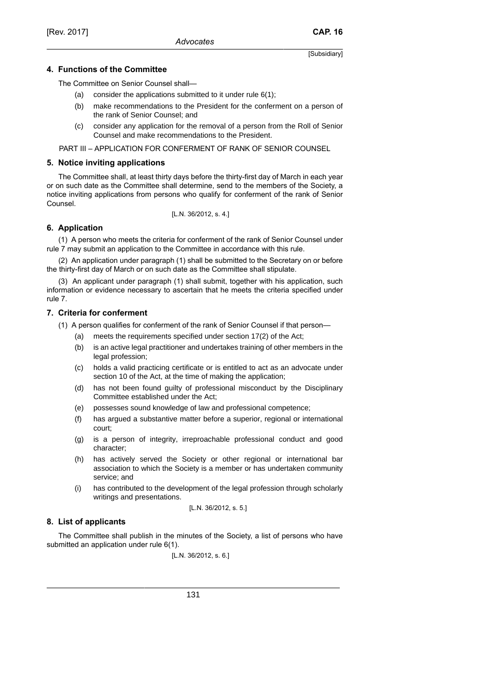### **4. Functions of the Committee**

The Committee on Senior Counsel shall—

- (a) consider the applications submitted to it under rule  $6(1)$ ;
- (b) make recommendations to the President for the conferment on a person of the rank of Senior Counsel; and
- (c) consider any application for the removal of a person from the Roll of Senior Counsel and make recommendations to the President.

PART III – APPLICATION FOR CONFERMENT OF RANK OF SENIOR COUNSEL

### **5. Notice inviting applications**

The Committee shall, at least thirty days before the thirty-first day of March in each year or on such date as the Committee shall determine, send to the members of the Society, a notice inviting applications from persons who qualify for conferment of the rank of Senior Counsel.

[L.N. 36/2012, s. 4.]

### **6. Application**

(1) A person who meets the criteria for conferment of the rank of Senior Counsel under rule 7 may submit an application to the Committee in accordance with this rule.

(2) An application under paragraph (1) shall be submitted to the Secretary on or before the thirty-first day of March or on such date as the Committee shall stipulate.

(3) An applicant under paragraph (1) shall submit, together with his application, such information or evidence necessary to ascertain that he meets the criteria specified under rule 7.

### **7. Criteria for conferment**

(1) A person qualifies for conferment of the rank of Senior Counsel if that person—

- (a) meets the requirements specified under section 17(2) of the Act;
- (b) is an active legal practitioner and undertakes training of other members in the legal profession;
- (c) holds a valid practicing certificate or is entitled to act as an advocate under section 10 of the Act, at the time of making the application;
- (d) has not been found guilty of professional misconduct by the Disciplinary Committee established under the Act;
- (e) possesses sound knowledge of law and professional competence;
- (f) has argued a substantive matter before a superior, regional or international court;
- (g) is a person of integrity, irreproachable professional conduct and good character;
- (h) has actively served the Society or other regional or international bar association to which the Society is a member or has undertaken community service; and
- (i) has contributed to the development of the legal profession through scholarly writings and presentations.

$$
[L.N. 36/2012, s. 5.]
$$

# **8. List of applicants**

The Committee shall publish in the minutes of the Society, a list of persons who have submitted an application under rule 6(1).

[L.N. 36/2012, s. 6.]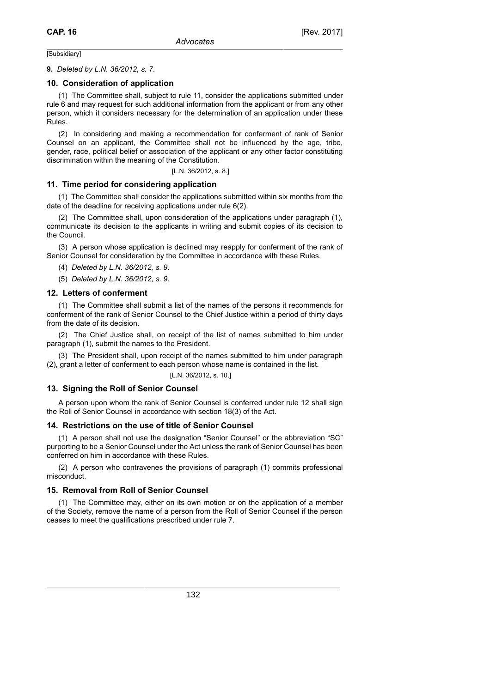#### **9.** *Deleted by L.N. 36/2012, s. 7*.

#### **10. Consideration of application**

(1) The Committee shall, subject to rule 11, consider the applications submitted under rule 6 and may request for such additional information from the applicant or from any other person, which it considers necessary for the determination of an application under these Rules.

(2) In considering and making a recommendation for conferment of rank of Senior Counsel on an applicant, the Committee shall not be influenced by the age, tribe, gender, race, political belief or association of the applicant or any other factor constituting discrimination within the meaning of the Constitution.

[L.N. 36/2012, s. 8.]

#### **11. Time period for considering application**

(1) The Committee shall consider the applications submitted within six months from the date of the deadline for receiving applications under rule 6(2).

(2) The Committee shall, upon consideration of the applications under paragraph (1), communicate its decision to the applicants in writing and submit copies of its decision to the Council.

(3) A person whose application is declined may reapply for conferment of the rank of Senior Counsel for consideration by the Committee in accordance with these Rules.

(4) *Deleted by L.N. 36/2012, s. 9*.

(5) *Deleted by L.N. 36/2012, s. 9*.

#### **12. Letters of conferment**

(1) The Committee shall submit a list of the names of the persons it recommends for conferment of the rank of Senior Counsel to the Chief Justice within a period of thirty days from the date of its decision.

(2) The Chief Justice shall, on receipt of the list of names submitted to him under paragraph (1), submit the names to the President.

(3) The President shall, upon receipt of the names submitted to him under paragraph (2), grant a letter of conferment to each person whose name is contained in the list.

[L.N. 36/2012, s. 10.]

#### **13. Signing the Roll of Senior Counsel**

A person upon whom the rank of Senior Counsel is conferred under rule 12 shall sign the Roll of Senior Counsel in accordance with section 18(3) of the Act.

#### **14. Restrictions on the use of title of Senior Counsel**

(1) A person shall not use the designation "Senior Counsel" or the abbreviation "SC" purporting to be a Senior Counsel under the Act unless the rank of Senior Counsel has been conferred on him in accordance with these Rules.

(2) A person who contravenes the provisions of paragraph (1) commits professional misconduct.

#### **15. Removal from Roll of Senior Counsel**

(1) The Committee may, either on its own motion or on the application of a member of the Society, remove the name of a person from the Roll of Senior Counsel if the person ceases to meet the qualifications prescribed under rule 7.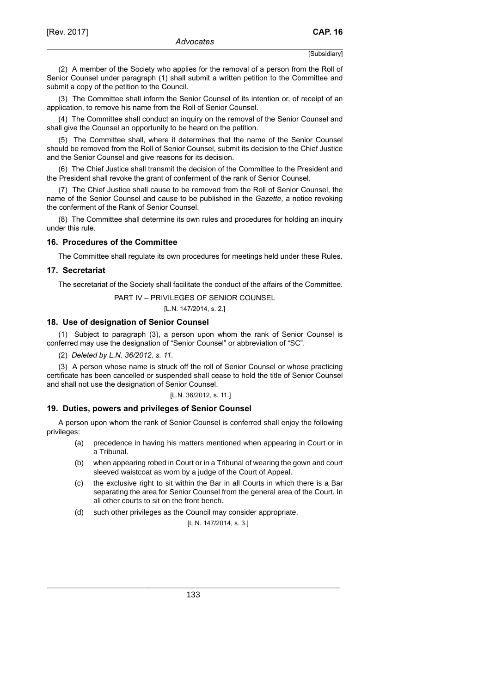(2) A member of the Society who applies for the removal of a person from the Roll of Senior Counsel under paragraph (1) shall submit a written petition to the Committee and submit a copy of the petition to the Council.

(3) The Committee shall inform the Senior Counsel of its intention or, of receipt of an application, to remove his name from the Roll of Senior Counsel.

(4) The Committee shall conduct an inquiry on the removal of the Senior Counsel and shall give the Counsel an opportunity to be heard on the petition.

(5) The Committee shall, where it determines that the name of the Senior Counsel should be removed from the Roll of Senior Counsel, submit its decision to the Chief Justice and the Senior Counsel and give reasons for its decision.

(6) The Chief Justice shall transmit the decision of the Committee to the President and the President shall revoke the grant of conferment of the rank of Senior Counsel.

(7) The Chief Justice shall cause to be removed from the Roll of Senior Counsel, the name of the Senior Counsel and cause to be published in the *Gazette*, a notice revoking the conferment of the Rank of Senior Counsel.

(8) The Committee shall determine its own rules and procedures for holding an inquiry under this rule.

#### **16. Procedures of the Committee**

The Committee shall regulate its own procedures for meetings held under these Rules.

#### **17. Secretariat**

The secretariat of the Society shall facilitate the conduct of the affairs of the Committee.

#### PART IV – PRIVILEGES OF SENIOR COUNSEL

[L.N. 147/2014, s. 2.]

#### **18. Use of designation of Senior Counsel**

(1) Subject to paragraph (3), a person upon whom the rank of Senior Counsel is conferred may use the designation of "Senior Counsel" or abbreviation of "SC".

(2) *Deleted by L.N. 36/2012, s. 11.*

(3) A person whose name is struck off the roll of Senior Counsel or whose practicing certificate has been cancelled or suspended shall cease to hold the title of Senior Counsel and shall not use the designation of Senior Counsel.

#### [L.N. 36/2012, s. 11.]

#### **19. Duties, powers and privileges of Senior Counsel**

A person upon whom the rank of Senior Counsel is conferred shall enjoy the following privileges:

- (a) precedence in having his matters mentioned when appearing in Court or in a Tribunal.
- (b) when appearing robed in Court or in a Tribunal of wearing the gown and court sleeved waistcoat as worn by a judge of the Court of Appeal.
- (c) the exclusive right to sit within the Bar in all Courts in which there is a Bar separating the area for Senior Counsel from the general area of the Court. In all other courts to sit on the front bench.
- (d) such other privileges as the Council may consider appropriate.

[L.N. 147/2014, s. 3.]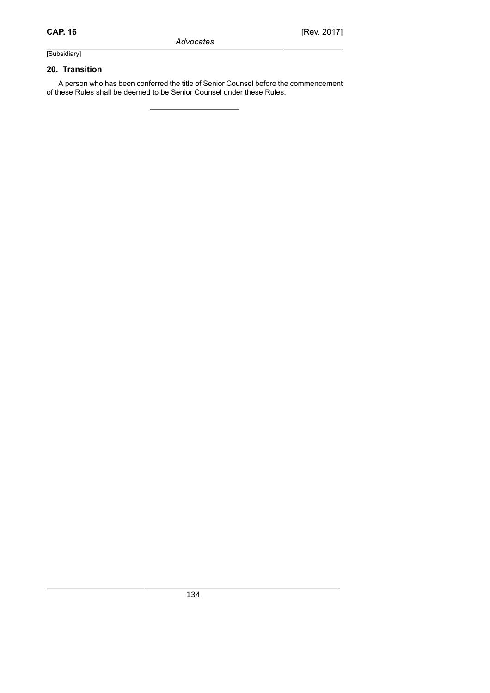### **20. Transition**

A person who has been conferred the title of Senior Counsel before the commencement of these Rules shall be deemed to be Senior Counsel under these Rules.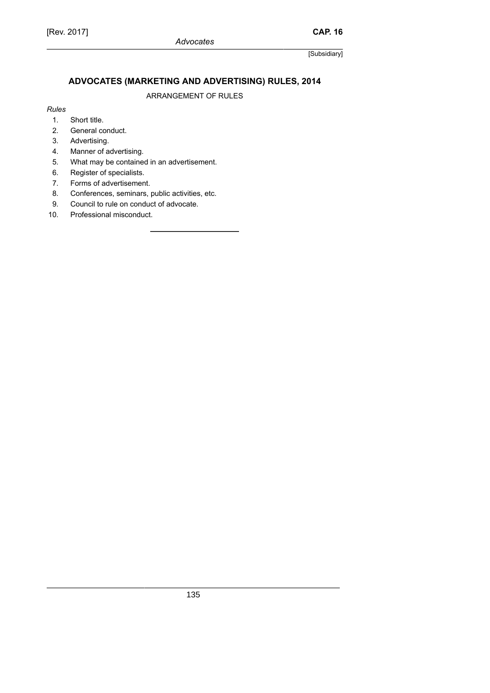# **ADVOCATES (MARKETING AND ADVERTISING) RULES, 2014**

ARRANGEMENT OF RULES

#### *Rules*

- 1. Short title.
- 2. General conduct.
- 3. Advertising.
- 4. Manner of advertising.
- 5. What may be contained in an advertisement.
- 6. Register of specialists.
- 7. Forms of advertisement.
- 8. Conferences, seminars, public activities, etc.
- 9. Council to rule on conduct of advocate.
- 10. Professional misconduct.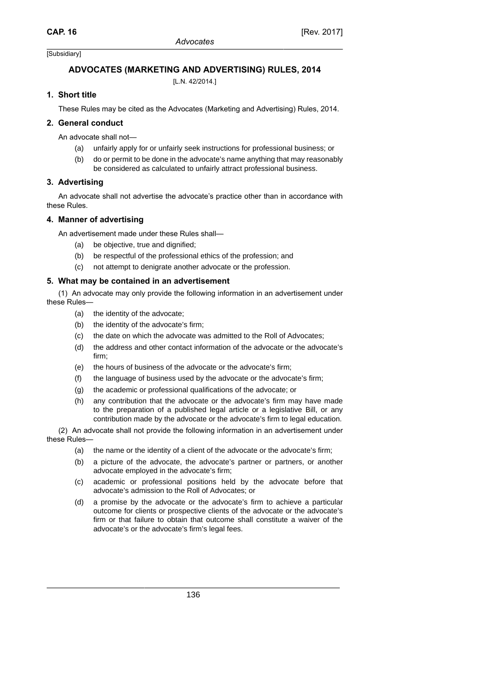# **ADVOCATES (MARKETING AND ADVERTISING) RULES, 2014**

[L.N. 42/2014.]

# **1. Short title**

These Rules may be cited as the Advocates (Marketing and Advertising) Rules, 2014.

# **2. General conduct**

An advocate shall not—

- (a) unfairly apply for or unfairly seek instructions for professional business; or
- (b) do or permit to be done in the advocate's name anything that may reasonably be considered as calculated to unfairly attract professional business.

# **3. Advertising**

An advocate shall not advertise the advocate's practice other than in accordance with these Rules.

# **4. Manner of advertising**

An advertisement made under these Rules shall—

- (a) be objective, true and dignified;
- (b) be respectful of the professional ethics of the profession; and
- (c) not attempt to denigrate another advocate or the profession.

# **5. What may be contained in an advertisement**

(1) An advocate may only provide the following information in an advertisement under these Rules—

- (a) the identity of the advocate;
- (b) the identity of the advocate's firm;
- (c) the date on which the advocate was admitted to the Roll of Advocates;
- (d) the address and other contact information of the advocate or the advocate's firm;
- (e) the hours of business of the advocate or the advocate's firm;
- (f) the language of business used by the advocate or the advocate's firm;
- (g) the academic or professional qualifications of the advocate; or
- (h) any contribution that the advocate or the advocate's firm may have made to the preparation of a published legal article or a legislative Bill, or any contribution made by the advocate or the advocate's firm to legal education.

(2) An advocate shall not provide the following information in an advertisement under these Rules—

- (a) the name or the identity of a client of the advocate or the advocate's firm;
- (b) a picture of the advocate, the advocate's partner or partners, or another advocate employed in the advocate's firm;
- (c) academic or professional positions held by the advocate before that advocate's admission to the Roll of Advocates; or
- (d) a promise by the advocate or the advocate's firm to achieve a particular outcome for clients or prospective clients of the advocate or the advocate's firm or that failure to obtain that outcome shall constitute a waiver of the advocate's or the advocate's firm's legal fees.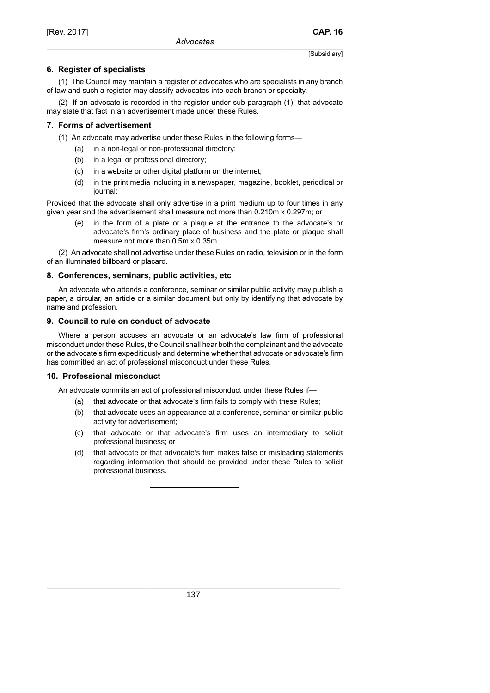### **6. Register of specialists**

(1) The Council may maintain a register of advocates who are specialists in any branch of law and such a register may classify advocates into each branch or specialty.

(2) If an advocate is recorded in the register under sub-paragraph (1), that advocate may state that fact in an advertisement made under these Rules.

### **7. Forms of advertisement**

- (1) An advocate may advertise under these Rules in the following forms—
	- (a) in a non-legal or non-professional directory;
	- (b) in a legal or professional directory;
	- (c) in a website or other digital platform on the internet;
	- (d) in the print media including in a newspaper, magazine, booklet, periodical or journal:

Provided that the advocate shall only advertise in a print medium up to four times in any given year and the advertisement shall measure not more than 0.210m x 0.297m; or

(e) in the form of a plate or a plaque at the entrance to the advocate's or advocate's firm's ordinary place of business and the plate or plaque shall measure not more than 0.5m x 0.35m.

(2) An advocate shall not advertise under these Rules on radio, television or in the form of an illuminated billboard or placard.

### **8. Conferences, seminars, public activities, etc**

An advocate who attends a conference, seminar or similar public activity may publish a paper, a circular, an article or a similar document but only by identifying that advocate by name and profession.

### **9. Council to rule on conduct of advocate**

Where a person accuses an advocate or an advocate's law firm of professional misconduct under these Rules, the Council shall hear both the complainant and the advocate or the advocate's firm expeditiously and determine whether that advocate or advocate's firm has committed an act of professional misconduct under these Rules.

#### **10. Professional misconduct**

An advocate commits an act of professional misconduct under these Rules if—

- (a) that advocate or that advocate's firm fails to comply with these Rules;
- (b) that advocate uses an appearance at a conference, seminar or similar public activity for advertisement;
- (c) that advocate or that advocate's firm uses an intermediary to solicit professional business; or
- (d) that advocate or that advocate's firm makes false or misleading statements regarding information that should be provided under these Rules to solicit professional business.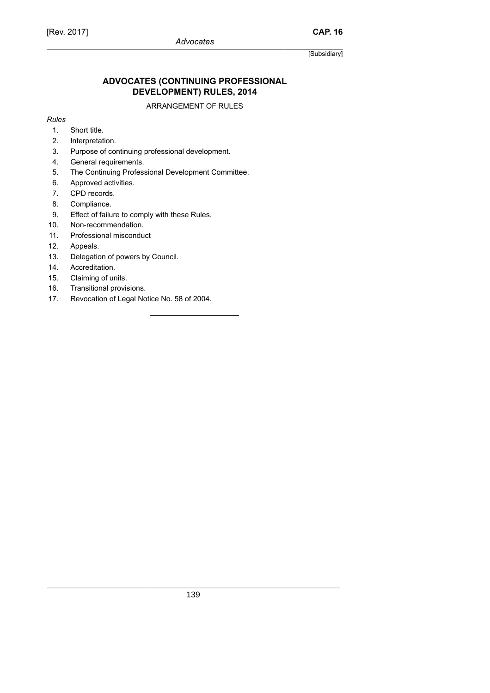# [Rev. 2017]

[Subsidiary]

# **ADVOCATES (CONTINUING PROFESSIONAL DEVELOPMENT) RULES, 2014**

#### ARRANGEMENT OF RULES

*Rules*

- 1. Short title.
- 2. Interpretation.
- 3. Purpose of continuing professional development.
- 4. General requirements.
- 5. The Continuing Professional Development Committee.
- 6. Approved activities.
- 7. CPD records.
- 8. Compliance.
- 9. Effect of failure to comply with these Rules.
- 10. Non-recommendation.
- 11. Professional misconduct
- 12. Appeals.
- 13. Delegation of powers by Council.
- 14. Accreditation.
- 15. Claiming of units.
- 16. Transitional provisions.
- 17. Revocation of Legal Notice No. 58 of 2004.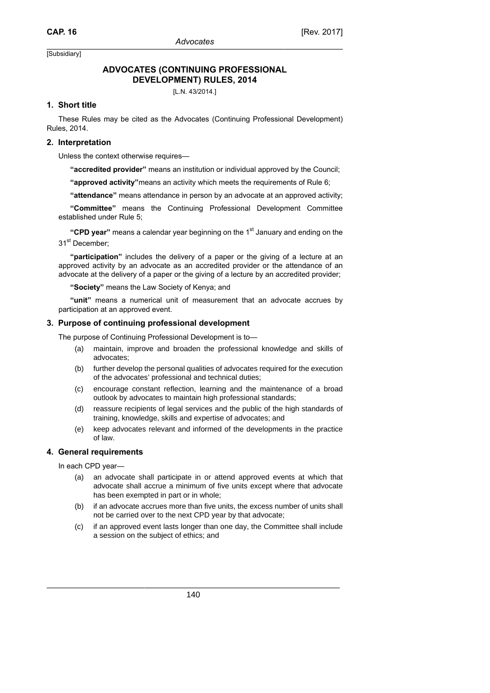### **ADVOCATES (CONTINUING PROFESSIONAL DEVELOPMENT) RULES, 2014**

[L.N. 43/2014.]

### **1. Short title**

These Rules may be cited as the Advocates (Continuing Professional Development) Rules, 2014.

### **2. Interpretation**

Unless the context otherwise requires—

**"accredited provider"** means an institution or individual approved by the Council;

**"approved activity"**means an activity which meets the requirements of Rule 6;

**"attendance"** means attendance in person by an advocate at an approved activity;

**"Committee"** means the Continuing Professional Development Committee established under Rule 5;

**"CPD year"** means a calendar year beginning on the 1<sup>st</sup> January and ending on the 31<sup>st</sup> December:

**"participation"** includes the delivery of a paper or the giving of a lecture at an approved activity by an advocate as an accredited provider or the attendance of an advocate at the delivery of a paper or the giving of a lecture by an accredited provider;

**"Society"** means the Law Society of Kenya; and

**"unit"** means a numerical unit of measurement that an advocate accrues by participation at an approved event.

#### **3. Purpose of continuing professional development**

The purpose of Continuing Professional Development is to—

- (a) maintain, improve and broaden the professional knowledge and skills of advocates;
- (b) further develop the personal qualities of advocates required for the execution of the advocates' professional and technical duties;
- (c) encourage constant reflection, learning and the maintenance of a broad outlook by advocates to maintain high professional standards;
- (d) reassure recipients of legal services and the public of the high standards of training, knowledge, skills and expertise of advocates; and
- (e) keep advocates relevant and informed of the developments in the practice of law.

#### **4. General requirements**

In each CPD year—

- (a) an advocate shall participate in or attend approved events at which that advocate shall accrue a minimum of five units except where that advocate has been exempted in part or in whole;
- (b) if an advocate accrues more than five units, the excess number of units shall not be carried over to the next CPD year by that advocate;
- (c) if an approved event lasts longer than one day, the Committee shall include a session on the subject of ethics; and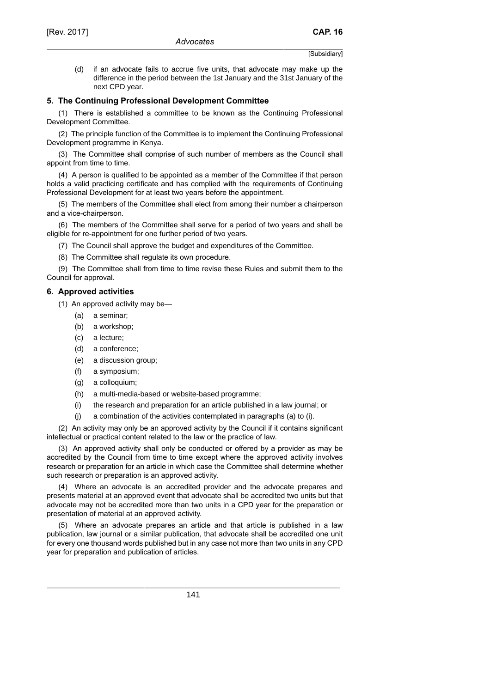(d) if an advocate fails to accrue five units, that advocate may make up the difference in the period between the 1st January and the 31st January of the next CPD year.

#### **5. The Continuing Professional Development Committee**

(1) There is established a committee to be known as the Continuing Professional Development Committee.

(2) The principle function of the Committee is to implement the Continuing Professional Development programme in Kenya.

(3) The Committee shall comprise of such number of members as the Council shall appoint from time to time.

(4) A person is qualified to be appointed as a member of the Committee if that person holds a valid practicing certificate and has complied with the requirements of Continuing Professional Development for at least two years before the appointment.

(5) The members of the Committee shall elect from among their number a chairperson and a vice-chairperson.

(6) The members of the Committee shall serve for a period of two years and shall be eligible for re-appointment for one further period of two years.

(7) The Council shall approve the budget and expenditures of the Committee.

(8) The Committee shall regulate its own procedure.

(9) The Committee shall from time to time revise these Rules and submit them to the Council for approval.

#### **6. Approved activities**

- (1) An approved activity may be—
	- (a) a seminar;
	- (b) a workshop;
	- (c) a lecture;
	- (d) a conference;
	- (e) a discussion group;
	- (f) a symposium;
	- (g) a colloquium;
	- (h) a multi-media-based or website-based programme;
	- (i) the research and preparation for an article published in a law journal; or
	- (j) a combination of the activities contemplated in paragraphs (a) to (i).

(2) An activity may only be an approved activity by the Council if it contains significant intellectual or practical content related to the law or the practice of law.

(3) An approved activity shall only be conducted or offered by a provider as may be accredited by the Council from time to time except where the approved activity involves research or preparation for an article in which case the Committee shall determine whether such research or preparation is an approved activity.

(4) Where an advocate is an accredited provider and the advocate prepares and presents material at an approved event that advocate shall be accredited two units but that advocate may not be accredited more than two units in a CPD year for the preparation or presentation of material at an approved activity.

(5) Where an advocate prepares an article and that article is published in a law publication, law journal or a similar publication, that advocate shall be accredited one unit for every one thousand words published but in any case not more than two units in any CPD year for preparation and publication of articles.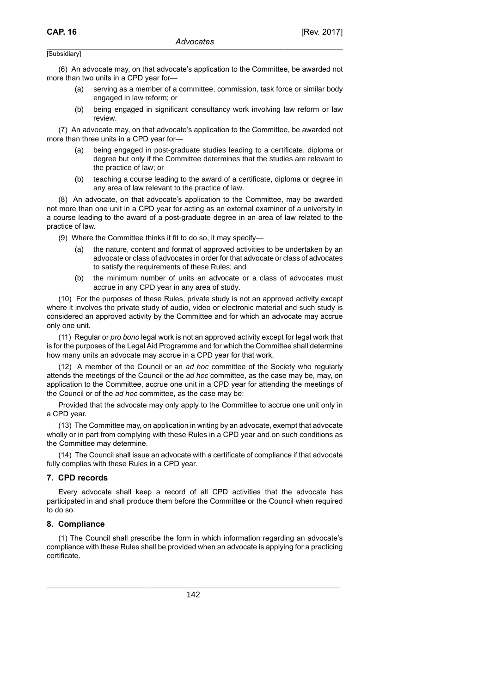(6) An advocate may, on that advocate's application to the Committee, be awarded not more than two units in a CPD year for—

- (a) serving as a member of a committee, commission, task force or similar body engaged in law reform; or
- (b) being engaged in significant consultancy work involving law reform or law review.

(7) An advocate may, on that advocate's application to the Committee, be awarded not more than three units in a CPD year for—

- (a) being engaged in post-graduate studies leading to a certificate, diploma or degree but only if the Committee determines that the studies are relevant to the practice of law; or
- (b) teaching a course leading to the award of a certificate, diploma or degree in any area of law relevant to the practice of law.

(8) An advocate, on that advocate's application to the Committee, may be awarded not more than one unit in a CPD year for acting as an external examiner of a university in a course leading to the award of a post-graduate degree in an area of law related to the practice of law.

(9) Where the Committee thinks it fit to do so, it may specify—

- (a) the nature, content and format of approved activities to be undertaken by an advocate or class of advocates in order for that advocate or class of advocates to satisfy the requirements of these Rules; and
- (b) the minimum number of units an advocate or a class of advocates must accrue in any CPD year in any area of study.

(10) For the purposes of these Rules, private study is not an approved activity except where it involves the private study of audio, video or electronic material and such study is considered an approved activity by the Committee and for which an advocate may accrue only one unit.

(11) Regular or *pro bono* legal work is not an approved activity except for legal work that is for the purposes of the Legal Aid Programme and for which the Committee shall determine how many units an advocate may accrue in a CPD year for that work.

(12) A member of the Council or an *ad hoc* committee of the Society who regularly attends the meetings of the Council or the *ad hoc* committee, as the case may be, may, on application to the Committee, accrue one unit in a CPD year for attending the meetings of the Council or of the *ad hoc* committee, as the case may be:

Provided that the advocate may only apply to the Committee to accrue one unit only in a CPD year.

(13) The Committee may, on application in writing by an advocate, exempt that advocate wholly or in part from complying with these Rules in a CPD year and on such conditions as the Committee may determine.

(14) The Council shall issue an advocate with a certificate of compliance if that advocate fully complies with these Rules in a CPD year.

#### **7. CPD records**

Every advocate shall keep a record of all CPD activities that the advocate has participated in and shall produce them before the Committee or the Council when required to do so.

#### **8. Compliance**

(1) The Council shall prescribe the form in which information regarding an advocate's compliance with these Rules shall be provided when an advocate is applying for a practicing certificate.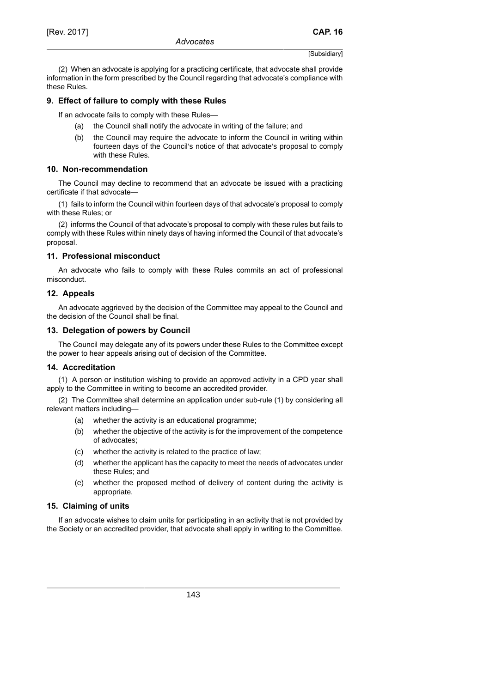(2) When an advocate is applying for a practicing certificate, that advocate shall provide information in the form prescribed by the Council regarding that advocate's compliance with these Rules.

### **9. Effect of failure to comply with these Rules**

If an advocate fails to comply with these Rules—

- (a) the Council shall notify the advocate in writing of the failure; and
- (b) the Council may require the advocate to inform the Council in writing within fourteen days of the Council's notice of that advocate's proposal to comply with these Rules.

#### **10. Non-recommendation**

The Council may decline to recommend that an advocate be issued with a practicing certificate if that advocate—

(1) fails to inform the Council within fourteen days of that advocate's proposal to comply with these Rules; or

(2) informs the Council of that advocate's proposal to comply with these rules but fails to comply with these Rules within ninety days of having informed the Council of that advocate's proposal.

### **11. Professional misconduct**

An advocate who fails to comply with these Rules commits an act of professional misconduct.

### **12. Appeals**

An advocate aggrieved by the decision of the Committee may appeal to the Council and the decision of the Council shall be final.

#### **13. Delegation of powers by Council**

The Council may delegate any of its powers under these Rules to the Committee except the power to hear appeals arising out of decision of the Committee.

### **14. Accreditation**

(1) A person or institution wishing to provide an approved activity in a CPD year shall apply to the Committee in writing to become an accredited provider.

(2) The Committee shall determine an application under sub-rule (1) by considering all relevant matters including—

- (a) whether the activity is an educational programme;
- (b) whether the objective of the activity is for the improvement of the competence of advocates;
- (c) whether the activity is related to the practice of law;
- (d) whether the applicant has the capacity to meet the needs of advocates under these Rules; and
- (e) whether the proposed method of delivery of content during the activity is appropriate.

#### **15. Claiming of units**

If an advocate wishes to claim units for participating in an activity that is not provided by the Society or an accredited provider, that advocate shall apply in writing to the Committee.